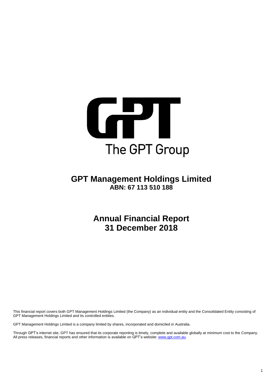

# **GPT Management Holdings Limited ABN: 67 113 510 188**

**Annual Financial Report 31 December 2018**

This financial report covers both GPT Management Holdings Limited (the Company) as an individual entity and the Consolidated Entity consisting of GPT Management Holdings Limited and its controlled entities.

GPT Management Holdings Limited is a company limited by shares, incorporated and domiciled in Australia.

Through GPT's internet site, GPT has ensured that its corporate reporting is timely, complete and available globally at minimum cost to the Company. All press releases, financial reports and other information is available on GPT's website[: www.gpt.com.au.](http://www.gpt.com.au/)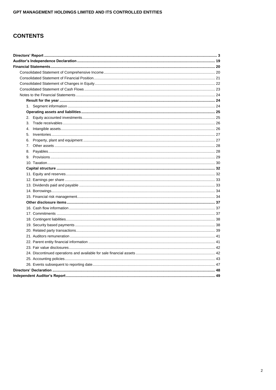# **CONTENTS**

| 1.             |  |
|----------------|--|
|                |  |
| 2.             |  |
| 3.             |  |
| 4 <sup>1</sup> |  |
| 5.             |  |
| 6.             |  |
|                |  |
|                |  |
|                |  |
|                |  |
|                |  |
|                |  |
|                |  |
|                |  |
|                |  |
|                |  |
|                |  |
|                |  |
|                |  |
|                |  |
|                |  |
|                |  |
|                |  |
|                |  |
|                |  |
|                |  |
|                |  |
|                |  |
|                |  |
|                |  |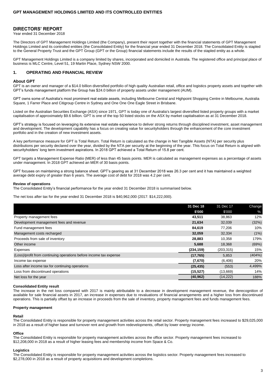### **DIRECTORS' REPORT**

Year ended 31 December 2018

The Directors of GPT Management Holdings Limited (the Company), present their report together with the financial statements of GPT Management Holdings Limited and its controlled entities (the Consolidated Entity) for the financial year ended 31 December 2018. The Consolidated Entity is stapled to the General Property Trust and the GPT Group (GPT or the Group) financial statements include the results of the stapled entity as a whole.

GPT Management Holdings Limited is a company limited by shares, incorporated and domiciled in Australia. The registered office and principal place of business is MLC Centre, Level 51, 19 Martin Place, Sydney NSW 2000.

### **1. OPERATING AND FINANCIAL REVIEW**

#### **About GPT**

GPT is an owner and manager of a \$14.0 billion diversified portfolio of high quality Australian retail, office and logistics property assets and together with GPT's funds management platform the Group has \$24.0 billion of property assets under management (AUM).

GPT owns some of Australia's most prominent real estate assets, including Melbourne Central and Highpoint Shopping Centre in Melbourne, Australia Square, 1 Farrer Place and Citigroup Centre in Sydney and One One One Eagle Street in Brisbane.

Listed on the Australian Securities Exchange (ASX) since 1971, GPT is today one of Australia's largest diversified listed property groups with a market capitalisation of approximately \$9.6 billion. GPT is one of the top 50 listed stocks on the ASX by market capitalisation as at 31 December 2018.

GPT's strategy is focused on leveraging its extensive real estate experience to deliver strong returns through disciplined investment, asset management and development. The development capability has a focus on creating value for securityholders through the enhancement of the core investment portfolio and in the creation of new investment assets.

A key performance measure for GPT is Total Return. Total Return is calculated as the change in Net Tangible Assets (NTA) per security plus distributions per security declared over the year, divided by the NTA per security at the beginning of the year. This focus on Total Return is aligned with securityholders' long term investment aspirations. In 2018 GPT achieved a Total Return of 15.8 per cent.

GPT targets a Management Expense Ratio (MER) of less than 45 basis points. MER is calculated as management expenses as a percentage of assets under management. In 2018 GPT achieved an MER of 30 basis points.

GPT focuses on maintaining a strong balance sheet. GPT's gearing as at 31 December 2018 was 26.3 per cent and it has maintained a weighted average debt expiry of greater than 6 years. The average cost of debt for 2018 was 4.2 per cent.

#### **Review of operations**

The Consolidated Entity's financial performance for the year ended 31 December 2018 is summarised below.

The net loss after tax for the year ended 31 December 2018 is \$40,962,000 (2017: \$14,222,000).

|                                                                    | 31 Dec 18  | 31 Dec 17  | Change        |
|--------------------------------------------------------------------|------------|------------|---------------|
|                                                                    | \$'000     | \$'000     | $\frac{9}{6}$ |
| Property management fees                                           | 43,511     | 38,863     | 12%           |
| Development management fees and revenue                            | 21,634     | 32,039     | (32%)         |
| Fund management fees                                               | 84,619     | 77,206     | 10%           |
| Management costs recharged                                         | 32,059     | 32,334     | (1%)          |
| Proceeds from sale of inventory                                    | 28,883     | 10,358     | 179%          |
| Other income                                                       | 5,688      | 18,368     | (69%)         |
| Expenses                                                           | (234, 159) | (203, 315) | 15%           |
| (Loss)/profit from continuing operations before income tax expense | (17, 765)  | 5,853      | (404%)        |
| Income tax expense                                                 | (7,670)    | (6, 406)   | 20%           |
| Loss after income tax for continuing operations                    | (25, 435)  | (553)      | 4,499%        |
| Loss from discontinued operations                                  | (15, 527)  | (13,669)   | 14%           |
| Net loss for the year                                              | (40, 962)  | (14, 222)  | 188%          |

#### **Consolidated Entity result**

The increase in the net loss compared with 2017 is mainly attributable to a decrease in development management revenue, the derecognition of available for sale financial assets in 2017, an increase in expenses due to revaluations of financial arrangements and a higher loss from discontinued operations. This is partially offset by an increase in proceeds from the sale of inventory, property management fees and funds management fees.

#### **Property management**

#### **Retail**

The Consolidated Entity is responsible for property management activities across the retail sector. Property management fees increased to \$29,025,000 in 2018 as a result of higher base and turnover rent and growth from redevelopments, offset by lower energy income.

#### **Office**

The Consolidated Entity is responsible for property management activities across the office sector. Property management fees increased to \$12,208,000 in 2018 as a result of higher leasing fees and membership income from Space & Co.

#### **Logistics**

The Consolidated Entity is responsible for property management activities across the logistics sector. Property management fees increased to \$2,278,000 in 2018 as a result of property acquisitions and development completions.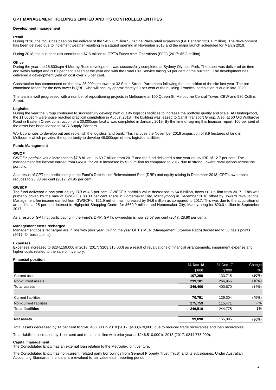#### **Development management**

#### **Retail**

During 2018, the focus has been on the delivery of the \$432.0 million Sunshine Plaza retail expansion (GPT share: \$216.0 million). The development has been delayed due to inclement weather resulting in a staged opening in November 2018 and the major launch scheduled for March 2019.

During 2018, the business unit contributed \$7.6 million to GPT's Funds from Operations (FFO) (2017: \$5.3 million).

#### **Office**

During the year the 15,800sqm 4 Murray Rose development was successfully completed at Sydney Olympic Park. The asset was delivered on time and within budget and is 81 per cent leased at the year end with the Rural Fire Service taking 59 per cent of the building. The development has delivered a development yield on cost over 7.5 per cent.

Construction has commenced on the new 26,000sqm tower at 32 Smith Street, Parramatta following the acquisition of the site last year. The precommitted tenant for the new tower is QBE, who will occupy approximately 50 per cent of the building. Practical completion is due in late 2020.

The team is well progressed with a number of repositioning projects in Melbourne at 100 Queen St, Melbourne Central Tower, CBW and 530 Collins **Street** 

#### **Logistics**

During the year the Group continued to successfully develop high quality logistics facilities to increase the portfolio quality and scale. At Huntingwood, the 11,000sqm warehouse reached practical completion in August 2018. The building was leased to Cahill Transport Group. Also, at 50 Old Wallgrove Road in Eastern Creek construction of a 30,000sqm facility was completed in January 2019. By the time of signing this financial report, 100 per cent of the asset has been leased to ACR Supply Partners.

Work continues to develop out and replenish the logistics land bank. This includes the November 2018 acquisition of 8.9 hectares of land in Melbourne which provides the opportunity to develop 48,000sqm of new logistics facilities.

#### **Funds Management**

#### **GWOF**

GWOF's portfolio value increased to \$7.8 billion, up \$0.7 billion from 2017 and the fund delivered a one year equity IRR of 12.7 per cent. The management fee income earned from GWOF for 2018 increased by \$2.9 million as compared to 2017 due to strong upward revaluations across the portfolio.

As a result of GPT not participating in the Fund's Distribution Reinvestment Plan (DRP) and equity raising in December 2018, GPT's ownership reduces to 23.83 per cent (2017: 24.95 per cent).

#### **GWSCF**

The fund delivered a one year equity IRR of 4.8 per cent. GWSCF's portfolio value decreased to \$4.8 billion, down \$0.1 billion from 2017. This was primarily driven by the sale of GWSCF's 83.33 per cent share in Homemaker City, Maribyrnong in December 2018 offset by upward revaluations. Management fee income earned from GWSCF of \$21.9 million has increased by \$4.6 million as compared to 2017. This was due to the acquisition of an additional 25 per cent interest in Highpoint Shopping Centre for \$660.0 million and Homemaker City, Maribyrnong for \$20.0 million in September 2017.

As a result of GPT not participating in the Fund's DRP, GPT's ownership is now 28.57 per cent (2017: 28.80 per cent).

#### **Management costs recharged**

Management costs recharged are in line with prior year. During the year GPT's MER (Management Expense Ratio) decreased to 30 basis points (2017: 34 basis points).

#### **Expenses**

Expenses increased to \$234,159,000 in 2018 (2017: \$203,315,000) as a result of revaluations of financial arrangements, impairment expense and higher costs related to the sale of inventory.

#### **Financial position**

|                            | 31 Dec 18 | 31 Dec 17 | Change |
|----------------------------|-----------|-----------|--------|
|                            | \$'000    | \$'000    | $\%$   |
| Current assets             | 107,299   | 133,715   | (20%)  |
| Non-current assets         | 239,101   | 266,955   | (10%)  |
| <b>Total assets</b>        | 346,400   | 400,670   | (14%)  |
|                            |           |           |        |
| <b>Current liabilities</b> | 70,751    | 129,304   | (45%)  |
| Non-current liabilities    | 175,759   | 115,471   | 52%    |
| <b>Total liabilities</b>   | 246,510   | 244,775   | 1%     |
|                            |           |           |        |
| <b>Net assets</b>          | 99,890    | 155,895   | (36%)  |
|                            |           |           |        |

Total assets decreased by 14 per cent to \$346,400,000 in 2018 (2017: \$400,670,000) due to reduced trade receivables and loan receivables.

Total liabilities increased by 1 per cent and remains in line with prior year at \$246,510,000 in 2018 (2017: \$244,775,000).

#### **Capital management**

The Consolidated Entity has an external loan relating to the Metroplex joint venture.

The Consolidated Entity has non-current, related party borrowings from General Property Trust (Trust) and its subsidiaries. Under Australian Accounting Standards, the loans are revalued to fair value each reporting period.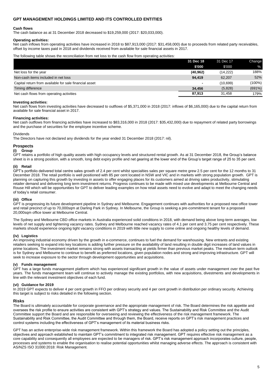#### **Cash flows**

The cash balance as at 31 December 2018 decreased to \$19,259,000 (2017: \$20,033,000).

#### **Operating activities:**

Net cash inflows from operating activities have increased in 2018 to \$87,913,000 (2017: \$31,458,000) due to proceeds from related party receivables, offset by income taxes paid in 2018 and dividends received from available for sale financial assets in 2017.

The following table shows the reconciliation from net loss to the cash flow from operating activities:

|                                                        | 31 Dec 18 | 31 Dec 17 | Change |
|--------------------------------------------------------|-----------|-----------|--------|
|                                                        | \$'000    | \$'000    | $\%$   |
| Net loss for the year                                  | (40, 962) | (14, 222) | 188%   |
| Non-cash items included in net loss                    | 94,419    | 62,207    | 52%    |
| Capital return from available for sale financial asset |           | (10,699)  | (100%) |
| Timing difference                                      | 34,456    | (5,828)   | (691%) |
| Net cash flows from operating activities               | 87.913    | 31.458    | 179%   |

#### **Investing activities:**

Net cash flows from investing activities have decreased to outflows of \$5,371,000 in 2018 (2017: inflows of \$6,165,000) due to the capital return from available for sale financial asset in 2017.

#### **Financing activities:**

Net cash outflows from financing activities have increased to \$83,316,000 in 2018 (2017: \$35,432,000) due to repayment of related party borrowings and the purchase of securities for the employee incentive scheme.

### Dividends

The Directors have not declared any dividends for the year ended 31 December 2018 (2017: nil).

#### **Prospects**

#### **(i) Group**

GPT retains a portfolio of high quality assets with high occupancy levels and structured rental growth. As at 31 December 2018, the Group's balance sheet is in a strong position, with a smooth, long debt expiry profile and net gearing at the lower end of the Group's target range of 25 to 35 per cent.

# **(ii) Retail**

GPT's portfolio delivered total centre sales growth of 2.4 per cent whilst specialties sales per square metre grew 2.5 per cent for the 12 months to 31 December 2018. The retail portfolio is well positioned with 85 per cent located in NSW and VIC and in markets with strong population growth. GPT is planning on capturing this growth by investing in assets to offer engaging places for its customers aimed at driving sales productivity, stimulating retailer demand and delivering long term investment returns. Progress continues to be made with mixed use developments at Melbourne Central and Rouse Hill which will be opportunities for GPT to deliver leading examples on how retail assets need to evolve and adapt to meet the changing needs of today's retail consumer.

### **(iii) Office**

GPT is progressing its future development pipeline in Sydney and Melbourne. Engagement continues with authorities for a proposed new office tower and retail precinct of up to 70,000sqm at Darling Park in Sydney. In Melbourne, the Group is seeking a pre-commitment tenant for a proposed 20,000sqm office tower at Melbourne Central.

The Sydney and Melbourne CBD office markets in Australia experienced solid conditions in 2018, with demand being above long-term averages, low levels of net supply and tightening vacancy rates. Sydney and Melbourne reached vacancy rates of 4.1 per cent and 3.75 per cent respectively. These markets should experience ongoing tight vacancy conditions in 2019 with little new supply to come online and ongoing healthy levels of demand.

#### **(iv) Logistics**

An improving industrial economy driven by the growth in e-commerce, continues to fuel the demand for warehousing. New entrants and existing retailers seeking to expand into key locations is adding further pressure on the availability of land resulting in double digit increases of land values in prime locations. The investment market remains strong with assets transacting at yields firmer than previous market peaks. The medium term outlook is for Sydney and Melbourne to continue to benefit as preferred locations, given population nodes and strong and improving infrastructure. GPT will seek to increase exposure to the sector through development opportunities and acquisitions.

### **(v) Funds management**

GPT has a large funds management platform which has experienced significant growth in the value of assets under management over the past five years. The funds management team will continue to actively manage the existing portfolios, with new acquisitions, divestments and developments in line with the relevant investment objectives of each fund.

#### **(vi) Guidance for 2019**

In 2019 GPT expects to deliver 4 per cent growth in FFO per ordinary security and 4 per cent growth in distribution per ordinary security. Achieving this target is subject to risks detailed in the following section.

#### **Risks**

The Board is ultimately accountable for corporate governance and the appropriate management of risk. The Board determines the risk appetite and oversees the risk profile to ensure activities are consistent with GPT's strategy and values. The Sustainability and Risk Committee and the Audit Committee support the Board and are responsible for overseeing and reviewing the effectiveness of the risk management framework. The Sustainability and Risk Committee, the Audit Committee and through them, the Board, receive reports on GPT's risk management practices and control systems including the effectiveness of GPT's management of its material business risks.

GPT has an active enterprise-wide risk management framework. Within this framework the Board has adopted a policy setting out the principles, objectives and approach established to maintain GPT's commitment to integrated risk management. GPT requires effective risk management as a core capability and consequently all employees are expected to be managers of risk. GPT's risk management approach incorporates culture, people, processes and systems to enable the organisation to realise potential opportunities whilst managing adverse effects. The approach is consistent with AS/NZS ISO 31000:2018: Risk Management.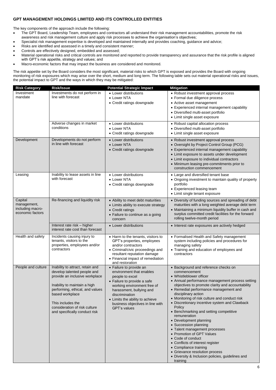The key components of the approach include the following:

- The GPT Board, Leadership Team, employees and contractors all understand their risk management accountabilities, promote the risk
- awareness and risk management culture and apply risk processes to achieve the organisation's objectives; • Specialist risk management expertise is developed and maintained internally and provides coaching, guidance and advice;
- Risks are identified and assessed in a timely and consistent manner;
- Controls are effectively designed, embedded and assessed;
- Material operational risks and critical controls are monitored and reported to provide transparency and assurance that the risk profile is aligned with GPT's risk appetite, strategy and values; and
- Macro-economic factors that may impact the business are considered and monitored.

The risk appetite set by the Board considers the most significant, material risks to which GPT is exposed and provides the Board with ongoing monitoring of risk exposures which may arise over the short, medium and long term. The following table sets out material operational risks and issues, the potential impact to GPT and the ways in which they may be mitigated:

| <b>Risk Category</b>                                           | <b>Risk/Issue</b>                                                                                                                                                                                                                                                              | <b>Potential Strategic Impact</b>                                                                                                                                                                                                                                                | <b>Mitigation</b>                                                                                                                                                                                                                                                                                                                                                                                                                                                                                                                                                                                                                                                                                                                 |
|----------------------------------------------------------------|--------------------------------------------------------------------------------------------------------------------------------------------------------------------------------------------------------------------------------------------------------------------------------|----------------------------------------------------------------------------------------------------------------------------------------------------------------------------------------------------------------------------------------------------------------------------------|-----------------------------------------------------------------------------------------------------------------------------------------------------------------------------------------------------------------------------------------------------------------------------------------------------------------------------------------------------------------------------------------------------------------------------------------------------------------------------------------------------------------------------------------------------------------------------------------------------------------------------------------------------------------------------------------------------------------------------------|
| Investment<br>mandate                                          | Investments do not perform in<br>line with forecast<br>Adverse changes in market                                                                                                                                                                                               | • Lower distributions<br>• Lower NTA<br>• Credit ratings downgrade<br>• Lower distributions                                                                                                                                                                                      | • Robust investment approval process<br>• Formal due diligence process<br>• Active asset management<br>• Experienced internal management capability<br>• Diversified multi-asset portfolio<br>• Limit single asset exposure<br>• Robust capital allocation process                                                                                                                                                                                                                                                                                                                                                                                                                                                                |
|                                                                | conditions                                                                                                                                                                                                                                                                     | $\bullet$ Lower NTA<br>• Credit ratings downgrade                                                                                                                                                                                                                                | • Diversified multi-asset portfolio<br>• Limit single asset exposure                                                                                                                                                                                                                                                                                                                                                                                                                                                                                                                                                                                                                                                              |
| Development                                                    | Developments do not perform<br>in line with forecast                                                                                                                                                                                                                           | • Lower distributions<br>• Lower NTA<br>• Credit ratings downgrade                                                                                                                                                                                                               | • Robust investment approval process<br>• Oversight by Project Control Group (PCG)<br>• Experienced internal management capability<br>• Limit exposure to assets under development<br>• Limit exposure to individual contractors<br>• Minimum leasing pre-commitments prior to<br>construction commencement                                                                                                                                                                                                                                                                                                                                                                                                                       |
| Leasing                                                        | Inability to lease assets in line<br>with forecast                                                                                                                                                                                                                             | • Lower distributions<br>• Lower NTA<br>• Credit ratings downgrade                                                                                                                                                                                                               | • Large and diversified tenant base<br>• Ongoing investment to maintain quality of property<br>portfolio<br>• Experienced leasing team<br>• Limit single tenant exposure                                                                                                                                                                                                                                                                                                                                                                                                                                                                                                                                                          |
| Capital<br>management,<br>including macro-<br>economic factors | Re-financing and liquidity risk                                                                                                                                                                                                                                                | • Ability to meet debt maturities<br>• Limits ability to execute strategy<br>• Credit ratings<br>• Failure to continue as a going<br>concern                                                                                                                                     | • Diversity of funding sources and spreading of debt<br>maturities with a long weighted average debt term<br>• Maintaining a minimum liquidity buffer in cash and<br>surplus committed credit facilities for the forward<br>rolling twelve-month period                                                                                                                                                                                                                                                                                                                                                                                                                                                                           |
|                                                                | Interest rate risk - higher<br>interest rate cost than forecast                                                                                                                                                                                                                | • Lower distributions                                                                                                                                                                                                                                                            | • Interest rate exposures are actively hedged                                                                                                                                                                                                                                                                                                                                                                                                                                                                                                                                                                                                                                                                                     |
| Health and safety                                              | Incidents causing injury to<br>tenants, visitors to the<br>properties, employees and/or<br>contractors                                                                                                                                                                         | • Harm to the tenants, visitors to<br>GPT's properties, employees<br>and/or contractors<br>• Criminal/civic proceedings and<br>resultant reputation damage<br>• Financial impact of remediation<br>and restoration                                                               | • Formalised Health and Safety management<br>system including policies and procedures for<br>managing safety<br>• Training and education of employees and<br>contractors                                                                                                                                                                                                                                                                                                                                                                                                                                                                                                                                                          |
| People and culture                                             | Inability to attract, retain and<br>develop talented people and<br>provide an inclusive workplace<br>Inability to maintain a high<br>performing, ethical, and values<br>based workplace<br>This includes the<br>consideration of risk culture<br>and specifically conduct risk | • Failure to provide an<br>environment that enables<br>people to excel<br>• Failure to provide a safe<br>working environment free of<br>harassment, bullying and<br>discrimination<br>• Limits the ability to achieve<br>business objectives in line with<br><b>GPT's values</b> | • Background and reference checks on<br>commencement<br>• Whistleblower officer<br>• Annual performance management process setting<br>objectives to promote clarity and accountability<br>• Remedial performance management and<br>disciplinary action<br>• Monitoring of risk culture and conduct risk<br>• Discretionary incentive system and Clawback<br>Policy<br>• Benchmarking and setting competitive<br>remuneration<br>• Development planning<br>• Succession planning<br>• Talent management processes<br>• Promotion of GPT Values<br>• Code of conduct<br>• Conflicts of interest register<br>• Compliance training<br>• Grievance resolution process<br>• Diversity & Inclusion policies, guidelines and<br>training |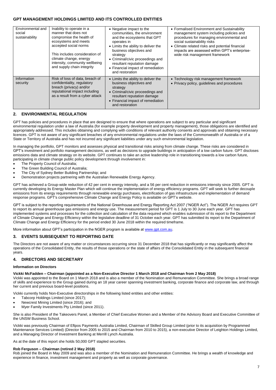| Environmental and<br>social<br>sustainability | Inability to operate in a<br>manner that does not<br>compromise the health of<br>ecosystems and meets<br>accepted social norms<br>This includes consideration of<br>climate change, energy<br>intensity, community wellbeing<br>and supply chain integrity | • Negative impact to the<br>communities, the environment<br>and the ecosystems that GPT<br>operates in<br>• Limits the ability to deliver the<br>business objectives and<br>strategy<br>• Criminal/civic proceedings and<br>resultant reputation damage<br>• Financial impact of remediation<br>and restoration | • Formalised Environment and Sustainability<br>management system including policies and<br>procedures for managing environmental and<br>social sustainability risks<br>• Climate related risks and potential financial<br>impacts are assessed within GPT's enterprise-<br>wide risk management framework |
|-----------------------------------------------|------------------------------------------------------------------------------------------------------------------------------------------------------------------------------------------------------------------------------------------------------------|-----------------------------------------------------------------------------------------------------------------------------------------------------------------------------------------------------------------------------------------------------------------------------------------------------------------|-----------------------------------------------------------------------------------------------------------------------------------------------------------------------------------------------------------------------------------------------------------------------------------------------------------|
| Information<br>security                       | Risk of loss of data, breach of<br>confidentiality, regulatory<br>breach (privacy) and/or<br>reputational impact including<br>as a result from a cyber attack                                                                                              | • Limits the ability to deliver the<br>business objectives and<br>strategy<br>• Criminal/civic proceedings and<br>resultant reputation damage<br>• Financial impact of remediation<br>and restoration                                                                                                           | • Technology risk management framework<br>• Privacy policy, quidelines and procedures                                                                                                                                                                                                                     |

### **2. ENVIRONMENTAL REGULATION**

GPT has policies and procedures in place that are designed to ensure that where operations are subject to any particular and significant environmental regulation under a law of Australia (for example property development and property management), those obligations are identified and appropriately addressed. This includes obtaining and complying with conditions of relevant authority consents and approvals and obtaining necessary licences. GPT is not aware of any significant breaches of any environmental regulations under the laws of the Commonwealth of Australia or of a State or Territory of Australia and has not incurred any significant liabilities under any such environmental legislation.

In managing the portfolio, GPT monitors and assesses physical and transitional risks arising from climate change. These risks are considered in GPT's investment and portfolio management decisions, as well as decisions to upgrade buildings in anticipation of a low carbon future. GPT discloses emissions data and climate strategy on its website. GPT continues to take an active leadership role in transitioning towards a low carbon future, participating in climate change public policy development through involvement in:

- The Property Council of Australia:
- The Green Building Council of Australia;
- The City of Sydney Better Building Partnership; and
- Demonstration projects partnering with the Australian Renewable Energy Agency.

GPT has achieved a Group-wide reduction of 42 per cent in energy intensity, and a 56 per cent reduction in emissions intensity since 2005. GPT is currently developing its Energy Master Plan which will continue the implementation of energy efficiency programs. GPT will seek to further decouple emissions from its energy requirements through renewable energy purchases, electrification of gas infrastructure and implementation of demand response programs. GPT's comprehensive Climate Change and Energy Policy is available on GPT's website.

GPT is subject to the reporting requirements of the National Greenhouse and Energy Reporting Act 2007 ("NGER Act"). The NGER Act requires GPT to report its annual greenhouse gas emissions and energy use. The measurement period for GPT is 1 July to 30 June each year. GPT has implemented systems and processes for the collection and calculation of the data required which enables submission of its report to the Department of Climate Change and Energy Efficiency within the legislative deadline of 31 October each year. GPT has submitted its report to the Department of Climate Change and Energy Efficiency for the period ended 30 June 2018 within the required timeframe.

More information about GPT's participation in the NGER program is available a[t www.gpt.com.au.](http://www.gpt.com.au/)

### **3. EVENTS SUBSEQUENT TO REPORTING DATE**

The Directors are not aware of any matter or circumstances occurring since 31 December 2018 that has significantly or may significantly affect the operations of the Consolidated Entity, the results of those operations or the state of affairs of the Consolidated Entity in the subsequent financial years.

### **4. DIRECTORS AND SECRETARY**

### **Information on Directors**

#### **Vickki McFadden – Chairman (appointed as a Non-Executive Director 1 March 2018 and Chairman from 2 May 2018)**

Vickki was appointed to the Board on 1 March 2018 and is also a member of the Nomination and Remuneration Committee. She brings a broad range of skills and experience to the Group gained during an 18 year career spanning investment banking, corporate finance and corporate law, and through her current and previous board-level positions.

Vickki currently holds Non-Executive directorships in the following listed entities and other entities:

- Tabcorp Holdings Limited (since 2017);
- Newcrest Mining Limited (since 2016); and
- Myer Family Investments Pty Limited (since 2011).

She is also President of the Takeovers Panel, a Member of Chief Executive Women and a Member of the Advisory Board and Executive Committee of the UNSW Business School.

Vickki was previously Chairman of Eftpos Payments Australia Limited, Chairman of Skilled Group Limited (prior to its acquisition by Programmed Maintenance Services Limited) (Director from 2005 to 2015 and Chairman from 2010 to 2015), a non-executive Director of Leighton Holdings Limited, and a Managing Director of Investment Banking at Merrill Lynch Australia.

As at the date of this report she holds 50,000 GPT stapled securities.

#### **Rob Ferguson – Chairman (retired 2 May 2018)**

Rob joined the Board in May 2009 and was also a member of the Nomination and Remuneration Committee. He brings a wealth of knowledge and experience in finance, investment management and property as well as corporate governance.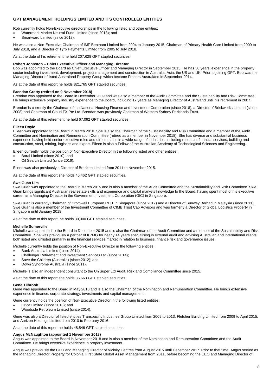Rob currently holds Non-Executive directorships in the following listed and other entities:

- Watermark Market Neutral Fund Limited (since 2013); and
- Smartward Limited (since 2012).

He was also a Non-Executive Chairman of IMF Bentham Limited from 2004 to January 2015, Chairman of Primary Health Care Limited from 2009 to July 2018, and a Director of Tyro Payments Limited from 2005 to July 2018.

As at the date of his retirement he held 207,628 GPT stapled securities.

#### **Robert Johnston – Chief Executive Officer and Managing Director**

Bob was appointed to the Board as Chief Executive Officer and Managing Director in September 2015. He has 30 years' experience in the property sector including investment, development, project management and construction in Australia, Asia, the US and UK. Prior to joining GPT, Bob was the Managing Director of listed Australand Property Group which became Frasers Australand in September 2014.

As at the date of this report he holds 821,765 GPT stapled securities.

#### **Brendan Crotty (retired on 9 November 2018)**

Brendan was appointed to the Board in December 2009 and was also a member of the Audit Committee and the Sustainability and Risk Committee. He brings extensive property industry experience to the Board, including 17 years as Managing Director of Australand until his retirement in 2007.

Brendan is currently the Chairman of the National Housing Finance and Investment Corporation (since 2018), a Director of Brickworks Limited (since 2008) and Chairman of Cloud FX Pte Ltd. Brendan was previously Chairman of Western Sydney Parklands Trust.

As at the date of this retirement he held 67,092 GPT stapled securities.

#### **Eileen Doyle**

Eileen was appointed to the Board in March 2010. She is also the Chairman of the Sustainability and Risk Committee and a member of the Audit Committee and Nomination and Remuneration Committee (retired as a member in November 2018). She has diverse and substantial business experience having held senior executive roles and directorships in a wide range of industries, including research, financial services, building and construction, steel, mining, logistics and export. Eileen is also a Fellow of the Australian Academy of Technological Sciences and Engineering.

Eileen currently holds the position of Non-Executive Director in the following listed and other entities:

- Boral Limited (since 2010); and
- Oil Search Limited (since 2016).

Eileen was also previously a Director of Bradken Limited from 2011 to November 2015.

As at the date of this report she holds 45,462 GPT stapled securities.

#### **Swe Guan Lim**

Swe Guan was appointed to the Board in March 2015 and is also a member of the Audit Committee and the Sustainability and Risk Committee. Swe Guan brings significant Australian real estate skills and experience and capital markets knowledge to the Board, having spent most of his executive career as a Managing Director in the Government Investment Corporation (GIC) in Singapore.

Swe Guan is currently Chairman of Cromwell European REIT in Singapore (since 2017) and a Director of Sunway Berhad in Malaysia (since 2011). Swe Guan is also a member of the Investment Committee of CIMB Trust Cap Advisors and was formerly a Director of Global Logistics Property in Singapore until January 2018.

As at the date of this report, he holds 39,000 GPT stapled securities.

#### **Michelle Somerville**

Michelle was appointed to the Board in December 2015 and is also the Chairman of the Audit Committee and a member of the Sustainability and Risk Committee. She was previously a partner of KPMG for nearly 14 years specialising in external audit and advising Australian and international clients both listed and unlisted primarily in the financial services market in relation to business, finance risk and governance issues.

Michelle currently holds the position of Non-Executive Director in the following entities:

- Bank Australia Limited (since 2014);
- Challenger Retirement and Investment Services Ltd (since 2014);
- Save the Children (Australia) (since 2012); and
- Down Syndrome Australia (since 2011).

Michelle is also an independent consultant to the UniSuper Ltd Audit, Risk and Compliance Committee since 2015.

As at the date of this report she holds 36,663 GPT stapled securities.

### **Gene Tilbrook**

Gene was appointed to the Board in May 2010 and is also the Chairman of the Nomination and Remuneration Committee. He brings extensive experience in finance, corporate strategy, investments and capital management.

Gene currently holds the position of Non-Executive Director in the following listed entities:

- Orica Limited (since 2013); and
- Woodside Petroleum Limited (since 2014).

Gene was also a Director of listed entities Transpacific Industries Group Limited from 2009 to 2013, Fletcher Building Limited from 2009 to April 2015, and Aurizon Holdings Limited from 2010 to February 2016.

As at the date of this report he holds 48,546 GPT stapled securities.

### **Angus McNaughton (appointed 1 November 2018)**

Angus was appointed to the Board in November 2018 and is also a member of the Nomination and Remuneration Committee and the Audit Committee. He brings extensive experience in property investment.

Angus was previously the CEO and Managing Director of Vicinity Centres from August 2015 until December 2017. Prior to that time, Angus served as the Managing Director Property for Colonial First State Global Asset Management from 2011, before becoming the CEO and Managing Director of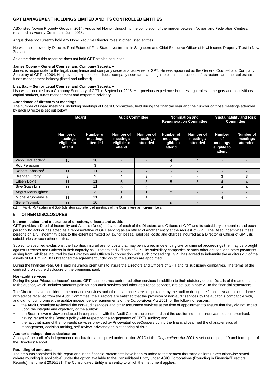ASX-listed Novion Property Group in 2014. Angus led Novion through to the completion of the merger between Novion and Federation Centres, renamed as Vicinity Centres, in June 2015.

Angus does not currently hold any Non-Executive Director roles in other listed entities.

He was also previously Director, Real Estate of First State Investments in Singapore and Chief Executive Officer of Kiwi Income Property Trust in New Zealand.

As at the date of this report he does not hold GPT stapled securities.

#### **James Coyne – General Counsel and Company Secretary**

James is responsible for the legal, compliance and company secretarial activities of GPT. He was appointed as the General Counsel and Company Secretary of GPT in 2004. His previous experience includes company secretarial and legal roles in construction, infrastructure, and the real estate funds management industry (listed and unlisted).

### **Lisa Bau – Senior Legal Counsel and Company Secretary**

Lisa was appointed as a Company Secretary of GPT in September 2015. Her previous experience includes legal roles in mergers and acquisitions, capital markets, funds management and corporate advisory.

### **Attendance of directors at meetings**

The number of Board meetings, including meetings of Board Committees, held during the financial year and the number of those meetings attended by each Director is set out below:

|                              | <b>Board</b>                                   |                                   | <b>Audit Committee</b>                         |                                   | <b>Nomination and</b><br><b>Remuneration Committee</b> |                                          | <b>Sustainability and Risk</b><br><b>Committee</b>       |                                          |
|------------------------------|------------------------------------------------|-----------------------------------|------------------------------------------------|-----------------------------------|--------------------------------------------------------|------------------------------------------|----------------------------------------------------------|------------------------------------------|
|                              | Number of<br>meetings<br>eligible to<br>attend | Number of<br>meetings<br>attended | Number of<br>meetings<br>eligible to<br>attend | Number of<br>meetings<br>attended | Number of<br>meetings<br>eligible to<br>attend         | <b>Number of</b><br>meetings<br>attended | <b>Number</b><br>of<br>meetings<br>eligible to<br>attend | <b>Number of</b><br>meetings<br>attended |
| Vickki McFadden <sup>1</sup> | 10                                             | 10                                |                                                | -                                 | 4                                                      | 4                                        |                                                          |                                          |
| Rob Ferguson                 | 3                                              | 3                                 | $\overline{\phantom{a}}$                       | $\overline{\phantom{a}}$          | $\overline{2}$                                         | 2                                        | ۰                                                        | ۰                                        |
| Robert Johnston <sup>1</sup> | 11                                             | 11                                | $\overline{\phantom{0}}$                       | $\overline{\phantom{0}}$          |                                                        |                                          | -                                                        |                                          |
| <b>Brendan Crotty</b>        | 9                                              | 9                                 | 4                                              | 3                                 | ۰                                                      | -                                        | 3                                                        | 3                                        |
| Eileen Doyle                 | 11                                             | 11                                | 5                                              | 3                                 | 5                                                      | 5                                        | 4                                                        |                                          |
| Swe Guan Lim                 | 11                                             | 11                                | 5                                              | 5                                 |                                                        |                                          | 4                                                        |                                          |
| Angus McNaughton             | 3                                              | 3                                 |                                                |                                   | $\overline{2}$                                         | 2                                        | -                                                        |                                          |
| Michelle Somerville          | 11                                             | 11                                | 5                                              | 5                                 |                                                        |                                          | 4                                                        | 4                                        |
| Gene Tilbrook                | 11                                             | 10                                |                                                | -                                 | 6                                                      | 6                                        | $\overline{\phantom{0}}$                                 |                                          |

 $(1)$  Vickki McFadden and Bob Johnston also attended meetings of the Committees as non-members.

### **5. OTHER DISCLOSURES**

#### **Indemnification and insurance of directors, officers and auditor**

GPT provides a Deed of Indemnity and Access (Deed) in favour of each of the Directors and Officers of GPT and its subsidiary companies and each person who acts or has acted as a representative of GPT serving as an officer of another entity at the request of GPT. The Deed indemnifies these persons on a full indemnity basis to the extent permitted by law for losses, liabilities, costs and charges incurred as a Director or Officer of GPT, its subsidiaries or such other entities.

Subject to specified exclusions, the liabilities insured are for costs that may be incurred in defending civil or criminal proceedings that may be brought against Directors and Officers in their capacity as Directors and Officers of GPT, its subsidiary companies or such other entities, and other payments arising from liabilities incurred by the Directors and Officers in connection with such proceedings. GPT has agreed to indemnify the auditors out of the assets of GPT if GPT has breached the agreement under which the auditors are appointed.

During the financial year, GPT paid insurance premiums to insure the Directors and Officers of GPT and its subsidiary companies. The terms of the contract prohibit the disclosure of the premiums paid.

### **Non-audit services**

During the year PricewaterhouseCoopers, GPT's auditor, has performed other services in addition to their statutory duties. Details of the amounts paid to the auditor, which includes amounts paid for non-audit services and other assurance services, are set out in note 21 to the financial statements.

The Directors have considered the non-audit services and other assurance services provided by the auditor during the financial year. In accordance with advice received from the Audit Committee, the Directors are satisfied that the provision of non-audit services by the auditor is compatible with, and did not compromise, the auditor independence requirements of the *Corporations Act 2001* for the following reasons:

- the Audit Committee reviewed the non-audit services and other assurance services at the time of appointment to ensure that they did not impact upon the integrity and objectivity of the auditor;
- the Board's own review conducted in conjunction with the Audit Committee concluded that the auditor independence was not compromised, having regard to the Board's policy with respect to the engagement of GPT's auditor; and
- the fact that none of the non-audit services provided by PricewaterhouseCoopers during the financial year had the characteristics of management, decision-making, self-review, advocacy or joint sharing of risks.

#### **Auditor's independence declaration**

A copy of the auditor's independence declaration as required under section 307C of the *Corporations Act 2001* is set out on page 19 and forms part of the Directors' Report.

#### **Rounding of amounts**

The amounts contained in this report and in the financial statements have been rounded to the nearest thousand dollars unless otherwise stated (where rounding is applicable) under the option available to the Consolidated Entity under ASIC Corporations (Rounding in Financial/Directors' Reports) Instrument 2016/191. The Consolidated Entity is an entity to which the Instrument applies.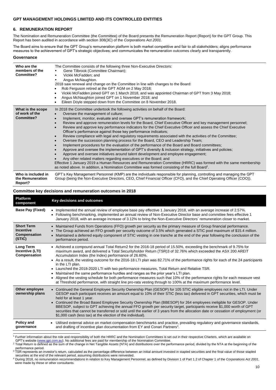### **6. REMUNERATION REPORT**

The Nomination and Remuneration Committee (the Committee) of the Board presents the Remuneration Report (Report) for the GPT Group. This Report has been audited in accordance with section 308(3C) of the *Corporations Act 2001.*

The Board aims to ensure that the GPT Group's remuneration platform is both market competitive and fair to all stakeholders; aligns performance measures to the achievement of GPT's strategic objectives; and communicates the remuneration outcomes clearly and transparently.

#### **Governance**

 $\overline{a}$ 

| Who are the<br>members of the<br>Committee?       | The Committee consists of the following three Non-Executive Directors:<br>Gene Tilbrook (Committee Chairman);<br>Vickki McFadden; and<br>Angus McNaughton.<br>2018 saw renewal and change on the Committee in line with changes to the Board:<br>Rob Ferguson retired at the GPT AGM on 2 May 2018;<br>$\bullet$<br>Vickki McFadden joined GPT on 1 March 2018, and was appointed Chairman of GPT from 3 May 2018;<br>$\bullet$<br>Angus McNaughton joined GPT on 1 November 2018; and<br>Eileen Doyle stepped down from the Committee on 8 November 2018.                                                                                                                                                                                                                                                                                                                                                                                                                                                                                                                                                                                                                                                                                                                                                                             |
|---------------------------------------------------|----------------------------------------------------------------------------------------------------------------------------------------------------------------------------------------------------------------------------------------------------------------------------------------------------------------------------------------------------------------------------------------------------------------------------------------------------------------------------------------------------------------------------------------------------------------------------------------------------------------------------------------------------------------------------------------------------------------------------------------------------------------------------------------------------------------------------------------------------------------------------------------------------------------------------------------------------------------------------------------------------------------------------------------------------------------------------------------------------------------------------------------------------------------------------------------------------------------------------------------------------------------------------------------------------------------------------------------|
| What is the scope<br>of work of the<br>Committee? | In 2018 the Committee undertook the following activities on behalf of the Board:<br>Oversee the management of culture;<br>Implement, monitor, evaluate and oversee GPT's remuneration framework;<br>Review and approve remuneration levels for the Board, Chief Executive Officer and key management personnel;<br>$\bullet$<br>Review and approve key performance indicators for the Chief Executive Officer and assess the Chief Executive<br>Officer's performance against those key performance indicators;<br>Review compliance with legal and regulatory requirements associated with the activities of the Committee;<br>$\bullet$<br>Oversee the succession planning process for the Board, CEO and Leadership Team;<br>Implement procedures for the evaluation of the performance of the Board and Board committees;<br>Approve and oversee the implementation of GPT's diversity & inclusion strategy, initiatives and policies;<br>Approve and oversee initiatives around talent development and employee engagement;<br>Any other related matters regarding executives or the Board; and<br>Effective 1 January 2019 a Human Resources and Remuneration Committee (HRRC) was formed with the same membership<br>as noted above. In addition, a Nomination Committee was formed consisting of the full Board <sup>1</sup> . |
| Who is included in<br>the Remuneration<br>Report? | GPT's Key Management Personnel (KMP) are the individuals responsible for planning, controlling and managing the GPT<br>Group (being the Non-Executive Directors, CEO, Chief Financial Officer (CFO), and the Chief Operating Officer (COO)).                                                                                                                                                                                                                                                                                                                                                                                                                                                                                                                                                                                                                                                                                                                                                                                                                                                                                                                                                                                                                                                                                           |

#### **Committee key decisions and remuneration outcomes in 2018**

| <b>Platform</b><br>component                                    | Key decisions and outcomes                                                                                                                                                                                                                                                                                                                                                                                                                                                                                                                                                                                                                                                                                                                                                                                                                                                                         |
|-----------------------------------------------------------------|----------------------------------------------------------------------------------------------------------------------------------------------------------------------------------------------------------------------------------------------------------------------------------------------------------------------------------------------------------------------------------------------------------------------------------------------------------------------------------------------------------------------------------------------------------------------------------------------------------------------------------------------------------------------------------------------------------------------------------------------------------------------------------------------------------------------------------------------------------------------------------------------------|
| Base Pay (Fixed)                                                | • Implemented the annual review of employee base pay effective 1 January 2018, with an average increase of 2.57%.<br>• Following benchmarking, implemented an annual review of Non-Executive Director base and committee fees effective 1<br>January 2018, with an average increase of 3.12% to bring the Non-Executive Directors' remuneration closer to market.                                                                                                                                                                                                                                                                                                                                                                                                                                                                                                                                  |
| <b>Short Term</b><br><b>Incentive</b><br>Compensation<br>(STIC) | Maintained Funds from Operations (FFO) growth per security as the primary measure of Group financial performance.<br>$\bullet$<br>The Group achieved an FFO growth per security outcome of 3.5% which generated a STIC pool maximum of \$15.4 million.<br>$\bullet$<br>Maintained a deferred equity component of STIC vesting in one tranche at the end of the year following the conclusion of the<br>$\bullet$<br>performance period.                                                                                                                                                                                                                                                                                                                                                                                                                                                            |
| <b>Long Term</b><br>Incentive (LTI)<br>Compensation             | • Achieved a compound annual Total Return2 for the 2016-18 period of 15.50%, exceeding the benchmark of 9.75% for<br>maximum award, and delivered a Total Securityholder Return (TSR)3 of 32.76% which exceeded the ASX 200 AREIT<br>Accumulation Index (the Index) performance of 26.60%.<br>• As a result, the vesting outcome for the 2016-18 LTI plan was 82.71% of the performance rights for each of the 24 participants<br>in the LTI plan.<br>• Launched the 2018-2020 LTI with two performance measures, Total Return and Relative TSR.<br>Maintained the same performance hurdles and ranges as the prior year's LTI plan.<br>$\bullet$<br>• Aligned the vesting schedule for both performance measures such that 10% of the performance rights for each measure vest<br>at Threshold performance, with straight line pro-rata vesting through to 100% at the maximum performance level. |
| Other employee<br>ownership plans                               | • Continued the General Employee Security Ownership Plan (GESOP) for 105 STIC eligible employees not in the LTI. Under<br>GESOP each participant receives an amount equal to 10% of their STIC (less tax) delivered in GPT securities, which must be<br>held for at least 1 year.<br>• Continued the Broad Based Employee Security Ownership Plan (BBESOP) for 264 employees ineligible for GESOP. Under<br>BBESOP, subject to GPT achieving the annual FFO growth per security target, participants receive \$1,000 worth of GPT<br>securities that cannot be transferred or sold until the earlier of 3 years from the allocation date or cessation of employment (or<br>\$1,000 cash (less tax) at the election of the individual).                                                                                                                                                             |
| Policy and<br>governance                                        | Utilised external advice on market compensation benchmarks and practice, prevailing regulatory and governance standards,<br>٠<br>and drafting of incentive plan documentation from EY and Conari Partners <sup>4</sup> .                                                                                                                                                                                                                                                                                                                                                                                                                                                                                                                                                                                                                                                                           |

<sup>&</sup>lt;sup>1</sup> Further information about the role and responsibility of both the HRRC and the Nomination Committees is set out in their respective Charters, which are available on GPT's website [\(www.gpt.com.au\).](http://www.gpt.com.au/) No additional fees are paid for membership of the Nomination Committee.

<sup>&</sup>lt;sup>2</sup> Total Return is defined as the sum of the change in Net Tangible Assets (NTA) and distributions over the performance period, divided by the NTA at the beginning of the performance period.

<sup>&</sup>lt;sup>3</sup> TSR represents an investor's return, calculated as the percentage difference between an initial amount invested in stapled securities and the final value of those stapled securities at the end of the relevant period, assuming distributions were reinvested.

<sup>4</sup> During 2018, no remuneration recommendations in relation to Key Management Personnel, as defined by Division 1 of Part 1.2 of Chapter 1 of the *Corporations Act 2001*, were made by these or other consultants.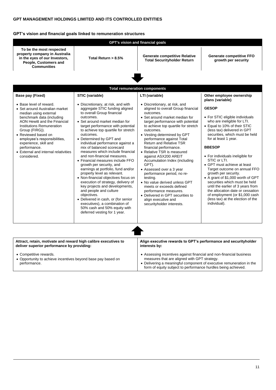# **GPT's vision and financial goals linked to remuneration structures**

-

|                                                                                                                                                                                                                                                                                                                                                       |                                                                                                                                                                                                                                                                                                                                                                                                                                                                                                                                                                                                                                                                                                                                                                                                                                                | GPT's vision and financial goals                                                                                                                                                                                                                                                                                                                                                                                                                                                                                                                                                                                                                                                        |                                                                                                                                                                                                                                                                                                                                                                                                                                                                                                                                                                                                           |
|-------------------------------------------------------------------------------------------------------------------------------------------------------------------------------------------------------------------------------------------------------------------------------------------------------------------------------------------------------|------------------------------------------------------------------------------------------------------------------------------------------------------------------------------------------------------------------------------------------------------------------------------------------------------------------------------------------------------------------------------------------------------------------------------------------------------------------------------------------------------------------------------------------------------------------------------------------------------------------------------------------------------------------------------------------------------------------------------------------------------------------------------------------------------------------------------------------------|-----------------------------------------------------------------------------------------------------------------------------------------------------------------------------------------------------------------------------------------------------------------------------------------------------------------------------------------------------------------------------------------------------------------------------------------------------------------------------------------------------------------------------------------------------------------------------------------------------------------------------------------------------------------------------------------|-----------------------------------------------------------------------------------------------------------------------------------------------------------------------------------------------------------------------------------------------------------------------------------------------------------------------------------------------------------------------------------------------------------------------------------------------------------------------------------------------------------------------------------------------------------------------------------------------------------|
| To be the most respected<br>property company in Australia<br>in the eyes of our Investors,<br>People, Customers and<br><b>Communities</b>                                                                                                                                                                                                             | Total Return > 8.5%                                                                                                                                                                                                                                                                                                                                                                                                                                                                                                                                                                                                                                                                                                                                                                                                                            | <b>Generate competitive Relative</b><br><b>Total Securityholder Return</b>                                                                                                                                                                                                                                                                                                                                                                                                                                                                                                                                                                                                              | <b>Generate competitive FFO</b><br>growth per security                                                                                                                                                                                                                                                                                                                                                                                                                                                                                                                                                    |
|                                                                                                                                                                                                                                                                                                                                                       |                                                                                                                                                                                                                                                                                                                                                                                                                                                                                                                                                                                                                                                                                                                                                                                                                                                |                                                                                                                                                                                                                                                                                                                                                                                                                                                                                                                                                                                                                                                                                         |                                                                                                                                                                                                                                                                                                                                                                                                                                                                                                                                                                                                           |
|                                                                                                                                                                                                                                                                                                                                                       |                                                                                                                                                                                                                                                                                                                                                                                                                                                                                                                                                                                                                                                                                                                                                                                                                                                | <b>Total remuneration components</b>                                                                                                                                                                                                                                                                                                                                                                                                                                                                                                                                                                                                                                                    |                                                                                                                                                                                                                                                                                                                                                                                                                                                                                                                                                                                                           |
| Base pay (Fixed)                                                                                                                                                                                                                                                                                                                                      | STIC (variable)                                                                                                                                                                                                                                                                                                                                                                                                                                                                                                                                                                                                                                                                                                                                                                                                                                | LTI (variable)                                                                                                                                                                                                                                                                                                                                                                                                                                                                                                                                                                                                                                                                          | Other employee ownership<br>plans (variable)                                                                                                                                                                                                                                                                                                                                                                                                                                                                                                                                                              |
| • Base level of reward.<br>• Set around Australian market<br>median using external<br>benchmark data (including<br>AON Hewitt and the Financial<br>Institutions Remuneration<br>Group (FIRG)).<br>• Reviewed based on<br>employee's responsibilities,<br>experience, skill and<br>performance.<br>• External and internal relativities<br>considered. | • Discretionary, at risk, and with<br>aggregate STIC funding aligned<br>to overall Group financial<br>outcomes.<br>• Set around market median for<br>target performance with potential<br>to achieve top quartile for stretch<br>outcomes.<br>• Determined by GPT and<br>individual performance against a<br>mix of balanced scorecard<br>measures which include financial<br>and non-financial measures.<br>• Financial measures include FFO<br>growth per security, and<br>earnings at portfolio, fund and/or<br>property level as relevant.<br>• Non-financial objectives focus on<br>execution of strategy, delivery of<br>key projects and developments,<br>and people and culture<br>objectives.<br>• Delivered in cash, or (for senior<br>executives), a combination of<br>50% cash and 50% equity with<br>deferred vesting for 1 year. | • Discretionary, at risk, and<br>aligned to overall Group financial<br>outcomes.<br>• Set around market median for<br>target performance with potential<br>to achieve top quartile for stretch<br>outcomes.<br>• Vesting determined by GPT<br>performance against Total<br><b>Return and Relative TSR</b><br>financial performance.<br>• Relative TSR is measured<br>against ASX200 AREIT<br>Accumulation Index (including<br>GPT).<br>• Assessed over a 3 year<br>performance period, no re-<br>testing.<br>• No value derived unless GPT<br>meets or exceeds defined<br>performance measures.<br>• Delivered in GPT securities to<br>align executive and<br>securityholder interests. | <b>GESOP</b><br>• For STIC eligible individuals<br>who are ineligible for LTI.<br>• Equal to 10% of their STIC<br>(less tax) delivered in GPT<br>securities, which must be held<br>for at least 1 year.<br><b>BBESOP</b><br>• For individuals ineligible for<br>STIC or LTI.<br>• GPT must achieve at least<br>Target outcome on annual FFO<br>growth per security.<br>• A grant of \$1,000 worth of GPT<br>securities which must be held<br>until the earlier of 3 years from<br>the allocation date or cessation<br>of employment (or \$1,000 cash<br>(less tax) at the election of the<br>individual). |
|                                                                                                                                                                                                                                                                                                                                                       |                                                                                                                                                                                                                                                                                                                                                                                                                                                                                                                                                                                                                                                                                                                                                                                                                                                |                                                                                                                                                                                                                                                                                                                                                                                                                                                                                                                                                                                                                                                                                         |                                                                                                                                                                                                                                                                                                                                                                                                                                                                                                                                                                                                           |
| Attract, retain, motivate and reward high calibre executives to<br>deliver superior performance by providing:                                                                                                                                                                                                                                         |                                                                                                                                                                                                                                                                                                                                                                                                                                                                                                                                                                                                                                                                                                                                                                                                                                                | Align executive rewards to GPT's performance and securityholder<br>interests by:                                                                                                                                                                                                                                                                                                                                                                                                                                                                                                                                                                                                        |                                                                                                                                                                                                                                                                                                                                                                                                                                                                                                                                                                                                           |
| • Competitive rewards.<br>• Opportunity to achieve incentives beyond base pay based on<br>performance.                                                                                                                                                                                                                                                |                                                                                                                                                                                                                                                                                                                                                                                                                                                                                                                                                                                                                                                                                                                                                                                                                                                | • Assessing incentives against financial and non-financial business<br>measures that are aligned with GPT strategy.<br>• Delivering a meaningful component of executive remuneration in the<br>form of equity subject to performance hurdles being achieved.                                                                                                                                                                                                                                                                                                                                                                                                                            |                                                                                                                                                                                                                                                                                                                                                                                                                                                                                                                                                                                                           |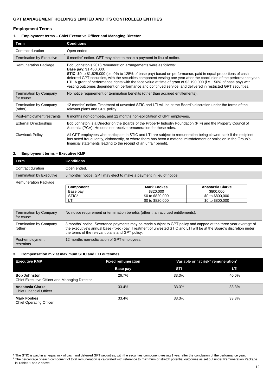### **Employment Terms**

### **1. Employment terms – Chief Executive Officer and Managing Director**

| Term                                       | <b>Conditions</b>                                                                                                                                                                                                                                                                                                                                                                                                                                                                                                                                                                         |
|--------------------------------------------|-------------------------------------------------------------------------------------------------------------------------------------------------------------------------------------------------------------------------------------------------------------------------------------------------------------------------------------------------------------------------------------------------------------------------------------------------------------------------------------------------------------------------------------------------------------------------------------------|
| Contract duration                          | Open ended.                                                                                                                                                                                                                                                                                                                                                                                                                                                                                                                                                                               |
| <b>Termination by Executive</b>            | 6 months' notice. GPT may elect to make a payment in lieu of notice.                                                                                                                                                                                                                                                                                                                                                                                                                                                                                                                      |
| <b>Remuneration Package</b>                | Bob Johnston's 2018 remuneration arrangements were as follows:<br><b>Base pay: \$1,460,000.</b><br><b>STIC</b> : \$0 to \$1,825,000 (i.e. 0% to 125% of base pay) based on performance, paid in equal proportions of cash<br>deferred GPT securities, with the securities component vesting one year after the conclusion of the performance year.<br>LTI: A grant of performance rights with the face value at time of grant of \$2,190,000 (i.e. 150% of base pay) with<br>vesting outcomes dependent on performance and continued service, and delivered in restricted GPT securities. |
| <b>Termination by Company</b><br>for cause | No notice requirement or termination benefits (other than accrued entitlements).                                                                                                                                                                                                                                                                                                                                                                                                                                                                                                          |
| <b>Termination by Company</b><br>(other)   | 12 months' notice. Treatment of unvested STIC and LTI will be at the Board's discretion under the terms of the<br>relevant plans and GPT policy.                                                                                                                                                                                                                                                                                                                                                                                                                                          |
| Post-employment restraints                 | 6 months non-compete, and 12 months non-solicitation of GPT employees.                                                                                                                                                                                                                                                                                                                                                                                                                                                                                                                    |
| <b>External Directorships</b>              | Bob Johnston is a Director on the Boards of the Property Industry Foundation (PIF) and the Property Council of<br>Australia (PCA). He does not receive remuneration for these roles.                                                                                                                                                                                                                                                                                                                                                                                                      |
| <b>Clawback Policy</b>                     | All GPT employees who participate in STIC and LTI are subject to remuneration being clawed back if the recipient<br>has acted fraudulently, dishonestly, or where there has been a material misstatement or omission in the Group's<br>financial statements leading to the receipt of an unfair benefit.                                                                                                                                                                                                                                                                                  |

### **2. Employment terms – Executive KMP**

| Term                                       | <b>Conditions</b>                                                                                                                                                                                                                                                                        |                                                                                  |                  |  |
|--------------------------------------------|------------------------------------------------------------------------------------------------------------------------------------------------------------------------------------------------------------------------------------------------------------------------------------------|----------------------------------------------------------------------------------|------------------|--|
| Contract duration                          | Open ended.                                                                                                                                                                                                                                                                              |                                                                                  |                  |  |
| <b>Termination by Executive</b>            |                                                                                                                                                                                                                                                                                          | 3 months' notice. GPT may elect to make a payment in lieu of notice.             |                  |  |
| <b>Remuneration Package</b>                |                                                                                                                                                                                                                                                                                          |                                                                                  |                  |  |
|                                            | Component                                                                                                                                                                                                                                                                                | <b>Mark Fookes</b>                                                               | Anastasia Clarke |  |
|                                            | Base pay                                                                                                                                                                                                                                                                                 | \$820,000                                                                        | \$800,000        |  |
|                                            | STIC <sup>5</sup>                                                                                                                                                                                                                                                                        | \$0 to \$820,000                                                                 | \$0 to \$800,000 |  |
|                                            | LTI                                                                                                                                                                                                                                                                                      | \$0 to \$820,000                                                                 | \$0 to \$800,000 |  |
| <b>Termination by Company</b><br>for cause |                                                                                                                                                                                                                                                                                          | No notice requirement or termination benefits (other than accrued entitlements). |                  |  |
| <b>Termination by Company</b><br>(other)   | 3 months' notice. Severance payments may be made subject to GPT policy and capped at the three year average of<br>the executive's annual base (fixed) pay. Treatment of unvested STIC and LTI will be at the Board's discretion under<br>the terms of the relevant plans and GPT policy. |                                                                                  |                  |  |
| Post-employment<br>restraints              | 12 months non-solicitation of GPT employees.                                                                                                                                                                                                                                             |                                                                                  |                  |  |

### **3. Compensation mix at maximum STIC and LTI outcomes**

 $\overline{a}$ 

| <b>Executive KMP</b>                                                 | <b>Fixed remuneration</b> | Variable or "at risk" remuneration <sup>6</sup> |       |
|----------------------------------------------------------------------|---------------------------|-------------------------------------------------|-------|
|                                                                      | Base pay                  | STI                                             | LTI   |
| <b>Bob Johnston</b><br>Chief Executive Officer and Managing Director | 26.7%                     | 33.3%                                           | 40.0% |
| Anastasia Clarke<br><b>Chief Financial Officer</b>                   | 33.4%                     | 33.3%                                           | 33.3% |
| <b>Mark Fookes</b><br><b>Chief Operating Officer</b>                 | 33.4%                     | 33.3%                                           | 33.3% |

<sup>&</sup>lt;sup>5</sup> The STIC is paid in an equal mix of cash and deferred GPT securities, with the securities component vesting 1 year after the conclusion of the performance year.

<sup>&</sup>lt;sup>6</sup> The percentage of each component of total remuneration is calculated with reference to maximum or stretch potential outcomes as set out under Remuneration Package in Tables 1 and 2 above.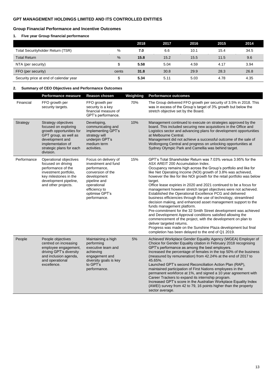# **Group Financial Performance and Incentive Outcomes**

# **1. Five year Group financial performance**

|                                        |               | 2018 | 2017 | 2016 | 2015 | 2014 |
|----------------------------------------|---------------|------|------|------|------|------|
| Total Securityholder Return (TSR)      | $\%$          | 7.0  | 6.6  | 10.1 | 15.4 | 34.5 |
| <b>Total Return</b>                    | $\frac{9}{6}$ | 15.8 | 15.2 | 15.5 | 11.5 | 9.6  |
| NTA (per security)                     | S             | 5.58 | 5.04 | 4.59 | 4.17 | 3.94 |
| FFO (per security)                     | cents         | 31.8 | 30.8 | 29.9 | 28.3 | 26.8 |
| Security price at end of calendar year | \$            | 5.34 | 5.11 | 5.03 | 4.78 | 4.35 |

### **2. Summary of CEO Objectives and Performance Outcomes**

|             | <b>Performance measure</b>                                                                                                                                                        | Reason chosen                                                                                                                                                                     | Weighting | <b>Performance outcomes</b>                                                                                                                                                                                                                                                                                                                                                                                                                                                                                                                                                                                                                                                                                                                                                                                                                                                                                                                                                                                                                               |
|-------------|-----------------------------------------------------------------------------------------------------------------------------------------------------------------------------------|-----------------------------------------------------------------------------------------------------------------------------------------------------------------------------------|-----------|-----------------------------------------------------------------------------------------------------------------------------------------------------------------------------------------------------------------------------------------------------------------------------------------------------------------------------------------------------------------------------------------------------------------------------------------------------------------------------------------------------------------------------------------------------------------------------------------------------------------------------------------------------------------------------------------------------------------------------------------------------------------------------------------------------------------------------------------------------------------------------------------------------------------------------------------------------------------------------------------------------------------------------------------------------------|
| Financial   | FFO growth per<br>security targets.                                                                                                                                               | FFO growth per<br>security is a key<br>financial measure of<br>GPT's performance.                                                                                                 | 70%       | The Group delivered FFO growth per security of 3.5% in 2018. This<br>was in excess of the Group's target of 3% growth but below the<br>stretch objective set by the Board.                                                                                                                                                                                                                                                                                                                                                                                                                                                                                                                                                                                                                                                                                                                                                                                                                                                                                |
| Strategy    | Strategy objectives<br>focused on exploring<br>growth opportunities for<br>GPT group, as well as<br>development and<br>implementation of<br>strategic plans for each<br>division. | Developing,<br>communicating and<br>implementing GPT's<br>strategy will<br>underpin GPT's<br>medium term<br>activities.                                                           | 10%       | Management continued to execute on strategies approved by the<br>board. This included securing new acquisitions in the Office and<br>Logistics sector and advancing plans for development opportunities<br>at Melbourne Central.<br>Management did not achieve a successful outcome of the sale of<br>Wollongong Central and progress on unlocking opportunities at<br>Sydney Olympic Park and Camellia was behind target.                                                                                                                                                                                                                                                                                                                                                                                                                                                                                                                                                                                                                                |
| Performance | Operational objectives<br>focused on driving<br>performance of the<br>investment portfolio,<br>key milestones in the<br>development pipeline,<br>and other projects.              | Focus on delivery of<br>investment and fund<br>performance,<br>conversion of the<br>development<br>pipeline and<br>operational<br>efficiency to<br>optimise GPT's<br>performance. | 15%       | GPT's Total Shareholder Return was 7.03% versus 3.95% for the<br>ASX AREIT 200 Accumulation Index.<br>Occupancy remains high across the Group's portfolio and like for<br>like Net Operating Income (NOI) growth of 3.8% was achieved,<br>however the like for like NOI growth for the retail portfolio was below<br>target.<br>Office lease expiries in 2020 and 2021 continued to be a focus for<br>management however stretch target objectives were not achieved.<br>Established the Operational Excellence PCG and delivered<br>business efficiencies through the use of technology, streamlined<br>decision making, and enhanced asset management support to the<br>funds management platform.<br>Pre-commitment for the 32 Smith Street development was achieved<br>and Development Approval conditions satisfied allowing the<br>commencement of the project, with the development on plan to<br>deliver targeted returns.<br>Progress was made on the Sunshine Plaza development but final<br>completion has been delayed to the end of Q1 2019. |
| People      | People objectives<br>centred on increasing<br>employee engagement,<br>driving GPT's diversity<br>and inclusion agenda,<br>and operational<br>excellence.                          | Maintaining a high<br>performing<br>executive team and<br>achieving<br>engagement and<br>diversity goals is key<br>to GPT's<br>performance.                                       | 5%        | Achieved Workplace Gender Equality Agency (WGEA) Employer of<br>Choice for Gender Equality citation in February 2018 recognising<br>GPT's performance as among the best employers.<br>Increased the percentage of females in the top 50% of the business<br>(measured by remuneration) from 42.24% at the end of 2017 to<br>45.65%.<br>Launched GPT's second Reconciliation Action Plan (RAP),<br>maintained participation of First Nations employees in the<br>permanent workforce at 1%, and signed a 10 year agreement with<br>Career Trackers to expand its internship program.<br>Increased GPT's score in the Australian Workplace Equality Index<br>(AWEI) survey from 42 to 79, 16 points higher than the property<br>sector average.                                                                                                                                                                                                                                                                                                             |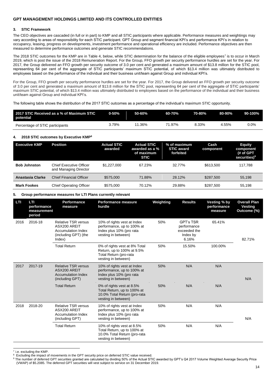#### **3. STIC Framework**

The CEO objectives are cascaded (in full or in part) to KMP and all STIC participants where applicable. Performance measures and weightings may vary according to areas of responsibility for each STIC participant. GPT Group and segment financial KPI's and performance KPI's in relation to occupancy, leasing, progress on developments, investment performance and operational efficiency are included. Performance objectives are then measured to determine performance outcomes and generate STIC recommendations.

The 2018 STIC outcomes for the KMP are in Table 4, below, while STIC determination for the balance of the eligible employees<sup>7</sup> is to occur in March 2019, which is post the issue of the 2018 Remuneration Report. For the Group, FFO growth per security performance hurdles are set for the year. For 2017, the Group delivered an FFO growth per security outcome of 3.0 per cent and generated a maximum amount of \$13.8 million for the STIC pool, representing 64 per cent of the aggregate of STIC participants' maximum STIC potential, of which \$13.4 million was ultimately distributed to employees based on the performance of the individual and their business unit/team against Group and individual KPI's.

For the Group, FFO growth per security performance hurdles are set for the year. For 2017, the Group delivered an FFO growth per security outcome of 3.0 per cent and generated a maximum amount of \$13.8 million for the STIC pool, representing 64 per cent of the aggregate of STIC participants' maximum STIC potential, of which \$13.4 million was ultimately distributed to employees based on the performance of the individual and their business unit/team against Group and individual KPI's.

The following table shows the distribution of the 2017 STIC outcomes as a percentage of the individual's maximum STIC opportunity.

| 2017 STIC Received as a % of Maximum STIC<br>potential | 0-50% | 50-60% | 60-70% | 70-80% | 80-90% | $-90-100\%$ |
|--------------------------------------------------------|-------|--------|--------|--------|--------|-------------|
| Percentage of STIC participants                        | 3.79% | 11.36% | 71.97% | 8.33%  | 4.55%  | $0.0\%$     |

### **4. 2018 STIC outcomes by Executive KMP<sup>8</sup>**

| <b>Executive KMP</b> | Position                                                | <b>Actual STIC</b><br>awarded | Actual STIC<br>awarded as a %<br>of maximum<br><b>STIC</b> | % of maximum<br><b>STIC award</b><br>forfeited | Cash<br>component | <b>Equity</b><br>component<br>(# of GPT<br>securities) <sup>9</sup> |
|----------------------|---------------------------------------------------------|-------------------------------|------------------------------------------------------------|------------------------------------------------|-------------------|---------------------------------------------------------------------|
| <b>Bob Johnston</b>  | <b>Chief Executive Officer</b><br>and Managing Director | \$1.227.000                   | 67.23%                                                     | 32.77%                                         | \$613,500         | 117.788                                                             |
| Anastasia Clarke     | <b>Chief Financial Officer</b>                          | \$575,000                     | 71.88%                                                     | 28.12%                                         | \$287,500         | 55,198                                                              |
| <b>Mark Fookes</b>   | <b>Chief Operating Officer</b>                          | \$575,000                     | 70.12%                                                     | 29.88%                                         | \$287.500         | 55.198                                                              |

### **5. Group performance measures for LTI Plans currently relevant**

| LTI  | LTI<br>performance<br>measurement<br>period | Performance<br>measure                                                                                    | <b>Performance measure</b><br>hurdle                                                                             | Weighting | <b>Results</b>                                                       | <b>Vesting % by</b><br>performance<br>measure | <b>Overall Plan</b><br><b>Vesting</b><br>Outcome (%) |
|------|---------------------------------------------|-----------------------------------------------------------------------------------------------------------|------------------------------------------------------------------------------------------------------------------|-----------|----------------------------------------------------------------------|-----------------------------------------------|------------------------------------------------------|
| 2016 | 2016-18                                     | <b>Relative TSR versus</b><br>ASX200 AREIT<br><b>Accumulation Index</b><br>(including GPT) (the<br>Index) | 10% of rights vest at Index<br>performance, up to 100% at<br>Index plus 10% (pro rata<br>vesting in between)     | 50%       | <b>GPT's TSR</b><br>performance<br>exceeded the<br>Index by<br>6.16% | 65.41%                                        | 82.71%                                               |
|      |                                             | <b>Total Return</b>                                                                                       | 0% of rights vest at 8% Total<br>Return, up to 100% at 9.5%<br>Total Return (pro-rata<br>vesting in between)     | 50%       | 15.50%                                                               | 100.00%                                       |                                                      |
| 2017 | 2017-19                                     | <b>Relative TSR versus</b><br>ASX200 AREIT<br><b>Accumulation Index</b><br>(including GPT)                | 10% of rights vest at Index<br>performance, up to 100% at<br>Index plus 10% (pro rata<br>vesting in between)     | 50%       | N/A                                                                  | N/A                                           | N/A                                                  |
|      |                                             | <b>Total Return</b>                                                                                       | 0% of rights vest at 8.5%<br>Total Return, up to 100% at<br>10.0% Total Return (pro-rata<br>vesting in between)  | 50%       | N/A                                                                  | N/A                                           |                                                      |
| 2018 | 2018-20                                     | <b>Relative TSR versus</b><br>ASX200 AREIT<br><b>Accumulation Index</b><br>(including GPT)                | 10% of rights vest at Index<br>performance, up to 100% at<br>Index plus 10% (pro rata<br>vesting in between)     | 50%       | N/A                                                                  | N/A                                           | N/A                                                  |
|      |                                             | <b>Total Return</b>                                                                                       | 10% of rights vest at 8.5%<br>Total Return, up to 100% at<br>10.0% Total Return (pro-rata<br>vesting in between) | 50%       | N/A                                                                  | N/A                                           |                                                      |

7 i.e. excluding the KMP.

Excluding the impact of movements in the GPT security price on deferred STIC value received.

<sup>9</sup> The number of deferred GPT securities granted are calculated by dividing 50% of the Actual STIC awarded by GPT's Q4 2017 Volume Weighted Average Security Price (VWAP) of \$5.2085. The deferred GPT securities will vest subject to service on 31 December 2019.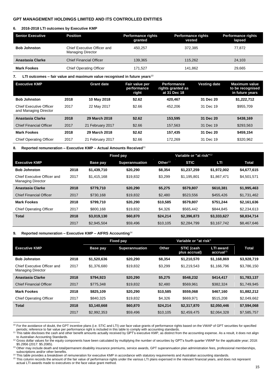#### **6. 2016-2018 LTI outcomes by Executive KMP**

| <b>Senior Executive</b> | <b>Position</b>                                         | <b>Performance rights</b><br>granted | <b>Performance rights</b><br>vested | <b>Performance rights</b><br>lapsed |
|-------------------------|---------------------------------------------------------|--------------------------------------|-------------------------------------|-------------------------------------|
| <b>Bob Johnston</b>     | Chief Executive Officer and<br><b>Managing Director</b> | 450.257                              | 372.385                             | 77.872                              |
| Anastasia Clarke        | <b>Chief Financial Officer</b>                          | 139.365                              | 115.262                             | 24.103                              |
| <b>Mark Fookes</b>      | <b>Chief Operating Officer</b>                          | 171.527                              | 141.862                             | 29.665                              |

**7. LTI outcomes – fair value and maximum value recognised in future years**<sup>10</sup>

| <b>Executive KMP</b>                                    |      | <b>Grant date</b> | Fair value per<br>performance<br>right | <b>Performance</b><br>rights granted as<br>at 31 Dec 18 | <b>Vesting date</b> | <b>Maximum value</b><br>to be recognised<br>in future years |
|---------------------------------------------------------|------|-------------------|----------------------------------------|---------------------------------------------------------|---------------------|-------------------------------------------------------------|
| <b>Bob Johnston</b>                                     | 2018 | 10 May 2018       | \$2.62                                 | 420,467                                                 | 31 Dec 20           | \$1,222,712                                                 |
| <b>Chief Executive Officer</b><br>and Managing Director | 2017 | 22 May 2017       | \$2.66                                 | 452.206                                                 | 31 Dec 19           | \$955.709                                                   |
| Anastasia Clarke                                        | 2018 | 29 March 2018     | \$2.62                                 | 153.595                                                 | 31 Dec 20           | \$438.169                                                   |
| <b>Chief Financial Officer</b>                          | 2017 | 21 February 2017  | \$2.66                                 | 157,563                                                 | 31 Dec 19           | \$293,563                                                   |
| <b>Mark Fookes</b>                                      | 2018 | 29 March 2018     | \$2.62                                 | 157.435                                                 | 31 Dec 20           | \$459.154                                                   |
| <b>Chief Operating Officer</b>                          | 2017 | 21 February 2017  | \$2.66                                 | 172.269                                                 | 31 Dec 19           | \$320,962                                                   |

**8. Reported remuneration – Executive KMP – Actual Amounts Received**<sup>11</sup>

|                                                         |      | <b>Fixed pay</b> |                       | Variable or "at risk" <sup>12</sup> |             |             |              |
|---------------------------------------------------------|------|------------------|-----------------------|-------------------------------------|-------------|-------------|--------------|
| <b>Executive KMP</b>                                    |      | <b>Base pay</b>  | <b>Superannuation</b> | Other $13$                          | <b>STIC</b> | LTI         | <b>Total</b> |
| <b>Bob Johnston</b>                                     | 2018 | \$1,439,710      | \$20,290              | \$8,354                             | \$1,237,259 | \$1,972,002 | \$4,677,615  |
| Chief Executive Officer and<br><b>Managing Director</b> | 2017 | \$1,415,168      | \$19.832              | \$3,299                             | \$1,195,801 | \$1,867,471 | \$4,501,571  |
| Anastasia Clarke                                        | 2018 | \$779.710        | \$20,290              | \$5,275                             | \$579,807   | \$610,381   | \$1,995,463  |
| <b>Chief Financial Officer</b>                          | 2017 | \$730,168        | \$19,832              | \$2,480                             | \$523,556   | \$455,426   | \$1,731,462  |
| <b>Mark Fookes</b>                                      | 2018 | \$799.710        | \$20,290              | \$10,585                            | \$579,807   | \$751,244   | \$2,161,636  |
| <b>Chief Operating Officer</b>                          | 2017 | \$800.168        | \$19,832              | \$4,326                             | \$565,442   | \$844.845   | \$2,234,613  |
| <b>Total</b>                                            | 2018 | \$3,019,130      | \$60,870              | \$24,214                            | \$2,396,873 | \$3,333,627 | \$8,834,714  |
|                                                         | 2017 | \$2,945,504      | \$59,496              | \$10,105                            | \$2,284,799 | \$3,167,742 | \$8,467,646  |

### **9. Reported remuneration – Executive KMP – AIFRS Accounting**<sup>14</sup>

|                                                         |      | <b>Fixed pay</b> |                       |          |                             |                                           |             |
|---------------------------------------------------------|------|------------------|-----------------------|----------|-----------------------------|-------------------------------------------|-------------|
| <b>Executive KMP</b>                                    |      | <b>Base pay</b>  | <b>Superannuation</b> | Other    | STIC (cash<br>plus accrual) | <b>LTI</b> award<br>accrual <sup>15</sup> | Total       |
| <b>Bob Johnston</b>                                     | 2018 | \$1,520,636      | \$20,290              | \$8,354  | \$1,210,570                 | \$1,168,869                               | \$3,928,719 |
| Chief Executive Officer and<br><b>Managing Director</b> | 2017 | \$1,376,680      | \$19,832              | \$3,299  | \$1,219,543                 | \$1,166,796                               | \$3,786,150 |
| Anastasia Clarke                                        | 2018 | \$794.923        | \$20,290              | \$5,275  | \$548,232                   | \$414,417                                 | \$1,783,137 |
| <b>Chief Financial Officer</b>                          | 2017 | \$775,348        | \$19,832              | \$2,480  | \$569,961                   | \$382,324                                 | \$1,749,945 |
| <b>Mark Fookes</b>                                      | 2018 | \$825,109        | \$20,290              | \$10,585 | \$559,068                   | \$467,160                                 | \$1,882,212 |
| <b>Chief Operating Officer</b>                          | 2017 | \$840.325        | \$19,832              | \$4,326  | \$669,971                   | \$515,208                                 | \$2,049,662 |
| <b>Total</b>                                            | 2018 | \$3,140,668      | \$60,870              | \$24,214 | \$2,317,870                 | \$2,050,446                               | \$7,594,068 |
|                                                         | 2017 | \$2,992,353      | \$59,496              | \$10,105 | \$2,459,475                 | \$2,064,328                               | \$7,585,757 |

 $\overline{a}$ <sup>10</sup> For the avoidance of doubt, the GPT incentive plans (i.e. STIC and LTI) use face value grants of performance rights based on the VWAP of GPT securities for specified periods; reference to fair value per performance right is included in this table to comply with accounting standards.<br><sup>11</sup> This table discloses the cash and other benefit amounts actually received by GPT's executive KMP, a

<sup>14</sup> This table provides a breakdown of remuneration for executive KMP in accordance with statutory requirements and Australian accounting standards. <sup>15</sup> This column records the amount of the fair value of performance rights under the various LTI plans expensed in the relevant financial years, and does not represent actual LTI awards made to executives or the face value grant method.

to Australian Accounting Standards.

<sup>&</sup>lt;sup>12</sup> Gross dollar values for the equity components have been calculated by multiplying the number of securities by GPT's fourth quarter VWAP for the applicable year; 2018: \$5.2956 (2017: \$5.2085).

<sup>13</sup> Other may include death and total/permanent disability insurance premiums, service awards, GPT superannuation plan administration fees, professional memberships, subscriptions and/or other benefits.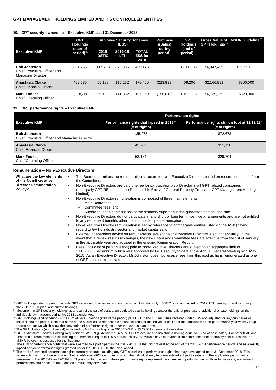### **10. GPT security ownership – Executive KMP as at 31 December 2018**

|                                                                                | <b>GPT</b><br><b>Holdings</b>      | <b>Employee Security Schemes</b><br>(ESS) |                | Purchase<br>/(Sales)                   | <b>GPT</b><br>Holdings         | <b>Gross Value of</b><br><b>GPT Holdings<sup>19</sup></b> | MSHR Guideline <sup>20</sup> |             |
|--------------------------------------------------------------------------------|------------------------------------|-------------------------------------------|----------------|----------------------------------------|--------------------------------|-----------------------------------------------------------|------------------------------|-------------|
| <b>Executive KMP</b>                                                           | (start of<br>period) <sup>16</sup> | 2018<br><b>DSTIC</b>                      | 2016-18<br>LTI | <b>TOTAL</b><br><b>ESS for</b><br>2018 | during<br>period <sup>17</sup> | (end of<br>period) <sup>18</sup>                          |                              |             |
| <b>Bob Johnston</b><br>Chief Executive Officer and<br><b>Managing Director</b> | 821.765                            | 117.788                                   | 372.385        | 490.173                                | ۰                              | 1.311.938                                                 | \$6.947.499                  | \$2,190,000 |
| Anastasia Clarke<br><b>Chief Financial Officer</b>                             | 462.585                            | 55,198                                    | 115.262        | 170.460                                | (223, 839)                     | 409,206                                                   | \$2,166,991                  | \$800,000   |
| <b>Mark Fookes</b><br><b>Chief Operating Officer</b>                           | 1,118,268                          | 55,198                                    | 141.862        | 197,060                                | (156, 013)                     | 1,159,315                                                 | \$6,139,269                  | \$820,000   |

#### **11. GPT performance rights – Executive KMP**

|                                                                      | <b>Performance rights</b>                                             |                                                                             |  |  |  |  |
|----------------------------------------------------------------------|-----------------------------------------------------------------------|-----------------------------------------------------------------------------|--|--|--|--|
| <b>Executive KMP</b>                                                 | Performance rights that lapsed in 2018 <sup>21</sup><br>(# of rights) | Performance rights still on foot at 31/12/18 <sup>22</sup><br>(# of rights) |  |  |  |  |
| <b>Bob Johnston</b><br>Chief Executive Officer and Managing Director | 135,278                                                               | 872.673                                                                     |  |  |  |  |
| Anastasia Clarke<br><b>Chief Financial Officer</b>                   | 45,702                                                                | 311,158                                                                     |  |  |  |  |
| <b>Mark Fookes</b><br><b>Chief Operating Officer</b>                 | 53,184                                                                | 329,704                                                                     |  |  |  |  |

### **Remuneration – Non-Executive Directors**

 $\overline{a}$ 

| What are the key elements<br>of the Non-Executive | The Board determines the remuneration structure for Non-Executive Directors based on recommendations from<br>$\bullet$<br>the Committee.                                                                                                                                                                                                                            |
|---------------------------------------------------|---------------------------------------------------------------------------------------------------------------------------------------------------------------------------------------------------------------------------------------------------------------------------------------------------------------------------------------------------------------------|
| <b>Director Remuneration</b><br>Policy?           | Non-Executive Directors are paid one fee for participation as a Director in all GPT related companies<br>٠<br>(principally GPT RE Limited, the Responsible Entity of General Property Trust and GPT Management Holdings<br>Limited).                                                                                                                                |
|                                                   | Non-Executive Director remuneration is composed of three main elements:<br>$\bullet$                                                                                                                                                                                                                                                                                |
|                                                   | Main Board fees;                                                                                                                                                                                                                                                                                                                                                    |
|                                                   | Committee fees; and                                                                                                                                                                                                                                                                                                                                                 |
|                                                   | Superannuation contributions at the statutory superannuation guarantee contribution rate.                                                                                                                                                                                                                                                                           |
|                                                   | Non-Executive Directors do not participate in any short or long term incentive arrangements and are not entitled<br>$\bullet$<br>to any retirement benefits other than compulsory superannuation.                                                                                                                                                                   |
|                                                   | Non-Executive Director remuneration is set by reference to comparable entities listed on the ASX (having<br>$\bullet$<br>regard to GPT's industry sector and market capitalisation).                                                                                                                                                                                |
|                                                   | External independent advice on remuneration levels for Non-Executive Directors is sought annually. In the<br>٠<br>event that a review results in changes, the new Board and Committee fees are effective from the 1st of January<br>in the applicable year and advised in the ensuing Remuneration Report.                                                          |
|                                                   | Fees (including superannuation) paid to Non-Executive Directors are subject to an aggregate limit of<br>٠<br>\$1,800,000 per annum, which was approved by GPT securityholders at the Annual General Meeting on 5 May<br>2015. As an Executive Director, Mr Johnston does not receive fees from this pool as he is remunerated as one<br>of GPT's senior executives. |

<sup>&</sup>lt;sup>16</sup> GPT Holdings (start of period) include GPT securities obtained as sign on grants (Mr Johnston only), DSTIC up to and including 2017, LTI plans up to and including the 2015-17 LTI plan, and private holdings.

<sup>&</sup>lt;sup>17</sup> Movement in GPT security holdings as a result of the sale of vested, unrestricted security holdings and/or the sale or purchase of additional private holdings on the individuals own account during the 2018 calendar year.

<sup>&</sup>lt;sup>18</sup> GPT Holdings (end of period) is the sum of GPT Holdings (start of the period) plus DSTIC and LTI securities obtained under ESS and adjusted for any purchases or sales during the period. Note that some of the securities do not become actual holdings for the individual until after the conclusion of the performance year when Group

results are known which allow the conversion of performance rights under the various plan terms.<br><sup>19</sup> The GPT Holdings (end of period) multiplied by GPT's fourth quarter 2018 VWAP of \$5.2956 to derive a dollar value.

<sup>&</sup>lt;sup>20</sup> GPT's Minimum Security Holding Requirement (MSHR) guideline requires the CEO to acquire and maintain a holding equal to 150% of base salary. For other KMP and Leadership Team members the holding requirement is equal to 100% of base salary. Individuals have four years from commencement of employment to achieve the MSHR before it is assessed for the first time.

<sup>&</sup>lt;sup>21</sup> The sum of performance rights that were awarded to a participant in the 2016-2018 LTI that did not vest at the end of the 2016-2018 performance period, and as a result, lapsed and/or performance rights granted under the 2018 DSTIC that also lapsed.<br><sup>22</sup> The total of unvested performance rights currently on foot excluding any GPT securities or performance rights that may have lapsed up to

represents the current maximum number of additional GPT securities to which the individual may become entitled subject to satisfying the applicable performance measures in the 2017-19 and 2018-20 LTI plans on foot; as such, these performance rights represent the incentive opportunity over multiple future years, are subject to performance and hence "at risk", and as a result may never vest.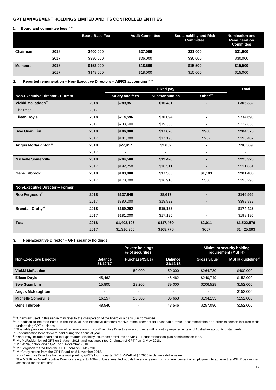### **1.** Board and committee fees<sup>23,24</sup>

|                |      | <b>Board Base Fee</b> | <b>Audit Committee</b> | <b>Sustainability and Risk</b><br><b>Committee</b> | <b>Nomination and</b><br>Remuneration<br><b>Committee</b> |
|----------------|------|-----------------------|------------------------|----------------------------------------------------|-----------------------------------------------------------|
| Chairman       | 2018 | \$400,000             | \$37,000               | \$31,000                                           | \$31,000                                                  |
|                | 2017 | \$380,000             | \$36,000               | \$30,000                                           | \$30,000                                                  |
| <b>Members</b> | 2018 | \$152,000             | \$18,500               | \$15,500                                           | \$15,500                                                  |
|                | 2017 | \$148,000             | \$18,000               | \$15,000                                           | \$15,000                                                  |

# **2. Reported remuneration – Non-Executive Directors – AIFRS accounting**25,26

|                                         |      |                        | <b>Fixed pay</b> |                     | <b>Total</b>   |
|-----------------------------------------|------|------------------------|------------------|---------------------|----------------|
| <b>Non-Executive Director - Current</b> |      | <b>Salary and fees</b> | Superannuation   | Other <sup>27</sup> |                |
| Vickki McFadden <sup>28</sup>           | 2018 | \$289,851              | \$16,481         |                     | \$306,332      |
| Chairman                                | 2017 |                        |                  |                     | $\blacksquare$ |
| <b>Eileen Doyle</b>                     | 2018 | \$214,596              | \$20,094         | $\blacksquare$      | \$234,690      |
|                                         | 2017 | \$203,500              | \$19,333         |                     | \$222,833      |
| <b>Swe Guan Lim</b>                     | 2018 | \$186,000              | \$17,670         | \$908               | \$204,578      |
|                                         | 2017 | \$181,000              | \$17,195         | \$287               | \$198,482      |
| Angus McNaughton <sup>29</sup>          | 2018 | \$27,917               | \$2,652          | $\blacksquare$      | \$30,569       |
|                                         | 2017 | $\blacksquare$         | $\blacksquare$   |                     | $\blacksquare$ |
| <b>Michelle Somerville</b>              | 2018 | \$204,500              | \$19,428         | $\blacksquare$      | \$223,928      |
|                                         | 2017 | \$192,750              | \$18,311         |                     | \$211,061      |
| <b>Gene Tilbrook</b>                    | 2018 | \$183,000              | \$17,385         | \$1,103             | \$201,488      |
|                                         | 2017 | \$178,000              | \$16,910         | \$380               | \$195,290      |
| Non-Executive Director - Former         |      |                        |                  |                     |                |
| Rob Ferguson <sup>30</sup>              | 2018 | \$137,949              | \$8,617          |                     | \$146,566      |
|                                         | 2017 | \$380,000              | \$19,832         |                     | \$399,832      |
| Brendan Crotty <sup>31</sup>            | 2018 | \$159,292              | \$15,133         | $\blacksquare$      | \$174,425      |
|                                         | 2017 | \$181,000              | \$17,195         |                     | \$198,195      |
| <b>Total</b>                            | 2018 | \$1,403,105            | \$117,460        | \$2,011             | \$1,522,576    |
|                                         | 2017 | \$1,316,250            | \$108,776        | \$667               | \$1,425,693    |

#### **3. Non-Executive Director – GPT security holdings**

|                               |                            | <b>Private holdings</b><br>Minimum security holding<br>(# of securities)<br>requirement (MSHR) |                            |                           |                              |
|-------------------------------|----------------------------|------------------------------------------------------------------------------------------------|----------------------------|---------------------------|------------------------------|
| <b>Non-Executive Director</b> | <b>Balance</b><br>31/12/17 | <b>Purchase/(Sale)</b>                                                                         | <b>Balance</b><br>31/12/18 | Gross value <sup>32</sup> | MSHR quideline <sup>33</sup> |
| Vickki McFadden               | $\overline{\phantom{0}}$   | 50,000                                                                                         | 50,000                     | \$264.780                 | \$400,000                    |
| <b>Eileen Dovle</b>           | 45.462                     |                                                                                                | 45.462                     | \$240.749                 | \$152,000                    |
| Swe Guan Lim                  | 15.800                     | 23.200                                                                                         | 39,000                     | \$206.528                 | \$152,000                    |
| <b>Angus McNaughton</b>       |                            |                                                                                                |                            |                           | \$152,000                    |
| <b>Michelle Somerville</b>    | 16.157                     | 20.506                                                                                         | 36.663                     | \$194.153                 | \$152,000                    |
| <b>Gene Tilbrook</b>          | 48.546                     |                                                                                                | 48.546                     | \$257.080                 | \$152,000                    |

 $23$  'Chairman' used in this sense may refer to the chairperson of the board or a particular committee.

 $\overline{a}$ 

 $^{24}$  In addition to the fees noted in the table, all non-executive directors receive reimbursement for reasonable travel, accommodation and other expenses incurred while undertaking GPT business.

<sup>&</sup>lt;sup>25</sup> This table provides a breakdown of remuneration for Non-Executive Directors in accordance with statutory requirements and Australian accounting standards.

<sup>&</sup>lt;sup>26</sup> No termination benefits were paid during the financial year.

 $27$  Other may include death and total/permanent disability insurance premiums and/or GPT superannuation plan administration fees.

<sup>&</sup>lt;sup>28</sup> Ms McFadden joined GPT on 1 March 2018, and was appointed Chairman of GPT from 3 May 2018.

<sup>&</sup>lt;sup>29</sup> Mr McNaughton joined GPT on 1 November 2018.

<sup>&</sup>lt;sup>30</sup> Mr Ferguson retired from the GPT Board on 2 May 2018.

<sup>&</sup>lt;sup>31</sup> Mr Crotty retired from the GPT Board on 8 November 2018.

 $32$  Non-Executive Directors holdings multiplied by GPT's fourth quarter 2018 VWAP of \$5.2956 to derive a dollar value.

<sup>&</sup>lt;sup>33</sup> The MSHR for Non-Executive Directors is equal to 100% of base fees. Individuals have four years from commencement of employment to achieve the MSHR before it is assessed for the first time.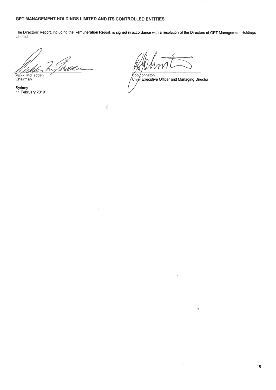À

The Directors' Report, including the Remuneration Report, is signed in accordance with a resolution of the Directors of GPT Management Holdings Limited.

Idade Vickki McFadden<br>Chairman

Sydney 11 February 2019

Bob Johnston<br>Chief Executive Officer and Managing Director

.<br>Hil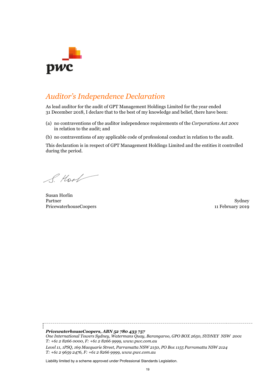

# *Auditor's Independence Declaration*

As lead auditor for the audit of GPT Management Holdings Limited for the year ended 31 December 2018, I declare that to the best of my knowledge and belief, there have been:

- (a) no contraventions of the auditor independence requirements of the *Corporations Act 2001* in relation to the audit; and
- (b) no contraventions of any applicable code of professional conduct in relation to the audit.

This declaration is in respect of GPT Management Holdings Limited and the entities it controlled during the period.

I Hook

Susan Horlin Partner PricewaterhouseCoopers

Sydney 11 February 2019

*PricewaterhouseCoopers, ABN 52 780 433 757 One International Towers Sydney, Watermans Quay, Barangaroo, GPO BOX 2650, SYDNEY NSW 2001 T: +61 2 8266 0000, F: +61 2 8266 9999, www.pwc.com.au Level 11, 1PSQ, 169 Macquarie Street, Parramatta NSW 2150, PO Box 1155 Parramatta NSW 2124*

*T: +61 2 9659 2476, F: +61 2 8266 9999, www.pwc.com.au*

Liability limited by a scheme approved under Professional Standards Legislation.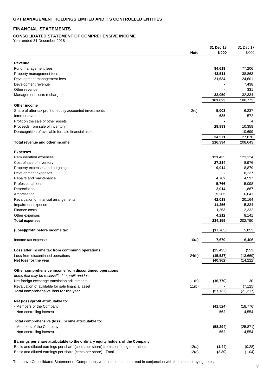# **FINANCIAL STATEMENTS**

# **CONSOLIDATED STATEMENT OF COMPREHENSIVE INCOME**

Year ended 31 December 2018

|                                                                                   |             | 31 Dec 18              | 31 Dec 17 |
|-----------------------------------------------------------------------------------|-------------|------------------------|-----------|
|                                                                                   | <b>Note</b> | \$'000                 | \$'000    |
|                                                                                   |             |                        |           |
| Revenue                                                                           |             |                        |           |
| Fund management fees                                                              |             | 84,619                 | 77,206    |
| Property management fees                                                          |             | 43,511                 | 38,863    |
| Development management fees                                                       |             | 21,634                 | 24,601    |
| Development revenue                                                               |             |                        | 7,438     |
| Other revenue                                                                     |             |                        | 331       |
| Management costs recharged                                                        |             | 32,059                 | 32,334    |
|                                                                                   |             | 181,823                | 180,773   |
| Other income                                                                      |             |                        |           |
| Share of after tax profit of equity accounted investments                         | 2(c)        | 5,003                  | 6,237     |
| Interest revenue                                                                  |             | 685                    | 572       |
| Profit on the sale of other assets                                                |             |                        | 4         |
| Proceeds from sale of inventory                                                   |             | 28,883                 | 10,358    |
| Derecognition of available for sale financial asset                               |             |                        | 10,699    |
|                                                                                   |             | 34,571                 | 27,870    |
| Total revenue and other income                                                    |             | 216,394                | 208,643   |
|                                                                                   |             |                        |           |
| <b>Expenses</b>                                                                   |             |                        |           |
| Remuneration expenses                                                             |             | 121,435                | 123,124   |
| Cost of sale of inventory                                                         |             | 27,214                 | 8,976     |
|                                                                                   |             |                        |           |
| Property expenses and outgoings                                                   |             | 9,014                  | 8,879     |
| Development expenses                                                              |             |                        | 8,237     |
| Repairs and maintenance                                                           |             | 4,762                  | 4,597     |
| Professional fees                                                                 |             | 5,766                  | 5,098     |
| Depreciation                                                                      |             | 2,014                  | 1,867     |
| Amortisation                                                                      |             | 5,205                  | 6,041     |
| Revaluation of financial arrangements                                             |             | 42,018                 | 20,164    |
| Impairment expense                                                                |             | 11,256                 | 5,334     |
| Finance costs                                                                     |             | 1,263                  | 2,332     |
| Other expenses                                                                    |             | 4,212                  | 8,141     |
| <b>Total expenses</b>                                                             |             | 234,159                | 202,790   |
|                                                                                   |             |                        |           |
| (Loss)/profit before income tax                                                   |             | (17, 765)              | 5,853     |
|                                                                                   | 10(a)       | 7,670                  |           |
| Income tax expense                                                                |             |                        | 6,406     |
| Loss after income tax from continuing operations                                  |             |                        |           |
|                                                                                   |             | (25, 435)              | (553)     |
| Loss from discontinued operations                                                 | 24(b)       | (15, 527)<br>(40, 962) | (13,669)  |
| Net loss for the year                                                             |             |                        | (14, 222) |
| Other comprehensive income from discontinued operations                           |             |                        |           |
| Items that may be reclassified to profit and loss                                 |             |                        |           |
| Net foreign exchange translation adjustments                                      | 11(b)       | (16, 770)              | 30        |
| Revaluation of available for sale financial asset                                 | 11(b)       |                        | (7, 125)  |
| Total comprehensive loss for the year                                             |             | (57, 732)              | (21, 317) |
|                                                                                   |             |                        |           |
| Net (loss)/profit attributable to:                                                |             |                        |           |
| - Members of the Company                                                          |             | (41, 524)              | (18, 776) |
| - Non-controlling interest                                                        |             | 562                    | 4,554     |
|                                                                                   |             |                        |           |
| Total comprehensive (loss)/income attributable to:                                |             |                        |           |
| - Members of the Company                                                          |             | (58, 294)              | (25, 871) |
| - Non-controlling interest                                                        |             | 562                    | 4,554     |
|                                                                                   |             |                        |           |
| Earnings per share attributable to the ordinary equity holders of the Company     |             |                        |           |
| Basic and diluted earnings per share (cents per share) from continuing operations | 12(a)       | (1.44)                 | (0.28)    |
| Basic and diluted earnings per share (cents per share) - Total                    | 12(a)       | (2.30)                 | (1.04)    |
|                                                                                   |             |                        |           |

The above Consolidated Statement of Comprehensive Income should be read in conjunction with the accompanying notes.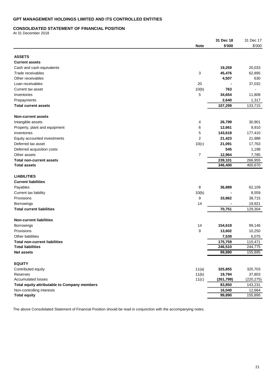### **CONSOLIDATED STATEMENT OF FINANCIAL POSITION**

At 31 December 2018

|                                              |                | 31 Dec 18            | 31 Dec 17            |
|----------------------------------------------|----------------|----------------------|----------------------|
|                                              | <b>Note</b>    | \$'000               | \$'000               |
| <b>ASSETS</b>                                |                |                      |                      |
| <b>Current assets</b>                        |                |                      |                      |
| Cash and cash equivalents                    |                | 19,259               | 20,033               |
| Trade receivables                            | 3              | 45,476               | 62,895               |
| Other receivables                            |                | 4,507                | 630                  |
| Loan receivables                             | 20             |                      | 37,032               |
| Current tax asset                            | 10(b)          | 763                  |                      |
| Inventories                                  | 5              | 34,654               | 11,808               |
| Prepayments                                  |                | 2,640                | 1,317                |
| <b>Total current assets</b>                  |                | 107,299              | 133,715              |
| <b>Non-current assets</b>                    |                |                      |                      |
| Intangible assets                            | 4              | 26,799               | 30,901               |
| Property, plant and equipment                | 6              | 12,661               | 9,910                |
| Inventories                                  | 5              | 143,618              | 177,410              |
| Equity accounted investments                 | 2              | 21,423               | 21,988               |
| Deferred tax asset                           | 10(c)          | 21,091               | 17,763               |
| Deferred acquisition costs                   |                | 545                  | 1,198                |
| Other assets                                 | 7              | 12,964               | 7,785                |
| <b>Total non-current assets</b>              |                | 239,101              | 266,955              |
| <b>Total assets</b>                          |                | 346,400              | 400,670              |
| <b>LIABILITIES</b>                           |                |                      |                      |
| <b>Current liabilities</b>                   |                |                      |                      |
| Payables                                     | 8              | 36,889               | 62,109               |
| Current tax liability                        | 10(b)          |                      | 8,559                |
| Provisions                                   | 9              | 33,862               | 38,715               |
| Borrowings                                   | 14             |                      | 19,921               |
| <b>Total current liabilities</b>             |                | 70,751               | 129,304              |
| <b>Non-current liabilities</b>               |                |                      |                      |
| Borrowings                                   | 14             | 154,618              | 99,146               |
| Provisions                                   | 9              | 13,602               | 10,250               |
| Other liabilities                            |                | 7,539                | 6,075                |
| <b>Total non-current liabilities</b>         |                | 175,759              | 115,471              |
| <b>Total liabilities</b>                     |                | 246,510              | 244,775              |
| <b>Net assets</b>                            |                | 99,890               | 155,895              |
| <b>EQUITY</b>                                |                |                      |                      |
| Contributed equity                           | 11(a)          | 325,855              | 325,703              |
| Reserves<br><b>Accumulated losses</b>        | 11(b)<br>11(c) | 19,794<br>(261, 799) | 37,803<br>(220, 275) |
| Total equity attributable to Company members |                | 83,850               | 143,231              |
| Non-controlling interests                    |                | 16,040               | 12,664               |
| <b>Total equity</b>                          |                | 99,890               | 155,895              |
|                                              |                |                      |                      |

The above Consolidated Statement of Financial Position should be read in conjunction with the accompanying notes.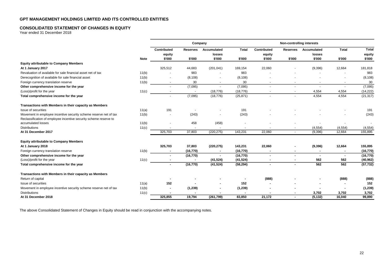## **CONSOLIDATED STATEMENT OF CHANGES IN EQUITY**

Year ended 31 December 2018

|                                                                                                                                        |             |                       | Company         |                          |                |                          | Non-controlling interests |                       |                          |                        |
|----------------------------------------------------------------------------------------------------------------------------------------|-------------|-----------------------|-----------------|--------------------------|----------------|--------------------------|---------------------------|-----------------------|--------------------------|------------------------|
|                                                                                                                                        |             | Contributed<br>equity | <b>Reserves</b> | Accumulated<br>losses    | <b>Total</b>   | Contributed<br>equity    | <b>Reserves</b>           | Accumulated<br>losses | <b>Total</b>             | <b>Total</b><br>equity |
|                                                                                                                                        | <b>Note</b> | \$'000                | \$'000          | \$'000                   | \$'000         | \$'000                   | \$'000                    | \$'000                | \$'000                   | \$'000                 |
| <b>Equity attributable to Company Members</b>                                                                                          |             |                       |                 |                          |                |                          |                           |                       |                          |                        |
| At 1 January 2017                                                                                                                      |             | 325,512               | 44,683          | (201, 041)               | 169,154        | 22,060                   |                           | (9,396)               | 12,664                   | 181,818                |
| Revaluation of available for sale financial asset net of tax                                                                           | 11(b)       |                       | 983             |                          | 983            |                          |                           |                       |                          | 983                    |
| Derecognition of available for sale financial asset                                                                                    | 11(b)       |                       | (8, 108)        |                          | (8, 108)       |                          |                           |                       |                          | (8, 108)               |
| Foreign currency translation reserve                                                                                                   | 11(b)       |                       | 30              | $\overline{\phantom{a}}$ | 30             | $\overline{\phantom{a}}$ |                           | $\sim$                | $\overline{\phantom{a}}$ | 30                     |
| Other comprehensive income for the year                                                                                                |             |                       | (7,095)         |                          | (7,095)        | $\overline{\phantom{a}}$ | $\overline{a}$            | $\overline{a}$        | $\overline{a}$           | (7,095)                |
| (Loss)/profit for the year                                                                                                             | 11(c)       | $\sim$                | $\blacksquare$  | (18, 776)                | (18, 776)      | $\overline{\phantom{a}}$ | $\sim$                    | 4,554                 | 4,554                    | (14, 222)              |
| Total comprehensive income for the year                                                                                                |             |                       | (7,095)         | (18, 776)                | (25, 871)      | $\overline{a}$           | $\overline{\phantom{a}}$  | 4,554                 | 4,554                    | (21, 317)              |
| Transactions with Members in their capacity as Members                                                                                 |             |                       |                 |                          |                |                          |                           |                       |                          |                        |
| Issue of securities                                                                                                                    | 11(a)       | 191                   |                 |                          | 191            |                          |                           |                       |                          | 191                    |
| Movement in employee incentive security scheme reserve net of tax<br>Reclassification of employee incentive security scheme reserve to | 11(b)       |                       | (243)           |                          | (243)          |                          |                           |                       |                          | (243)                  |
| accumulated losses                                                                                                                     | 11(b)       |                       | 458             | (458)                    |                |                          |                           |                       |                          |                        |
| <b>Distributions</b>                                                                                                                   | 11(c)       |                       |                 |                          |                |                          |                           | (4, 554)              | (4, 554)                 | (4, 554)               |
| At 31 December 2017                                                                                                                    |             | 325,703               | 37,803          | (220, 275)               | 143,231        | 22,060                   |                           | (9,396)               | 12,664                   | 155,895                |
| <b>Equity attributable to Company Members</b>                                                                                          |             |                       |                 |                          |                |                          |                           |                       |                          |                        |
| At 1 January 2018                                                                                                                      |             | 325,703               | 37,803          | (220, 275)               | 143,231        | 22,060                   |                           | (9,396)               | 12,664                   | 155,895                |
| Foreign currency translation reserve                                                                                                   | 11(b)       |                       | (16, 770)       |                          | (16, 770)      | $\blacksquare$           | $\blacksquare$            | $\blacksquare$        | $\blacksquare$           | (16, 770)              |
| Other comprehensive income for the year                                                                                                |             |                       | (16, 770)       |                          | (16, 770)      | $\blacksquare$           | $\blacksquare$            | $\blacksquare$        | $\sim$                   | (16, 770)              |
| (Loss)/profit for the year                                                                                                             | 11(c)       |                       |                 | (41, 524)                | (41, 524)      | $\blacksquare$           | $\blacksquare$            | 562                   | 562                      | (40, 962)              |
| Total comprehensive income for the year                                                                                                |             |                       | (16, 770)       | (41, 524)                | (58, 294)      | $\blacksquare$           | $\blacksquare$            | 562                   | 562                      | (57, 732)              |
| Transactions with Members in their capacity as Members                                                                                 |             |                       |                 |                          |                |                          |                           |                       |                          |                        |
| Return of capital                                                                                                                      |             |                       |                 |                          |                | (888)                    |                           |                       | (888)                    | (888)                  |
| Issue of securities                                                                                                                    | 11(a)       | 152                   |                 |                          | 152            |                          |                           |                       |                          | 152                    |
| Movement in employee incentive security scheme reserve net of tax                                                                      | 11(b)       |                       | (1, 239)        |                          | (1, 239)       |                          |                           |                       | $\overline{\phantom{a}}$ | (1, 239)               |
| <b>Distributions</b>                                                                                                                   | 11(c)       |                       |                 | ٠                        | $\blacksquare$ |                          |                           | 3,702                 | 3,702                    | 3,702                  |
| At 31 December 2018                                                                                                                    |             | 325.855               | 19,794          | (261,799)                | 83.850         | 21,172                   |                           | (5, 132)              | 16,040                   | 99.890                 |

The above Consolidated Statement of Changes in Equity should be read in conjunction with the accompanying notes.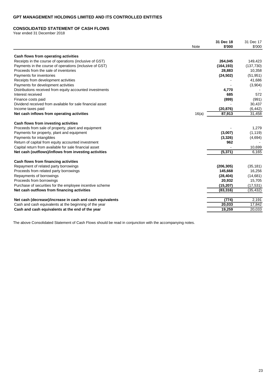### **CONSOLIDATED STATEMENT OF CASH FLOWS**

Year ended 31 December 2018

|                                                           |       | 31 Dec 18  | 31 Dec 17 |
|-----------------------------------------------------------|-------|------------|-----------|
|                                                           | Note  | \$'000     | \$'000    |
| Cash flows from operating activities                      |       |            |           |
| Receipts in the course of operations (inclusive of GST)   |       | 264,045    | 149,423   |
| Payments in the course of operations (inclusive of GST)   |       | (164, 193) | (137,730) |
| Proceeds from the sale of inventories                     |       | 28,883     | 10,358    |
| Payments for inventories                                  |       | (24, 502)  | (51, 951) |
| Receipts from development activities                      |       |            | 41,686    |
| Payments for development activities                       |       |            | (3,904)   |
| Distributions received from equity accounted investments  |       | 4,770      |           |
| Interest received                                         |       | 685        | 572       |
| Finance costs paid                                        |       | (899)      | (991)     |
| Dividend received from available for sale financial asset |       |            | 30,437    |
| Income taxes paid                                         |       | (20, 876)  | (6, 442)  |
| Net cash inflows from operating activities                | 16(a) | 87,913     | 31,458    |
| Cash flows from investing activities                      |       |            |           |
| Proceeds from sale of property, plant and equipment       |       |            | 1,279     |
| Payments for property, plant and equipment                |       | (3,007)    | (1, 119)  |
| Payments for intangibles                                  |       | (3,326)    | (4,694)   |
| Return of capital from equity accounted investment        |       | 962        |           |
| Capital return from available for sale financial asset    |       |            | 10,699    |
| Net cash (outflows)/inflows from investing activities     |       | (5, 371)   | 6,165     |
| Cash flows from financing activities                      |       |            |           |
| Repayment of related party borrowings                     |       | (206, 305) | (35, 181) |
| Proceeds from related party borrowings                    |       | 145,668    | 16,256    |
| Repayments of borrowings                                  |       | (28, 404)  | (14,681)  |
| Proceeds from borrowings                                  |       | 20,932     | 15,705    |
| Purchase of securities for the employee incentive scheme  |       | (15, 207)  | (17, 531) |
| Net cash outflows from financing activities               |       | (83, 316)  | (35, 432) |
| Net cash (decrease)/increase in cash and cash equivalents |       | (774)      | 2,191     |
| Cash and cash equivalents at the beginning of the year    |       | 20,033     | 17,842    |
| Cash and cash equivalents at the end of the year          |       | 19.259     | 20,033    |
|                                                           |       |            |           |

The above Consolidated Statement of Cash Flows should be read in conjunction with the accompanying notes.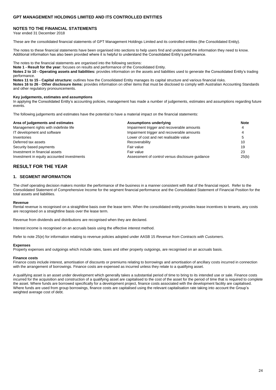### **NOTES TO THE FINANCIAL STATEMENTS**

Year ended 31 December 2018

These are the consolidated financial statements of GPT Management Holdings Limited and its controlled entities (the Consolidated Entity).

The notes to these financial statements have been organised into sections to help users find and understand the information they need to know. Additional information has also been provided where it is helpful to understand the Consolidated Entity's performance.

The notes to the financial statements are organised into the following sections:

**Note 1 - Result for the year:** focuses on results and performance of the Consolidated Entity.

**Notes 2 to 10 - Operating assets and liabilities:** provides information on the assets and liabilities used to generate the Consolidated Entity's trading performance.

**Notes 11 to 15 - Capital structure:** outlines how the Consolidated Entity manages its capital structure and various financial risks.

**Notes 16 to 26 - Other disclosure items:** provides information on other items that must be disclosed to comply with Australian Accounting Standards and other regulatory pronouncements.

#### **Key judgements, estimates and assumptions**

In applying the Consolidated Entity's accounting policies, management has made a number of judgements, estimates and assumptions regarding future events.

The following judgements and estimates have the potential to have a material impact on the financial statements:

| Area of judgements and estimates           | <b>Assumptions underlying</b>                    | <b>Note</b> |
|--------------------------------------------|--------------------------------------------------|-------------|
| Management rights with indefinite life     | Impairment trigger and recoverable amounts       | 4           |
| IT development and software                | Impairment trigger and recoverable amounts       |             |
| Inventories                                | Lower of cost and net realisable value           |             |
| Deferred tax assets                        | Recoverability                                   | 10          |
| Security based payments                    | Fair value                                       | 19          |
| Investment in financial assets             | Fair value                                       | 23          |
| Investment in equity accounted investments | Assessment of control versus disclosure quidance | 25(b)       |

# **RESULT FOR THE YEAR**

### **1. SEGMENT INFORMATION**

The chief operating decision makers monitor the performance of the business in a manner consistent with that of the financial report. Refer to the Consolidated Statement of Comprehensive Income for the segment financial performance and the Consolidated Statement of Financial Position for the total assets and liabilities.

#### **Revenue**

Rental revenue is recognised on a straightline basis over the lease term. When the consolidated entity provides lease incentives to tenants, any costs are recognised on a straightline basis over the lease term.

Revenue from dividends and distributions are recognised when they are declared.

Interest income is recognised on an accruals basis using the effective interest method.

Refer to note 25(e) for information relating to revenue policies adopted under AASB 15 *Revenue from Contracts with Customers*.

#### **Expenses**

Property expenses and outgoings which include rates, taxes and other property outgoings, are recognised on an accruals basis.

#### **Finance costs**

Finance costs include interest, amortisation of discounts or premiums relating to borrowings and amortisation of ancillary costs incurred in connection with the arrangement of borrowings. Finance costs are expensed as incurred unless they relate to a qualifying asset.

A qualifying asset is an asset under development which generally takes a substantial period of time to bring to its intended use or sale. Finance costs incurred for the acquisition and construction of a qualifying asset are capitalised to the cost of the asset for the period of time that is required to complete the asset. Where funds are borrowed specifically for a development project, finance costs associated with the development facility are capitalised. Where funds are used from group borrowings, finance costs are capitalised using the relevant capitalisation rate taking into account the Group's weighted average cost of debt.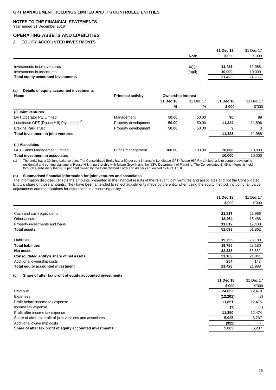### **NOTES TO THE FINANCIAL STATEMENTS**

Year ended 31 December 2018

# **OPERATING ASSETS AND LIABILITIES**

### **2. EQUITY ACCOUNTED INVESTMENTS**

|                                    |             | 31 Dec 18 | 31 Dec 17 |
|------------------------------------|-------------|-----------|-----------|
|                                    | <b>Note</b> | \$'000    | \$'000    |
|                                    |             |           |           |
| Investments in joint ventures      | (a)(i)      | 11.423    | 11.988    |
| Investments in associates          | (a)(ii)     | 10.000    | 10,000    |
| Total equity accounted investments |             | 21.423    | 21,988    |
|                                    |             |           |           |

### **(a) Details of equity accounted investments**

| <b>Name</b>                                | <b>Principal activity</b> | <b>Ownership interest</b> |           |           |           |
|--------------------------------------------|---------------------------|---------------------------|-----------|-----------|-----------|
|                                            |                           | 31 Dec 18                 | 31 Dec 17 | 31 Dec 18 | 31 Dec 17 |
|                                            |                           | %                         | %         | \$'000    | \$'000    |
| (i) Joint ventures                         |                           |                           |           |           |           |
| DPT Operator Pty Limited                   | Management                | 50.00                     | 50.00     | 90        | 89        |
| Lendlease GPT (Rouse Hill) Pty Limited (1) | Property development      | 50.00                     | 50.00     | 11,324    | 11,896    |
| <b>Erskine Park Trust</b>                  | Property development      | 50.00                     | 50.00     | 9         |           |
| Total investment in joint ventures         |                           |                           |           | 11,423    | 11,988    |
| (ii) Associates                            |                           |                           |           |           |           |
| <b>GPT Funds Management Limited</b>        | Funds management          | 100.00                    | 100.00    | 10.000    | 10,000    |
| <b>Total investment in associates</b>      |                           |                           |           | 10,000    | 10,000    |
|                                            |                           |                           |           |           |           |

(1) The entity has a 30 June balance date. The Consolidated Entity has a 50 per cent interest in Lendlease GPT (Rouse Hill) Pty Limited, a joint venture developing residential and commercial land at Rouse Hill, in partnership with Urban Growth and the NSW Department of Planning. The Consolidated Entity's interest is held through a subsidiary that is 52 per cent owned by the Consolidated Entity and 48 per cent owned by GPT Trust.

### **(b) Summarised financial information for joint ventures and associates**

The information disclosed reflects the amounts presented in the financial results of the relevant joint ventures and associates and not the Consolidated Entity's share of those amounts. They have been amended to reflect adjustments made by the entity when using the equity method, including fair value adjustments and modifications for differences in accounting policy.

|                                                                  | 31 Dec 18 | 31 Dec 17 |
|------------------------------------------------------------------|-----------|-----------|
|                                                                  | \$'000    | \$'000    |
|                                                                  |           |           |
| Cash and cash equivalents                                        | 21,817    | 25,966    |
| Other assets                                                     | 18,464    | 18,488    |
| Property investments and loans                                   | 11,812    | 17,408    |
| <b>Total assets</b>                                              | 52,093    | 61,862    |
| Liabilities                                                      | 19,755    | 28,180    |
| <b>Total liabilities</b>                                         | 19.755    | 28,180    |
| <b>Net assets</b>                                                | 32,338    | 33,682    |
| Consolidated entity's share of net assets                        | 21,169    | 21,841    |
| Additional ownership costs                                       | 254       | 147       |
| Total equity accounted investment                                | 21,423    | 21,988    |
| Share of after tax profit of equity accounted investments<br>(c) |           |           |
|                                                                  | 31 Dec 18 | 31 Dec 17 |
|                                                                  | \$'000    | \$'000    |
| Revenue                                                          | 24,052    | 12,478    |
| Expenses                                                         | (12, 201) | (3)       |
| Profit before income tax expense                                 | 11,851    | 12,475    |
| Income tax expense                                               | (1)       | (1)       |
| Profit after income tax expense                                  | 11,850    | 12,474    |
| Share of after tax profit of joint ventures and associates       | 5,925     | 6,237     |
| Additional ownership costs                                       | (922)     |           |
| Share of after tax profit of equity accounted investments        | 5,003     | 6,237     |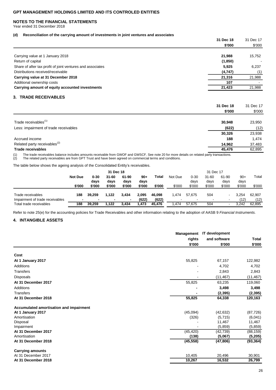### **NOTES TO THE FINANCIAL STATEMENTS**

Year ended 31 December 2018

#### **(d) Reconciliation of the carrying amount of investments in joint ventures and associates**

| $\cdot$ $\cdot$                                            | 31 Dec 18<br>\$'000 | 31 Dec 17<br>\$'000 |
|------------------------------------------------------------|---------------------|---------------------|
| Carrying value at 1 January 2018                           | 21,988              | 15.752              |
| Return of capital                                          | (1,850)             |                     |
| Share of after tax profit of joint ventures and associates | 5,925               | 6,237               |
| Distributions received/receivable                          | (4,747)             | (1)                 |
| Carrying value at 31 December 2018                         | 21,316              | 21,988              |
| Additional ownership costs                                 | 107                 |                     |
| Carrying amount of equity accounted investments            | 21.423              | 21,988              |

# **3. TRADE RECEIVABLES**

|                                          | 31 Dec 18<br>\$'000 | 31 Dec 17<br>\$'000 |
|------------------------------------------|---------------------|---------------------|
|                                          |                     |                     |
| Trade receivables <sup>(1)</sup>         | 30,948              | 23,950              |
| Less: impairment of trade receivables    | (622)               | (12)                |
|                                          | 30,326              | 23,938              |
| Accrued income                           | 188                 | 1,474               |
| Related party receivables <sup>(2)</sup> | 14.962              | 37,483              |
| <b>Trade receivables</b>                 | 45,476              | 62,895              |

(1) The trade receivables balance includes amounts receivable from GWOF and GWSCF. See note 20 for more details on related party transactions.

(2) The related party receivables are from GPT Trust and have been agreed on commercial terms and conditions.

The table below shows the ageing analysis of the Consolidated Entity's receivables.

|                                 |                | 31 Dec 18                                                                        |        |        |         | 31 Dec 17 |                          |               |               |               |        |        |
|---------------------------------|----------------|----------------------------------------------------------------------------------|--------|--------|---------|-----------|--------------------------|---------------|---------------|---------------|--------|--------|
|                                 | <b>Not Due</b> | $0 - 30$<br>$31 - 60$<br>Total<br>61-90<br>$90+$<br>days<br>days<br>days<br>days |        |        | Not Due |           | $0 - 30$<br>days         | 31-60<br>days | 61-90<br>days | $90+$<br>days | Total  |        |
|                                 | \$'000         | \$'000                                                                           | \$'000 | \$'000 | \$'000  | \$'000    | \$'000                   | \$'000        | \$'000        | \$'000        | \$'000 | \$'000 |
| Trade receivables               | 188            | 39.259                                                                           | 1.122  | 3.434  | 2,095   | 46,098    | .474                     | 57.675        | 504           |               | 3.254  | 62,907 |
| Impairment of trade receivables |                | $\overline{\phantom{0}}$                                                         | ۰      |        | (622)   | (622)     | $\overline{\phantom{0}}$ |               | -             | $\,$          | (12)   | (12)   |
| Total trade receivables         | 188            | 39.259                                                                           | 1.122  | 3.434  | .473    | 45.476    | .474                     | 57.675        | 504           |               | 3.242  | 62.895 |

Refer to note 25(e) for the accounting policies for Trade Receivables and other information relating to the adoption of AASB 9 *Financial Instruments.*

### **4. INTANGIBLE ASSETS**

|                                         | <b>Management</b><br>rights | IT development<br>and software | <b>Total</b> |
|-----------------------------------------|-----------------------------|--------------------------------|--------------|
|                                         | \$'000                      | \$'000                         | \$'000       |
| Cost                                    |                             |                                |              |
| At 1 January 2017                       | 55,825                      | 67,157                         | 122,982      |
| Additions                               |                             | 4,702                          | 4,702        |
| <b>Transfers</b>                        |                             | 2,843                          | 2,843        |
| <b>Disposals</b>                        |                             | (11, 467)                      | (11, 467)    |
| At 31 December 2017                     | 55,825                      | 63,235                         | 119,060      |
| Additions                               |                             | 3,498                          | 3,498        |
| <b>Transfers</b>                        |                             | (2, 395)                       | (2, 395)     |
| At 31 December 2018                     | 55,825                      | 64,338                         | 120,163      |
| Accumulated amortisation and impairment |                             |                                |              |
| At 1 January 2017                       | (45,094)                    | (42, 632)                      | (87, 726)    |
| Amortisation                            | (326)                       | (5,715)                        | (6,041)      |
| Disposal                                |                             | 11,467                         | 11,467       |
| Impairment                              |                             | (5,859)                        | (5, 859)     |
| At 31 December 2017                     | (45, 420)                   | (42, 739)                      | (88,159)     |
| Amortisation                            | (138)                       | (5,067)                        | (5, 205)     |
| At 31 December 2018                     | (45, 558)                   | (47, 806)                      | (93, 364)    |
| <b>Carrying amounts</b>                 |                             |                                |              |
| At 31 December 2017                     | 10,405                      | 20,496                         | 30,901       |
| At 31 December 2018                     | 10,267                      | 16,532                         | 26,799       |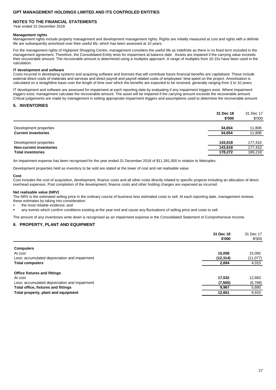### **NOTES TO THE FINANCIAL STATEMENTS**

Year ended 31 December 2018

#### **Management rights**

Management rights include property management and development management rights. Rights are initially measured at cost and rights with a definite life are subsequently amortised over their useful life, which has been assessed at 10 years.

For the management rights of Highpoint Shopping Centre, management considers the useful life as indefinite as there is no fixed term included in the management agreement. Therefore, the Consolidated Entity tests for impairment at balance date. Assets are impaired if the carrying value exceeds their recoverable amount. The recoverable amount is determined using a multiples approach. A range of multiples from 10-15x have been used in the calculation.

### **IT development and software**

Costs incurred in developing systems and acquiring software and licenses that will contribute future financial benefits are capitalised. These include external direct costs of materials and services and direct payroll and payroll related costs of employees' time spent on the project. Amortisation is calculated on a straightline basis over the length of time over which the benefits are expected to be received, generally ranging from 3 to 10 years.

IT development and software are assessed for impairment at each reporting date by evaluating if any impairment triggers exist. Where impairment triggers exist, management calculate the recoverable amount. The asset will be impaired if the carrying amount exceeds the recoverable amount. Critical judgements are made by management in setting appropriate impairment triggers and assumptions used to determine the recoverable amount.

### **5. INVENTORIES**

|                                | 31 Dec 18<br>\$'000 | 31 Dec 17<br>\$'000 |
|--------------------------------|---------------------|---------------------|
| Development properties         | 34.654              | 11.808              |
| <b>Current inventories</b>     | 34.654              | 11,808              |
| Development properties         | 143.618             | 177,410             |
| <b>Non-current inventories</b> | 143.618             | 177.410             |
| <b>Total inventories</b>       | 178.272             | 189.218             |

An impairment expense has been recognised for the year ended 31 December 2018 of \$11,391,000 in relation to Metroplex.

Development properties held as inventory to be sold are stated at the lower of cost and net realisable value.

#### **Cost**

Cost includes the cost of acquisition, development, finance costs and all other costs directly related to specific projects including an allocation of direct overhead expenses. Post completion of the development, finance costs and other holding charges are expensed as incurred.

### **Net realisable value (NRV)**

The NRV is the estimated selling price in the ordinary course of business less estimated costs to sell. At each reporting date, management reviews these estimates by taking into consideration:

the most reliable evidence; and

• any events which confirm conditions existing at the year end and cause any fluctuations of selling price and costs to sell.

The amount of any inventories write down is recognised as an impairment expense in the Consolidated Statement of Comprehensive Income.

### **6. PROPERTY, PLANT AND EQUIPMENT**

|                                               | 31 Dec 18<br>\$'000 | 31 Dec 17<br>\$'000 |
|-----------------------------------------------|---------------------|---------------------|
| <b>Computers</b>                              |                     |                     |
| At cost                                       | 15.008              | 15.092              |
| Less: accumulated depreciation and impairment | (12, 314)           | (11, 077)           |
| <b>Total computers</b>                        | 2,694               | 4,015               |
| <b>Office fixtures and fittings</b>           |                     |                     |
| At cost                                       | 17,532              | 12,683              |
| Less: accumulated depreciation and impairment | (7, 565)            | (6,788)             |
| Total office, fixtures and fittings           | 9,967               | 5,895               |
| Total property, plant and equipment           | 12,661              | 9,910               |
|                                               |                     |                     |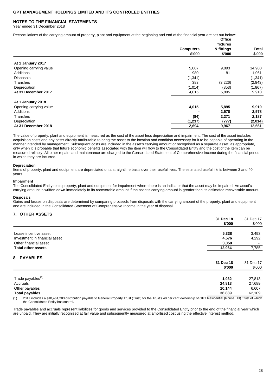### **NOTES TO THE FINANCIAL STATEMENTS**

Year ended 31 December 2018

Reconciliations of the carrying amount of property, plant and equipment at the beginning and end of the financial year are set out below:

|                        |                            | <b>Office</b><br>fixtures |                 |
|------------------------|----------------------------|---------------------------|-----------------|
|                        | <b>Computers</b><br>\$'000 | & fittings<br>\$'000      | Total<br>\$'000 |
| At 1 January 2017      |                            |                           |                 |
| Opening carrying value | 5,007                      | 9,893                     | 14,900          |
| <b>Additions</b>       | 980                        | 81                        | 1,061           |
| <b>Disposals</b>       | (1, 341)                   |                           | (1, 341)        |
| <b>Transfers</b>       | 383                        | (3,226)                   | (2,843)         |
| Depreciation           | (1,014)                    | (853)                     | (1,867)         |
| At 31 December 2017    | 4,015                      | 5,895                     | 9,910           |
| At 1 January 2018      |                            |                           |                 |
| Opening carrying value | 4,015                      | 5,895                     | 9,910           |
| <b>Additions</b>       |                            | 2,578                     | 2,578           |
| <b>Transfers</b>       | (84)                       | 2,271                     | 2,187           |
| Depreciation           | (1,237)                    | (777)                     | (2,014)         |
| At 31 December 2018    | 2,694                      | 9,967                     | 12,661          |

The value of property, plant and equipment is measured as the cost of the asset less depreciation and impairment. The cost of the asset includes acquisition costs and any costs directly attributable to bring the asset to the location and condition necessary for it to be capable of operating in the manner intended by management. Subsequent costs are included in the asset's carrying amount or recognised as a separate asset, as appropriate, only when it is probable that future economic benefits associated with the item will flow to the Consolidated Entity and the cost of the item can be measured reliably. All other repairs and maintenance are charged to the Consolidated Statement of Comprehensive Income during the financial period in which they are incurred.

#### **Depreciation**

Items of property, plant and equipment are depreciated on a straightline basis over their useful lives. The estimated useful life is between 3 and 40 years.

#### **Impairment**

The Consolidated Entity tests property, plant and equipment for impairment where there is an indicator that the asset may be impaired. An asset's carrying amount is written down immediately to its recoverable amount if the asset's carrying amount is greater than its estimated recoverable amount.

#### **Disposals**

Gains and losses on disposals are determined by comparing proceeds from disposals with the carrying amount of the property, plant and equipment and are included in the Consolidated Statement of Comprehensive Income in the year of disposal.

### **7. OTHER ASSETS**

|                               | 31 Dec 18           | 31 Dec 17           |
|-------------------------------|---------------------|---------------------|
|                               | \$'000              | \$'000              |
| Lease incentive asset         | 5,338               | 3,493               |
| Investment in financial asset | 4,576               | 4,292               |
| Other financial asset         | 3,050               |                     |
| <b>Total other assets</b>     | 12,964              | 7,785               |
| 8. PAYABLES                   |                     |                     |
|                               | 31 Dec 18<br>\$'000 | 31 Dec 17<br>\$'000 |
| Trade payables <sup>(1)</sup> | 1,932               | 27,813              |
| Accruals                      | 24,813              | 27,689              |
| Other payables                | 10,144              | 6,607               |
| <b>Total payables</b>         | 36,889              | 62,109              |

(1) 2017 includes a \$10,461,283 distribution payable to General Property Trust (Trust) for the Trust's 48 per cent ownership of GPT Residential (Rouse Hill) Trust of which the Consolidated Entity has control.

Trade payables and accruals represent liabilities for goods and services provided to the Consolidated Entity prior to the end of the financial year which are unpaid. They are initially recognised at fair value and subsequently measured at amortised cost using the effective interest method.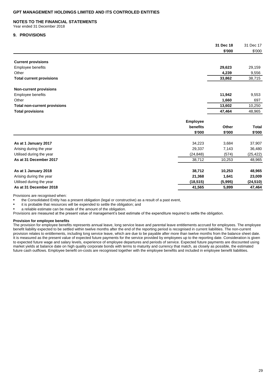### **NOTES TO THE FINANCIAL STATEMENTS**

Year ended 31 December 2018

### **9. PROVISIONS**

|                                     |                 | 31 Dec 18 | 31 Dec 17    |
|-------------------------------------|-----------------|-----------|--------------|
|                                     |                 | \$'000    | \$'000       |
| <b>Current provisions</b>           |                 |           |              |
| <b>Employee benefits</b>            |                 | 29,623    | 29,159       |
| Other                               |                 | 4,239     | 9,556        |
| <b>Total current provisions</b>     |                 | 33,862    | 38,715       |
| <b>Non-current provisions</b>       |                 |           |              |
| Employee benefits                   |                 | 11,942    | 9,553        |
| Other                               |                 | 1,660     | 697          |
| <b>Total non-current provisions</b> |                 | 13,602    | 10,250       |
| <b>Total provisions</b>             |                 | 47,464    | 48,965       |
|                                     | <b>Employee</b> |           |              |
|                                     | benefits        | Other     | <b>Total</b> |
|                                     | \$'000          | \$'000    | \$'000       |
| As at 1 January 2017                | 34,223          | 3,684     | 37,907       |
| Arising during the year             | 29,337          | 7,143     | 36,480       |
| Utilised during the year            | (24, 848)       | (574)     | (25, 422)    |
| As at 31 December 2017              | 38,712          | 10,253    | 48,965       |
| As at 1 January 2018                | 38,712          | 10,253    | 48,965       |
| Arising during the year             | 21,368          | 1,641     | 23,009       |
| Utilised during the year            | (18, 515)       | (5,995)   | (24, 510)    |
| As at 31 December 2018              | 41,565          | 5.899     | 47,464       |

Provisions are recognised when:

• the Consolidated Entity has a present obligation (legal or constructive) as a result of a past event,

• it is probable that resources will be expended to settle the obligation; and

• a reliable estimate can be made of the amount of the obligation.

Provisions are measured at the present value of management's best estimate of the expenditure required to settle the obligation.

#### **Provision for employee benefits**

The provision for employee benefits represents annual leave, long service leave and parental leave entitlements accrued for employees. The employee benefit liability expected to be settled within twelve months after the end of the reporting period is recognised in current liabilities. The non-current provision relates to entitlements, including long service leave, which are due to be payable after more than twelve months from the balance sheet date. It is measured as the present value of expected future payments for the service provided by employees up to the reporting date. Consideration is given to expected future wage and salary levels, experience of employee departures and periods of service. Expected future payments are discounted using market yields at balance date on high quality corporate bonds with terms to maturity and currency that match, as closely as possible, the estimated future cash outflows. Employee benefit on-costs are recognised together with the employee benefits and included in employee benefit liabilities.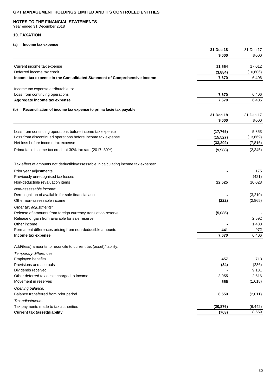### **NOTES TO THE FINANCIAL STATEMENTS**

Year ended 31 December 2018

### **10. TAXATION**

### **(a) Income tax expense**

|                                                                                    | 31 Dec 18<br>\$'000 | 31 Dec 17<br>\$'000 |
|------------------------------------------------------------------------------------|---------------------|---------------------|
|                                                                                    |                     |                     |
| Current income tax expense                                                         | 11,554              | 17,012              |
| Deferred income tax credit                                                         | (3,884)             | (10,606)            |
| Income tax expense in the Consolidated Statement of Comprehensive Income           | 7,670               | 6,406               |
| Income tax expense attributable to:                                                |                     |                     |
| Loss from continuing operations                                                    | 7,670               | 6,406               |
| Aggregate income tax expense                                                       | 7,670               | 6,406               |
| Reconciliation of income tax expense to prima facie tax payable<br>(b)             |                     |                     |
|                                                                                    | 31 Dec 18           | 31 Dec 17           |
|                                                                                    | \$'000              | \$'000              |
| Loss from continuing operations before income tax expense                          | (17, 765)           | 5,853               |
| Loss from discontinued operations before income tax expense                        | (15, 527)           | (13,669)            |
| Net loss before income tax expense                                                 | (33, 292)           | (7, 816)            |
| Prima facie income tax credit at 30% tax rate (2017: 30%)                          | (9,988)             | (2,345)             |
| Tax effect of amounts not deductible/assessable in calculating income tax expense: |                     |                     |
| Prior year adjustments                                                             |                     | 175                 |
| Previously unrecognised tax losses                                                 |                     | (421)               |
| Non-deductible revaluation items                                                   | 22,525              | 10,028              |
| Non-assessable income:                                                             |                     |                     |
| Derecognition of available for sale financial asset                                |                     | (3,210)             |
| Other non-assessable income                                                        | (222)               | (2,865)             |
| Other tax adjustments:                                                             |                     |                     |
| Release of amounts from foreign currency translation reserve                       | (5,086)             |                     |
| Release of gain from available for sale reserve                                    |                     | 2,592               |
| Other income                                                                       |                     | 1,480               |
| Permanent differences arising from non-deductible amounts                          | 441                 | 972                 |
| Income tax expense                                                                 | 7,670               | 6,406               |
| Add/(less) amounts to reconcile to current tax (asset)/liability:                  |                     |                     |
| Temporary differences:                                                             |                     |                     |
| Employee benefits                                                                  | 457                 | 713                 |
| Provisions and accruals                                                            | (84)                | (236)               |
| Dividends received                                                                 |                     | 9,131               |
| Other deferred tax asset charged to income                                         | 2,955               | 2,616               |
| Movement in reserves                                                               | 556                 | (1,618)             |
| Opening balance:                                                                   |                     |                     |
| Balance transferred from prior period                                              | 8,559               | (2,011)             |
| Tax adjustments:<br>Tax payments made to tax authorities                           | (20, 876)           | (6, 442)            |
| <b>Current tax (asset)/liability</b>                                               | (763)               | 8,559               |
|                                                                                    |                     |                     |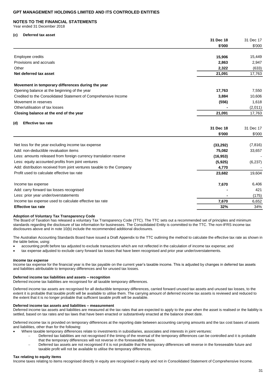#### **NOTES TO THE FINANCIAL STATEMENTS**

Year ended 31 December 2018

#### **(c) Deferred tax asset**

|                                                                       | 31 Dec 18 | 31 Dec 17 |
|-----------------------------------------------------------------------|-----------|-----------|
|                                                                       | \$'000    | \$'000    |
| Employee credits                                                      | 15,906    | 15,449    |
| Provisions and accruals                                               | 2,863     | 2,947     |
| Other                                                                 | 2,322     | (633)     |
| Net deferred tax asset                                                | 21,091    | 17,763    |
| Movement in temporary differences during the year                     |           |           |
| Opening balance at the beginning of the year                          | 17,763    | 7,550     |
| Credited to the Consolidated Statement of Comprehensive Income        | 3,884     | 10,606    |
| Movement in reserves                                                  | (556)     | 1,618     |
| Other/utilisation of tax losses                                       |           | (2,011)   |
| Closing balance at the end of the year                                | 21,091    | 17,763    |
| <b>Effective tax rate</b><br>(d)                                      |           |           |
|                                                                       | 31 Dec 18 | 31 Dec 17 |
|                                                                       | \$'000    | \$'000    |
| Net loss for the year excluding income tax expense                    | (33, 292) | (7, 816)  |
| Add: non-deductible revaluation items                                 | 75,082    | 33,657    |
| Less: amounts released from foreign currency translation reserve      | (16, 953) |           |
| Less: equity accounted profits from joint ventures                    | (5, 925)  | (6, 237)  |
| Add: distribution received from joint ventures taxable to the Company | 4,770     |           |
| Profit used to calculate effective tax rate                           | 23,682    | 19,604    |
| Income tax expense                                                    | 7,670     | 6,406     |
| Add: carry forward tax losses recognised                              |           | 421       |
| Less: prior year under/overstatements                                 |           | (175)     |
| Income tax expense used to calculate effective tax rate               | 7,670     | 6,652     |
| <b>Effective tax rate</b>                                             | 32%       | 34%       |

### **Adoption of Voluntary Tax Transparency Code**

The Board of Taxation has released a voluntary Tax Transparency Code (TTC). The TTC sets out a recommended set of principles and minimum standards regarding the disclosure of tax information for businesses. The Consolidated Entity is committed to the TTC. The non-IFRS income tax disclosures above and in note 10(b) include the recommended additional disclosures.

The Australian Accounting Standards Board have issued a Draft Appendix to the TTC outlining the method to calculate the effective tax rate as shown in the table below, using:

• accounting profit before tax adjusted to exclude transactions which are not reflected in the calculation of income tax expense; and

• tax expense adjusted to exclude carry forward tax losses that have been recognised and prior year under/overstatements.

#### *Income tax expense*

Income tax expense for the financial year is the tax payable on the current year's taxable income. This is adjusted by changes in deferred tax assets and liabilities attributable to temporary differences and for unused tax losses.

### **Deferred income tax liabilities and assets – recognition**

Deferred income tax liabilities are recognised for all taxable temporary differences.

Deferred income tax assets are recognised for all deductible temporary differences, carried forward unused tax assets and unused tax losses, to the extent it is probable that taxable profit will be available to utilise them. The carrying amount of deferred income tax assets is reviewed and reduced to the extent that it is no longer probable that sufficient taxable profit will be available.

#### **Deferred income tax assets and liabilities – measurement**

Deferred income tax assets and liabilities are measured at the tax rates that are expected to apply to the year when the asset is realised or the liability is settled, based on tax rates and tax laws that have been enacted or substantively enacted at the balance sheet date.

Deferred income tax is provided on temporary differences at the reporting date between accounting carrying amounts and the tax cost bases of assets and liabilities, other than for the following:

- Where taxable temporary differences relate to investments in subsidiaries, associates and interests in joint ventures:
	- − Deferred tax liabilities are not recognised if the timing of the reversal of the temporary differences can be controlled and it is probable that the temporary differences will not reverse in the foreseeable future.
	- Deferred tax assets are not recognised if it is not probable that the temporary differences will reverse in the foreseeable future and taxable profit will not be available to utilise the temporary differences.

#### **Tax relating to equity items**

Income taxes relating to items recognised directly in equity are recognised in equity and not in Consolidated Statement of Comprehensive Income.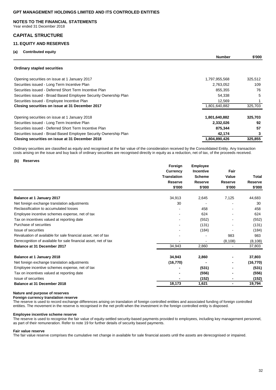#### **NOTES TO THE FINANCIAL STATEMENTS**

Year ended 31 December 2018

### **CAPITAL STRUCTURE**

# **11. EQUITY AND RESERVES**

# **(a) Contributed equity**

| la)<br><b>CONTRIBUTED COUNTY</b>                                 | <b>Number</b> | \$'000  |
|------------------------------------------------------------------|---------------|---------|
| <b>Ordinary stapled securities</b>                               |               |         |
| Opening securities on issue at 1 January 2017                    | 1,797,955,568 | 325,512 |
| Securities issued - Long Term Incentive Plan                     | 2,763,052     | 109     |
| Securities issued - Deferred Short Term Incentive Plan           | 855,355       | 76      |
| Securities issued - Broad Based Employee Security Ownership Plan | 54,338        | 5       |
| Securities issued - Employee Incentive Plan                      | 12,569        |         |
| Closing securities on issue at 31 December 2017                  | 1,801,640,882 | 325,703 |
| Opening securities on issue at 1 January 2018                    | 1,801,640,882 | 325,703 |
| Securities issued - Long Term Incentive Plan                     | 2,332,026     | 92      |
| Securities issued - Deferred Short Term Incentive Plan           | 875,344       | 57      |
| Securities issued - Broad Based Employee Security Ownership Plan | 42,174        |         |
| Closing securities on issue at 31 December 2018                  | 1,804,890,426 | 325,855 |

Ordinary securities are classified as equity and recognised at the fair value of the consideration received by the Consolidated Entity. Any transaction costs arising on the issue and buy back of ordinary securities are recognised directly in equity as a reduction, net of tax, of the proceeds received.

#### **(b) Reserves**

|                                                                 | Foreign<br>Currency | <b>Employee</b> |                | Total          |
|-----------------------------------------------------------------|---------------------|-----------------|----------------|----------------|
|                                                                 |                     | Incentive       | Fair           |                |
|                                                                 | <b>Translation</b>  | <b>Scheme</b>   | Value          |                |
|                                                                 | <b>Reserve</b>      | Reserve         | Reserve        | <b>Reserve</b> |
|                                                                 | \$'000              | \$'000          | \$'000         | \$'000         |
| Balance at 1 January 2017                                       | 34,913              | 2,645           | 7,125          | 44,683         |
| Net foreign exchange translation adjustments                    | 30                  |                 |                | 30             |
| Reclassification to accumulated losses                          |                     | 458             |                | 458            |
| Employee incentive schemes expense, net of tax                  |                     | 624             |                | 624            |
| Tax on incentives valued at reporting date                      |                     | (552)           |                | (552)          |
| Purchase of securities                                          |                     | (131)           |                | (131)          |
| Issue of securities                                             |                     | (184)           |                | (184)          |
| Revaluation of available for sale financial asset, net of tax   |                     |                 | 983            | 983            |
| Derecognition of available for sale financial asset, net of tax |                     |                 | (8, 108)       | (8, 108)       |
| Balance at 31 December 2017                                     | 34,943              | 2,860           |                | 37,803         |
| Balance at 1 January 2018                                       | 34,943              | 2,860           |                | 37,803         |
| Net foreign exchange translation adjustments                    | (16, 770)           |                 |                | (16, 770)      |
| Employee incentive schemes expense, net of tax                  |                     | (531)           |                | (531)          |
| Tax on incentives valued at reporting date                      |                     | (556)           |                | (556)          |
| Issue of securities                                             |                     | (152)           |                | (152)          |
| Balance at 31 December 2018                                     | 18,173              | 1,621           | $\blacksquare$ | 19,794         |

### **Nature and purpose of reserves**

**Foreign currency translation reserve**

The reserve is used to record exchange differences arising on translation of foreign controlled entities and associated funding of foreign controlled entities. The movement in the reserve is recognised in the net profit when the investment in the foreign controlled entity is disposed.

#### **Employee incentive scheme reserve**

The reserve is used to recognise the fair value of equity-settled security-based payments provided to employees, including key management personnel, as part of their remuneration. Refer to note 19 for further details of security based payments.

#### **Fair value reserve**

The fair value reserve comprises the cumulative net change in available for sale financial assets until the assets are derecognised or impaired.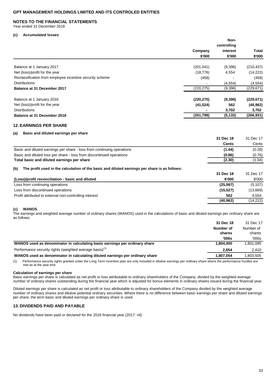#### **NOTES TO THE FINANCIAL STATEMENTS**

Year ended 31 December 2018

#### **(c) Accumulated losses**

|                                                          | Non-<br>controlling |          |            |
|----------------------------------------------------------|---------------------|----------|------------|
|                                                          | Company             | interest | Total      |
|                                                          | \$'000              | \$'000   | \$'000     |
| Balance at 1 January 2017                                | (201, 041)          | (9,396)  | (210, 437) |
| Net (loss)/profit for the year                           | (18, 776)           | 4,554    | (14, 222)  |
| Reclassification from employee incentive security scheme | (458)               |          | (458)      |
| <b>Distributions</b>                                     |                     | (4, 554) | (4, 554)   |
| Balance at 31 December 2017                              | (220, 275)          | (9,396)  | (229, 671) |
| Balance at 1 January 2018                                | (220, 275)          | (9,396)  | (229, 671) |
| Net (loss)/profit for the year                           | (41, 524)           | 562      | (40, 962)  |
| <b>Distributions</b>                                     |                     | 3,702    | 3,702      |
| Balance at 31 December 2018                              | (261,799)           | (5, 132) | (266, 931) |

# **12. EARNINGS PER SHARE**

#### **(a) Basic and diluted earnings per share**

|                                                                                                                                                          | 31 Dec 18           | 31 Dec 17           |
|----------------------------------------------------------------------------------------------------------------------------------------------------------|---------------------|---------------------|
|                                                                                                                                                          | <b>Cents</b>        | Cents               |
| Basic and diluted earnings per share - loss from continuing operations                                                                                   | (1.44)              | (0.28)              |
| Basic and diluted loss per share - loss from discontinued operations                                                                                     | (0.86)              | (0.76)              |
| Total basic and diluted earnings per share                                                                                                               | (2.30)              | (1.04)              |
| (b)<br>The profit used in the calculation of the basic and diluted earnings per share is as follows:<br>(Loss)/profit reconciliation - basic and diluted | 31 Dec 18<br>\$'000 | 31 Dec 17<br>\$'000 |
| Loss from continuing operations                                                                                                                          | (25.997)            | (5, 107)            |
| Loss from discontinued operations                                                                                                                        | (15.527)            | (13,669)            |
| Profit attributed to external non-controlling interest                                                                                                   | 562                 | 4,554               |
|                                                                                                                                                          | (40, 962)           | (14,222)            |

#### **(c) WANOS**

The earnings and weighted average number of ordinary shares (WANOS) used in the calculations of basic and diluted earnings per ordinary share are as follows:

|                                                                              | 31 Dec 18 | 31 Dec 17 |
|------------------------------------------------------------------------------|-----------|-----------|
|                                                                              | Number of | Number of |
|                                                                              | shares    | shares    |
|                                                                              | '000s     | '000s     |
| WANOS used as denominator in calculating basic earnings per ordinary share   | 1.804.400 | 1.801.095 |
| Performance security rights (weighted average basis) <sup>(1)</sup>          | 2.654     | 2.410     |
| WANOS used as denominator in calculating diluted earnings per ordinary share | 1,807,054 | 1,803,505 |

(1) Performance security rights granted under the Long Term Incentive plan are only included in dilutive earnings per ordinary share where the performance hurdles are met as at the year end.

#### **Calculation of earnings per share**

Basic earnings per share is calculated as net profit or loss attributable to ordinary shareholders of the Company, divided by the weighted average number of ordinary shares outstanding during the financial year which is adjusted for bonus elements in ordinary shares issued during the financial year.

Diluted earnings per share is calculated as net profit or loss attributable to ordinary shareholders of the Company divided by the weighted average number of ordinary shares and dilutive potential ordinary securities. Where there is no difference between basic earnings per share and diluted earnings per share, the term basic and diluted earnings per ordinary share is used.

# **13. DIVIDENDS PAID AND PAYABLE**

No dividends have been paid or declared for the 2018 financial year (2017: nil).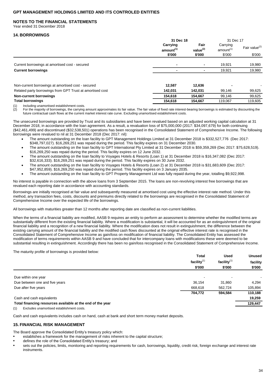### **NOTES TO THE FINANCIAL STATEMENTS**

Year ended 31 December 2018

### **14. BORROWINGS**

|                                                           | 31 Dec 18                         |                        | 31 Dec 17                         |         |  |                           |
|-----------------------------------------------------------|-----------------------------------|------------------------|-----------------------------------|---------|--|---------------------------|
|                                                           | Carrying<br>amount <sup>(1)</sup> | Fair<br>value $^{(2)}$ | Carrying<br>amount <sup>(1)</sup> |         |  | Fair value <sup>(2)</sup> |
|                                                           | \$'000                            | \$'000                 | \$'000                            | \$'000  |  |                           |
| Current borrowings at amortised cost - secured            |                                   |                        | 19.921                            | 19,980  |  |                           |
| <b>Current borrowings</b>                                 |                                   |                        | 19,921                            | 19,980  |  |                           |
|                                                           |                                   |                        |                                   |         |  |                           |
| Non-current borrowings at amortised cost - secured        | 12.587                            | 12.636                 |                                   |         |  |                           |
| Related party borrowings from GPT Trust at amortised cost | 142.031                           | 142.031                | 99.146                            | 99,625  |  |                           |
| Non-current borrowings                                    | 154,618                           | 154,667                | 99,146                            | 99,625  |  |                           |
| <b>Total borrowings</b>                                   | 154,618                           | 154,667                | 119,067                           | 119,605 |  |                           |
|                                                           |                                   |                        |                                   |         |  |                           |

(1) Including unamortised establishment costs.

(2) For the majority of borrowings, the carrying amount approximates its fair value. The fair value of fixed rate interest-bearing borrowings is estimated by discounting the future contractual cash flows at the current market interest rate curve. Excluding unamortised establishment costs.

The unsecured borrowings are provided by Trust and its subsidiaries and have been revalued based on an adjusted working capital calculation at 31 December 2018, in accordance with the loan agreement. As a result, a revaluation loss of \$75,000,000 (2017: \$34,097,679) for both continuing (\$42,461,499) and discontinued (\$32,538,501) operations has been recognised in the Consolidated Statement of Comprehensive Income. The following borrowings were revalued to nil at 31 December 2018 (Dec 2017: nil):

- The amount outstanding on the loan facility to GPT Management Holdings Limited at 31 December 2018 is \$332,527,776 (Dec 2017: \$348,797,027). \$16,269,251 was repaid during the period. This facility expires on 31 December 2030.
- The amount outstanding on the loan facility to GPT International Pty Limited at 31 December 2018 is \$59,359,269 (Dec 2017: \$75,628,519). \$16,269,250 was repaid during the period. This facility expires on 12 June 2032.
- The amount outstanding on the loan facility to Voyages Hotels & Resorts (Loan 1) at 31 December 2018 is \$16,347,082 (Dec 2017: \$32,616,333). \$16,269,251 was repaid during the period. This facility expires on 30 June 2032.
- The amount outstanding on the loan facility to Voyages Hotels & Resorts (Loan 2) at 31 December 2018 is \$31,683,609 (Dec 2017: \$47,952,859). \$16,269,250 was repaid during the period. This facility expires on 3 January 2035.
- The amount outstanding on the loan facility to GPT Property Management Ltd was fully repaid during the year, totalling \$9,922,998.

No interest is payable in connection with the above loans from 3 September 2015. The loans are non-revolving interest free borrowings that are revalued each reporting date in accordance with accounting standards.

Borrowings are initially recognised at fair value and subsequently measured at amortised cost using the effective interest rate method. Under this method, any transaction fees, costs, discounts and premiums directly related to the borrowings are recognised in the Consolidated Statement of Comprehensive Income over the expected life of the borrowings.

All borrowings with maturities greater than 12 months after reporting date are classified as non-current liabilities.

When the terms of a financial liability are modified. AASB 9 requires an entity to perform an assessment to determine whether the modified terms are substantially different from the existing financial liability. Where a modification is substantial, it will be accounted for as an extinguishment of the original financial liability and a recognition of a new financial liability. Where the modification does not result in extinguishment, the difference between the existing carrying amount of the financial liability and the modified cash flows discounted at the original effective interest rate is recognised in the Consolidated Statement of Comprehensive Income as gain/loss on modification of financial liability. The Consolidated Entity has assessed the modification of terms requirements within AASB 9 and have concluded that for intercompany loans with modifications these were deemed to be substantial resulting in extinguishment. Accordingly there has been no gain/loss recognised in the Consolidated Statement of Comprehensive Income.

The maturity profile of borrowings is provided below:

|                                                            | <b>Total</b>   | <b>Used</b><br>facility $(1)$<br>\$'000 | <b>Unused</b><br>facility<br>\$'000 |
|------------------------------------------------------------|----------------|-----------------------------------------|-------------------------------------|
|                                                            | facility $(1)$ |                                         |                                     |
|                                                            | \$'000         |                                         |                                     |
| Due within one year                                        |                |                                         |                                     |
| Due between one and five years                             | 36,154         | 31,860                                  | 4.294                               |
| Due after five years                                       | 668,618        | 562,724                                 | 105,894                             |
|                                                            | 704,772        | 594,584                                 | 110,188                             |
| Cash and cash equivalents                                  |                |                                         | 19,259                              |
| Total financing resources available at the end of the year |                |                                         | 129,447                             |
| Excludes unamortised establishment costs.<br>(1)           |                |                                         |                                     |

Cash and cash equivalents includes cash on hand, cash at bank and short term money market deposits.

### **15. FINANCIAL RISK MANAGEMENT**

The Board approve the Consolidated Entity's treasury policy which:

establishes a framework for the management of risks inherent to the capital structure;

- defines the role of the Consolidated Entity's treasury; and
- sets out the policies, limits, monitoring and reporting requirements for cash, borrowings, liquidity, credit risk, foreign exchange and interest rate instruments.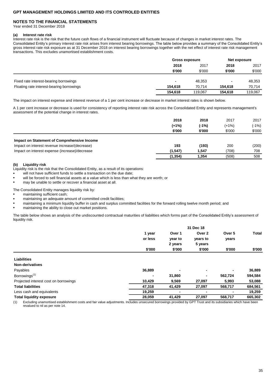### **NOTES TO THE FINANCIAL STATEMENTS**

Year ended 31 December 2018

#### **(a) Interest rate risk**

Interest rate risk is the risk that the future cash flows of a financial instrument will fluctuate because of changes in market interest rates. The Consolidated Entity's primary interest rate risk arises from interest bearing borrowings. The table below provides a summary of the Consolidated Entity's gross interest rate risk exposure as at 31 December 2018 on interest bearing borrowings together with the net effect of interest rate risk management transactions. This excludes unamortised establishment costs.

|                                           |                          | <b>Gross exposure</b> |                | Net exposure |      |
|-------------------------------------------|--------------------------|-----------------------|----------------|--------------|------|
|                                           | 2018<br>2017             |                       |                | 2018         | 2017 |
|                                           | \$'000                   | \$'000                | \$'000         | \$'000       |      |
|                                           |                          |                       |                |              |      |
| Fixed rate interest-bearing borrowings    | $\overline{\phantom{a}}$ | 48.353                | $\blacksquare$ | 48,353       |      |
| Floating rate interest-bearing borrowings | 154.618                  | 70.714                | 154.618        | 70,714       |      |
|                                           | 154.618                  | 119.067               | 154.618        | 119,067      |      |

The impact on interest expense and interest revenue of a 1 per cent increase or decrease in market interest rates is shown below.

A 1 per cent increase or decrease is used for consistency of reporting interest rate risk across the Consolidated Entity and represents management's assessment of the potential change in interest rates.

|                                                | 2018     | 2018    | 2017    | 2017    |
|------------------------------------------------|----------|---------|---------|---------|
|                                                | $(+1%)$  | $(-1%)$ | $(+1%)$ | $(-1%)$ |
|                                                | \$'000   | \$'000  | \$'000  | \$'000  |
| Impact on Statement of Comprehensive Income    |          |         |         |         |
| Impact on interest revenue increase/(decrease) | 193      | (193)   | 200     | (200)   |
| Impact on interest expense (increase)/decrease | (1, 547) | 1.547   | (708)   | 708     |
|                                                | (1, 354) | 1,354   | (508)   | 508     |

### **(b) Liquidity risk**

Liquidity risk is the risk that the Consolidated Entity, as a result of its operations:

- will not have sufficient funds to settle a transaction on the due date;
- will be forced to sell financial assets at a value which is less than what they are worth; or
- may be unable to settle or recover a financial asset at all.

The Consolidated Entity manages liquidity risk by:

- maintaining sufficient cash:
- maintaining an adequate amount of committed credit facilities;
- maintaining a minimum liquidity buffer in cash and surplus committed facilities for the forward rolling twelve month period; and
- maintaining the ability to close out market positions.

The table below shows an analysis of the undiscounted contractual maturities of liabilities which forms part of the Consolidated Entity's assessment of liquidity risk.

|                                       | 31 Dec 18 |         |          |         |              |
|---------------------------------------|-----------|---------|----------|---------|--------------|
|                                       | 1 year    | Over 1  | Over 2   | Over 5  | <b>Total</b> |
|                                       | or less   | year to | years to | years   |              |
|                                       |           | 2 years | 5 years  |         |              |
|                                       | \$'000    | \$'000  | \$'000   | \$'000  | \$'000       |
| <b>Liabilities</b>                    |           |         |          |         |              |
| Non-derivatives                       |           |         |          |         |              |
| Payables                              | 36,889    | ٠       | ۰        | ۰       | 36,889       |
| Borrowings <sup>(1)</sup>             |           | 31,860  | ۰        | 562,724 | 594,584      |
| Projected interest cost on borrowings | 10,429    | 9,569   | 27,097   | 5,993   | 53,088       |
| <b>Total liabilities</b>              | 47,318    | 41,429  | 27,097   | 568,717 | 684,561      |
| Less cash and equivalents             | 19,259    | -       |          | ۰       | 19,259       |
| <b>Total liquidity exposure</b>       | 28,059    | 41,429  | 27,097   | 568,717 | 665,302      |

(1) Excluding unamortised establishment costs and fair value adjustments. Includes unsecured borrowings provided by GPT Trust and its subsidiaries which have been revalued to nil as per note 14.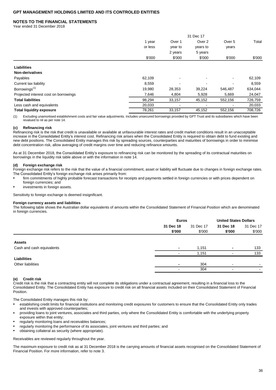### **NOTES TO THE FINANCIAL STATEMENTS**

Year ended 31 December 2018

| Over 2<br>Over <sub>5</sub><br>Over 1<br>1 year<br>or less<br>year to<br>years to<br>years |                    |         |
|--------------------------------------------------------------------------------------------|--------------------|---------|
|                                                                                            |                    | Total   |
|                                                                                            |                    |         |
|                                                                                            | 2 years<br>5 years |         |
| \$'000<br>\$'000<br>\$'000<br>\$'000                                                       |                    | \$'000  |
| <b>Liabilities</b>                                                                         |                    |         |
| Non-derivatives                                                                            |                    |         |
| Payables<br>62,109<br>٠                                                                    |                    | 62,109  |
| 8,559<br>Current tax liability                                                             |                    | 8,559   |
| Borrowings <sup>(1)</sup><br>19,980<br>28,353<br>39,224<br>546,487                         |                    | 634,044 |
| 7,646<br>Projected interest cost on borrowings<br>4,804<br>5,928<br>5,669                  |                    | 24,047  |
| <b>Total liabilities</b><br>98,294<br>33,157<br>45,152<br>552,156                          |                    | 728,759 |
| 20,033<br>Less cash and equivalents                                                        |                    | 20,033  |
| 78,261<br><b>Total liquidity exposure</b><br>33,157<br>45,152<br>552,156                   |                    | 708,726 |

(1) Excluding unamortised establishment costs and fair value adjustments. Includes unsecured borrowings provided by GPT Trust and its subsidiaries which have been revalued to nil as per note 14.

### **(c) Refinancing risk**

Refinancing risk is the risk that credit is unavailable or available at unfavourable interest rates and credit market conditions result in an unacceptable increase in the Consolidated Entity's interest cost. Refinancing risk arises when the Consolidated Entity is required to obtain debt to fund existing and new debt positions. The Consolidated Entity manages this risk by spreading sources, counterparties and maturities of borrowings in order to minimise debt concentration risk, allow averaging of credit margins over time and reducing refinance amounts.

As at 31 December 2018, the Consolidated Entity's exposure to refinancing risk can be monitored by the spreading of its contractual maturities on borrowings in the liquidity risk table above or with the information in note 14.

#### **(d) Foreign exchange risk**

Foreign exchange risk refers to the risk that the value of a financial commitment, asset or liability will fluctuate due to changes in foreign exchange rates. The Consolidated Entity's foreign exchange risk arises primarily from:

firm commitments of highly probable forecast transactions for receipts and payments settled in foreign currencies or with prices dependent on foreign currencies; and

investments in foreign assets.

Sensitivity to foreign exchange is deemed insignificant.

#### **Foreign currency assets and liabilities**

The following table shows the Australian dollar equivalents of amounts within the Consolidated Statement of Financial Position which are denominated in foreign currencies.

|                           | <b>Euros</b>                        |        | <b>United States Dollars</b> |           |
|---------------------------|-------------------------------------|--------|------------------------------|-----------|
|                           | 31 Dec 18<br>31 Dec 18<br>31 Dec 17 |        |                              | 31 Dec 17 |
|                           | \$'000                              | \$'000 | \$'000                       | \$'000    |
|                           |                                     |        |                              |           |
| <b>Assets</b>             |                                     |        |                              |           |
| Cash and cash equivalents |                                     | 1,151  | ٠                            | 133       |
|                           |                                     | 1,151  |                              | 133       |
| <b>Liabilities</b>        |                                     |        |                              |           |
| Other liabilities         | $\blacksquare$                      | 304    | $\overline{\phantom{a}}$     |           |
|                           | $\overline{\phantom{0}}$            | 304    | $\sim$                       | -         |

### **(e) Credit risk**

Credit risk is the risk that a contracting entity will not complete its obligations under a contractual agreement, resulting in a financial loss to the Consolidated Entity. The Consolidated Entity has exposure to credit risk on all financial assets included on their Consolidated Statement of Financial Position.

The Consolidated Entity manages this risk by:

- establishing credit limits for financial institutions and monitoring credit exposures for customers to ensure that the Consolidated Entity only trades and invests with approved counterparties:
- providing loans to joint ventures, associates and third parties, only where the Consolidated Entity is comfortable with the underlying property exposure within that entity;
- regularly monitoring loans and receivables balances;
- regularly monitoring the performance of its associates, joint ventures and third parties; and
- obtaining collateral as security (where appropriate).

#### Receivables are reviewed regularly throughout the year.

The maximum exposure to credit risk as at 31 December 2018 is the carrying amounts of financial assets recognised on the Consolidated Statement of Financial Position. For more information, refer to note 3.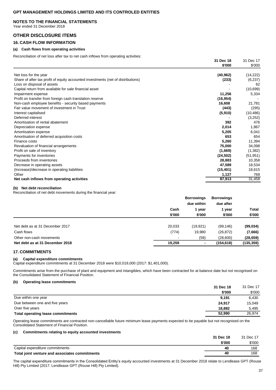### **NOTES TO THE FINANCIAL STATEMENTS**

Year ended 31 December 2018

# **OTHER DISCLOSURE ITEMS**

### **16. CASH FLOW INFORMATION**

### **(a) Cash flows from operating activities**

Reconciliation of net loss after tax to net cash inflows from operating activities:

|                                                                                  | 31 Dec 18<br>\$'000 | 31 Dec 17<br>\$'000 |
|----------------------------------------------------------------------------------|---------------------|---------------------|
| Net loss for the year                                                            | (40, 962)           | (14, 222)           |
| Share of after tax profit of equity accounted investments (net of distributions) | (233)               | (6, 237)            |
| Loss on disposal of assets                                                       |                     | 62                  |
| Capital return from available for sale financial asset                           |                     | (10, 699)           |
| Impairment expense                                                               | 11,256              | 5,334               |
| Profit on transfer from foreign cash translation reserve                         | (16, 954)           |                     |
| Non-cash employee benefits - security based payments                             | 16,608              | 21,781              |
| Fair value movement of investment in Trust                                       | (443)               | (295)               |
| Interest capitalised                                                             | (5,910)             | (10, 486)           |
| Deferred interest                                                                |                     | (3,252)             |
| Amortisation of rental abatement                                                 | 392                 | 476                 |
| Depreciation expense                                                             | 2,014               | 1,867               |
| Amortisation expense                                                             | 5,205               | 6,041               |
| Amortisation of deferred acquisition costs                                       | 653                 | 654                 |
| Finance costs                                                                    | 5,260               | 11,394              |
| Revaluation of financial arrangements                                            | 75,000              | 34,098              |
| Profit on sale of inventory                                                      | (1,669)             | (1,382)             |
| Payments for inventories                                                         | (24, 502)           | (51, 951)           |
| Proceeds from inventories                                                        | 28,883              | 10,358              |
| Decrease in operating assets                                                     | 47,589              | 18,534              |
| (Increase)/decrease in operating liabilities                                     | (15, 401)           | 18,615              |
| Other                                                                            | 1,127               | 768                 |
| Net cash inflows from operating activities                                       | 87,913              | 31,458              |

#### **(b) Net debt reconciliation**

Reconciliation of net debt movements during the financial year:

|                                 | <b>Borrowings</b><br>due within |           | <b>Borrowings</b><br>due after |                 |
|---------------------------------|---------------------------------|-----------|--------------------------------|-----------------|
|                                 | Cash<br>\$'000                  | 1 year    | 1 year<br>\$'000               | Total<br>\$'000 |
|                                 |                                 | \$'000    |                                |                 |
| Net debt as at 31 December 2017 | 20,033                          | (19, 921) | (99, 146)                      | (99, 034)       |
| Cash flows                      | (774)                           | 19,980    | (26, 872)                      | (7,666)         |
| Other non-cash movements        |                                 | (59)      | (28,600)                       | (28, 659)       |
| Net debt as at 31 December 2018 | 19.259                          |           | (154, 618)                     | (135, 359)      |

### **17. COMMITMENTS**

### **(a) Capital expenditure commitments**

Capital expenditure commitments at 31 December 2018 were \$10,019,000 (2017: \$1,401,000).

Commitments arise from the purchase of plant and equipment and intangibles, which have been contracted for at balance date but not recognised on the Consolidated Statement of Financial Position.

### **(b) Operating lease commitments**

|                                          | 31 Dec 18 | 31 Dec 17 |
|------------------------------------------|-----------|-----------|
|                                          | \$'000    | \$'000    |
| Due within one year                      | 9.191     | 6.430     |
| Due between one and five years           | 24.917    | 15.049    |
| Over five years                          | 18.882    | 5.495     |
| <b>Total operating lease commitments</b> | 52,990    | 26.974    |

Operating lease commitments are contracted non-cancellable future minimum lease payments expected to be payable but not recognised on the Consolidated Statement of Financial Position.

### **(c) Commitments relating to equity accounted investments**

|                                                | 31 Dec 18 | 31 Dec 17 |
|------------------------------------------------|-----------|-----------|
|                                                | \$'000    | \$'000    |
| Capital expenditure commitments                | 40        | 168       |
| Total joint venture and associates commitments | 40        | 168       |
|                                                |           |           |

The capital expenditure commitments in the Consolidated Entity's equity accounted investments at 31 December 2018 relate to Lendlease GPT (Rouse Hill) Pty Limited (2017: Lendlease GPT (Rouse Hill) Pty Limited).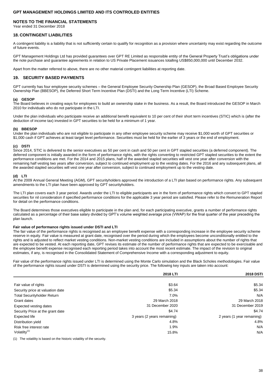### **NOTES TO THE FINANCIAL STATEMENTS**

Year ended 31 December 2018

#### **18. CONTINGENT LIABILITIES**

A contingent liability is a liability that is not sufficiently certain to qualify for recognition as a provision where uncertainty may exist regarding the outcome of future events.

GPT Management Holdings Ltd has provided guarantees over GPT RE Limited as responsible entity of the General Property Trust's obligations under the note purchase and guarantee agreements in relation to US Private Placement issuances totalling US\$850,000,000 until December 2032.

Apart from the matter referred to above, there are no other material contingent liabilities at reporting date.

#### **19. SECURITY BASED PAYMENTS**

GPT currently has four employee security schemes – the General Employee Security Ownership Plan (GESOP), the Broad Based Employee Security Ownership Plan (BBESOP), the Deferred Short Term Incentive Plan (DSTI) and the Long Term Incentive (LTI) Scheme.

### **(a) GESOP**

The Board believes in creating ways for employees to build an ownership stake in the business. As a result, the Board introduced the GESOP in March 2010 for individuals who do not participate in the LTI.

Under the plan individuals who participate receive an additional benefit equivalent to 10 per cent of their short term incentives (STIC) which is (after the deduction of income tax) invested in GPT securities to be held for a minimum of 1 year.

#### **(b) BBESOP**

Under the plan individuals who are not eligible to participate in any other employee security scheme may receive \$1,000 worth of GPT securities or \$1,000 cash if GPT achieves at least target level performance. Securities must be held for the earlier of 3 years or the end of employment.

### **(c) DSTI**

Since 2014, STIC is delivered to the senior executives as 50 per cent in cash and 50 per cent in GPT stapled securities (a deferred component). The deferred component is initially awarded in the form of performance rights, with the rights converting to restricted GPT stapled securities to the extent the performance conditions are met. For the 2014 and 2015 plans, half of the awarded stapled securities will vest one year after conversion with the remaining half vesting two years after conversion, subject to continued employment up to the vesting dates. For the 2016 and any subsequent plans, all the awarded stapled securities will vest one year after conversion, subject to continued employment up to the vesting date.

#### **(d) LTI**

At the 2009 Annual General Meeting (AGM), GPT securityholders approved the introduction of a LTI plan based on performance rights. Any subsequent amendments to the LTI plan have been approved by GPT securityholders.

The LTI plan covers each 3 year period. Awards under the LTI to eligible participants are in the form of performance rights which convert to GPT stapled securities for nil consideration if specified performance conditions for the applicable 3 year period are satisfied. Please refer to the Remuneration Report for detail on the performance conditions.

The Board determines those executives eligible to participate in the plan and, for each participating executive, grants a number of performance rights calculated as a percentage of their base salary divided by GPT's volume weighted average price (VWAP) for the final quarter of the year preceding the plan launch.

#### **Fair value of performance rights issued under DSTI and LTI**

The fair value of the performance rights is recognised as an employee benefit expense with a corresponding increase in the employee security scheme reserve in equity. Fair value is measured at grant date, recognised over the period during which the employees become unconditionally entitled to the rights and is adjusted to reflect market vesting conditions. Non-market vesting conditions are included in assumptions about the number of rights that are expected to be vested. At each reporting date, GPT revises its estimate of the number of performance rights that are expected to be exercisable and the employee benefit expense recognised each reporting period takes into account the most recent estimate. The impact of the revision to original estimates, if any, is recognised in the Consolidated Statement of Comprehensive Income with a corresponding adjustment to equity.

Fair value of the performance rights issued under LTI is determined using the Monte Carlo simulation and the Black Scholes methodologies. Fair value of the performance rights issued under DSTI is determined using the security price. The following key inputs are taken into account:

|                                    | 2018 LTI                    | <b>2018 DSTI</b>           |
|------------------------------------|-----------------------------|----------------------------|
| Fair value of rights               | \$3.64                      | \$5.34                     |
| Security price at valuation date   | \$5.34                      | \$5.34                     |
| <b>Total Securityholder Return</b> | 7.0%                        | N/A                        |
| Grant dates                        | 29 March 2018               | 29 March 2018              |
| Expected vesting dates             | 31 December 2020            | 31 December 2019           |
| Security Price at the grant date   | \$4.74                      | \$4.74                     |
| Expected life                      | 3 years (2 years remaining) | 2 years (1 year remaining) |
| Distribution yield                 | 4.8%                        | 4.8%                       |
| Risk free interest rate            | 1.9%                        | N/A                        |
| Volatilty $(1)$                    | 15.8%                       | N/A                        |

(1) The volatility is based on the historic volatility of the security.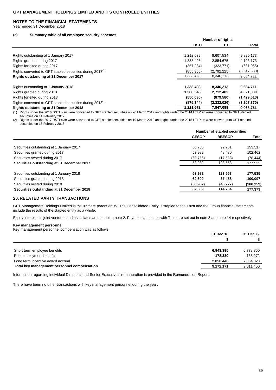### **NOTES TO THE FINANCIAL STATEMENTS**

Year ended 31 December 2018

#### **(e) Summary table of all employee security schemes**

|                                                                       | Number of rights |             |             |
|-----------------------------------------------------------------------|------------------|-------------|-------------|
|                                                                       | <b>DSTI</b>      | LTI         | Total       |
|                                                                       |                  |             |             |
| Rights outstanding at 1 January 2017                                  | 1,212,639        | 8,607,534   | 9,820,173   |
| Rights granted during 2017                                            | 1,338,498        | 2,854,675   | 4,193,173   |
| Rights forfeited during 2017                                          | (357, 284)       | (323, 771)  | (681, 055)  |
| Rights converted to GPT stapled securities during 2017 <sup>(1)</sup> | (855.355)        | (2,792,225) | (3,647,580) |
| Rights outstanding at 31 December 2017                                | 1,338,498        | 8,346,213   | 9,684,711   |
| Rights outstanding at 1 January 2018                                  | 1,338,498        | 8,346,213   | 9,684,711   |
| Rights granted during 2018                                            | 1,308,548        | 2,712,482   | 4,021,030   |
| Rights forfeited during 2018                                          | (550, 030)       | (879, 580)  | (1,429,610) |
| Rights converted to GPT stapled securities during 2018 <sup>(1)</sup> | (875, 344)       | (2,332,026) | (3,207,370) |
| Rights outstanding at 31 December 2018                                | 1,221,672        | 7,847,089   | 9.068.761   |

**Number of rights**

(1) Rights under the 2016 DSTI plan were converted to GPT stapled securities on 20 March 2017 and rights under the 2014 LTI Plan were converted to GPT stapled securities on 14 February 2017.

(2) Rights under the 2017 DSTI plan were converted to GPT stapled securities on 19 March 2018 and rights under the 2015 LTI Plan were converted to GPT stapled securities on 13 February 2018.

|                                            | Number of stapled securities |               |            |
|--------------------------------------------|------------------------------|---------------|------------|
|                                            | <b>GESOP</b>                 | <b>BBESOP</b> | Total      |
|                                            |                              |               |            |
| Securities outstanding at 1 January 2017   | 60.756                       | 92.761        | 153,517    |
| Securities granted during 2017             | 53.982                       | 48.480        | 102,462    |
| Securities vested during 2017              | (60, 756)                    | (17,688)      | (78, 444)  |
| Securities outstanding at 31 December 2017 | 53.982                       | 123.553       | 177,535    |
| Securities outstanding at 1 January 2018   | 53.982                       | 123.553       | 177,535    |
| Securities granted during 2018             | 62.609                       | 37.488        | 100,097    |
| Securities vested during 2018              | (53, 982)                    | (46, 277)     | (100, 259) |
| Securities outstanding at 31 December 2018 | 62.609                       | 114.764       | 177,373    |

### **20. RELATED PARTY TRANSACTIONS**

GPT Management Holdings Limited is the ultimate parent entity. The Consolidated Entity is stapled to the Trust and the Group financial statements include the results of the stapled entity as a whole.

Equity interests in joint ventures and associates are set out in note 2. Payables and loans with Trust are set out in note 8 and note 14 respectively.

### **Key management personnel**

Key management personnel compensation was as follows:

|                                             | 31 Dec 18 | 31 Dec 17 |
|---------------------------------------------|-----------|-----------|
|                                             |           |           |
|                                             |           |           |
| Short term employee benefits                | 6.943.395 | 6,778,850 |
| Post employment benefits                    | 178.330   | 168,272   |
| Long term incentive award accrual           | 2,050,446 | 2,064,328 |
| Total key management personnel compensation | 9,172,171 | 9,011,450 |
|                                             |           |           |

Information regarding individual Directors' and Senior Executives' remuneration is provided in the Remuneration Report.

There have been no other transactions with key management personnel during the year.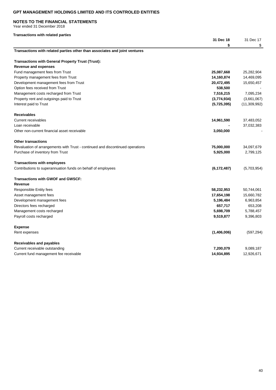### **NOTES TO THE FINANCIAL STATEMENTS**

Year ended 31 December 2018

## **Transactions with related parties**

|                                                                                | 31 Dec 18     | 31 Dec 17    |
|--------------------------------------------------------------------------------|---------------|--------------|
|                                                                                | \$            | \$           |
| Transactions with related parties other than associates and joint ventures     |               |              |
| <b>Transactions with General Property Trust (Trust):</b>                       |               |              |
| <b>Revenue and expenses</b>                                                    |               |              |
| Fund management fees from Trust                                                | 25,087,668    | 25,282,904   |
| Property management fees from Trust                                            | 14,160,874    | 14,469,095   |
| Development management fees from Trust                                         | 20,472,495    | 15,650,457   |
| Option fees received from Trust                                                | 538,500       |              |
| Management costs recharged from Trust                                          | 7,516,215     | 7,095,234    |
| Property rent and outgoings paid to Trust                                      | (3,774,934)   | (3,661,067)  |
| Interest paid to Trust                                                         | (5,725,395)   | (11,309,992) |
| <b>Receivables</b>                                                             |               |              |
| <b>Current receivables</b>                                                     | 14,961,590    | 37,483,052   |
| Loan receivable                                                                |               | 37,032,383   |
| Other non-current financial asset receivable                                   | 3,050,000     |              |
| <b>Other transactions</b>                                                      |               |              |
| Revaluation of arrangements with Trust - continued and discontinued operations | 75,000,000    | 34,097,679   |
| Purchase of inventory from Trust                                               | 5,925,000     | 2,799,125    |
| <b>Transactions with employees</b>                                             |               |              |
| Contributions to superannuation funds on behalf of employees                   | (6, 172, 487) | (5,703,954)  |
| <b>Transactions with GWOF and GWSCF:</b>                                       |               |              |
| Revenue                                                                        |               |              |
| Responsible Entity fees                                                        | 58,232,953    | 50,744,061   |
| Asset management fees                                                          | 17,654,198    | 15,660,782   |
| Development management fees                                                    | 5,196,484     | 6,963,854    |
| Directors fees recharged                                                       | 657,717       | 653,208      |
| Management costs recharged                                                     | 5,698,709     | 5,788,457    |
| Payroll costs recharged                                                        | 9,519,877     | 9,396,803    |
| <b>Expense</b>                                                                 |               |              |
| Rent expenses                                                                  | (1,406,006)   | (597, 294)   |
| Receivables and payables                                                       |               |              |
| Current receivable outstanding                                                 | 7,200,079     | 9,089,187    |
| Current fund management fee receivable                                         | 14,934,895    | 12,926,671   |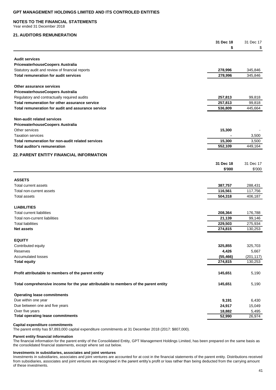#### **NOTES TO THE FINANCIAL STATEMENTS**

Year ended 31 December 2018

### **21. AUDITORS REMUNERATION**

|                                                                                      | 31 Dec 18 | 31 Dec 17  |
|--------------------------------------------------------------------------------------|-----------|------------|
|                                                                                      | \$        | \$         |
| <b>Audit services</b>                                                                |           |            |
| PricewaterhouseCoopers Australia                                                     |           |            |
| Statutory audit and review of financial reports                                      | 278,996   | 345,846    |
| <b>Total remuneration for audit services</b>                                         | 278,996   | 345,846    |
|                                                                                      |           |            |
| Other assurance services                                                             |           |            |
| PricewaterhouseCoopers Australia                                                     |           |            |
| Regulatory and contractually required audits                                         | 257,813   | 99,818     |
| Total remuneration for other assurance service                                       | 257,813   | 99,818     |
| Total remuneration for audit and assurance service                                   | 536,809   | 445,664    |
| Non-audit related services                                                           |           |            |
| PricewaterhouseCoopers Australia                                                     |           |            |
| Other services                                                                       | 15,300    |            |
| <b>Taxation services</b>                                                             |           | 3,500      |
| Total remuneration for non-audit related services                                    | 15,300    | 3,500      |
| <b>Total auditor's remuneration</b>                                                  | 552,109   | 449,164    |
| <b>22. PARENT ENTITY FINANCIAL INFORMATION</b>                                       |           |            |
|                                                                                      | 31 Dec 18 | 31 Dec 17  |
|                                                                                      | \$'000    | \$'000     |
|                                                                                      |           |            |
| <b>ASSETS</b>                                                                        |           |            |
| Total current assets                                                                 | 387,757   | 288,431    |
| Total non-current assets                                                             | 116,561   | 117,756    |
| Total assets                                                                         | 504,318   | 406,187    |
|                                                                                      |           |            |
| <b>LIABILITIES</b>                                                                   |           |            |
| Total current liabilities                                                            | 208,364   | 176,788    |
| Total non-current liabilities                                                        | 21,139    | 99,146     |
| <b>Total liabilities</b>                                                             | 229,503   | 275,934    |
| <b>Net assets</b>                                                                    | 274,815   | 130,253    |
| <b>EQUITY</b>                                                                        |           |            |
| Contributed equity                                                                   | 325,855   | 325,703    |
| Reserves                                                                             | 4,426     | 5,667      |
| <b>Accumulated losses</b>                                                            | (55, 466) | (201, 117) |
| <b>Total equity</b>                                                                  | 274,815   | 130,253    |
|                                                                                      |           |            |
| Profit attributable to members of the parent entity                                  | 145,651   | 5,190      |
| Total comprehensive income for the year attributable to members of the parent entity | 145,651   | 5,190      |
| <b>Operating lease commitments</b>                                                   |           |            |
| Due within one year                                                                  | 9,191     | 6,430      |
| Due between one and five years                                                       | 24,917    | 15,049     |
| Over five years                                                                      | 18,882    | 5,495      |
| <b>Total operating lease commitments</b>                                             | 52,990    | 26,974     |
|                                                                                      |           |            |

#### **Capital expenditure commitments**

The parent entity has \$7,893,000 capital expenditure commitments at 31 December 2018 (2017: \$807,000).

### **Parent entity financial information**

The financial information for the parent entity of the Consolidated Entity, GPT Management Holdings Limited, has been prepared on the same basis as the consolidated financial statements, except where set out below.

### **Investments in subsidiaries, associates and joint ventures**

Investments in subsidiaries, associates and joint ventures are accounted for at cost in the financial statements of the parent entity. Distributions received from subsidiaries, associates and joint ventures are recognised in the parent entity's profit or loss rather than being deducted from the carrying amount of these investments.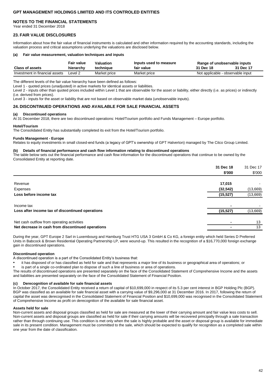### **NOTES TO THE FINANCIAL STATEMENTS**

Year ended 31 December 2018

### **23. FAIR VALUE DISCLOSURES**

Information about how the fair value of financial instruments is calculated and other information required by the accounting standards, including the valuation process and critical assumptions underlying the valuations are disclosed below.

#### **(a) Fair value measurement, valuation techniques and inputs**

|                                | Fair value | Valuation    | Inputs used to measure | Range of unobservable inputs      |           |
|--------------------------------|------------|--------------|------------------------|-----------------------------------|-----------|
| <b>Class of assets</b>         | hierarchv  | technique    | fair value             | 31 Dec 18                         | 31 Dec 17 |
| Investment in financial assets | ∟evel 2    | Market price | Market price           | Not applicable - observable input |           |

The different levels of the fair value hierarchy have been defined as follows:

Level 1 - quoted prices (unadjusted) in active markets for identical assets or liabilities.

Level 2 - inputs other than quoted prices included within Level 1 that are observable for the asset or liability, either directly (i.e. as prices) or indirectly (i.e. derived from prices).

Level 3 - inputs for the asset or liability that are not based on observable market data (unobservable inputs).

### **24. DISCONTINUED OPERATIONS AND AVAILABLE FOR SALE FINANCIAL ASSETS**

#### **(a) Discontinued operations**

At 31 December 2018, there are two discontinued operations: Hotel/Tourism portfolio and Funds Management – Europe portfolio.

#### **Hotel/Tourism**

The Consolidated Entity has substantially completed its exit from the Hotel/Tourism portfolio.

#### **Funds Management - Europe**

Relates to equity investments in small closed-end funds (a legacy of GPT's ownership of GPT Halverton) managed by The Citco Group Limited.

#### **(b) Details of financial performance and cash flow information relating to discontinued operations**

The table below sets out the financial performance and cash flow information for the discontinued operations that continue to be owned by the Consolidated Entity at reporting date.

|                                                   | 31 Dec 18 | 31 Dec 17<br>\$'000 |
|---------------------------------------------------|-----------|---------------------|
|                                                   | \$'000    |                     |
|                                                   |           |                     |
| Revenue                                           | 17,015    |                     |
| <b>Expenses</b>                                   | (32, 542) | (13,669)            |
| Loss before income tax                            | (15, 527) | (13,669)            |
| Income tax                                        |           |                     |
| Loss after income tax of discontinued operations  | (15, 527) | (13,669)            |
| Net cash outflow from operating activities        |           | 13                  |
| Net decrease in cash from discontinued operations |           | 13                  |

During the year, GPT Europe 2 Sarl in Luxembourg and Hamburg Trust HTG USA 3 GmbH & Co KG, a foreign entity which held Series D Preferred Units in Babcock & Brown Residential Operating Partnership LP, were wound-up. This resulted in the recognition of a \$16,770,000 foreign exchange gain in discontinued operations.

#### **Discontinued operation**

A discontinued operation is a part of the Consolidated Entity's business that:

• it has disposed of or has classified as held for sale and that represents a major line of its business or geographical area of operations; or

• is part of a single co-ordinated plan to dispose of such a line of business or area of operations.

The results of discontinued operations are presented separately on the face of the Consolidated Statement of Comprehensive Income and the assets and liabilities are presented separately on the face of the Consolidated Statement of Financial Position.

#### **(c) Derecognition of available for sale financial assets**

In October 2017, the Consolidated Entity received a return of capital of \$10,699,000 in respect of its 5.3 per cent interest in BGP Holding Plc (BGP). BGP was classified as an available for sale financial asset with a carrying value of \$9,296,000 at 31 December 2016. In 2017, following the return of capital the asset was derecognised in the Consolidated Statement of Financial Position and \$10,699,000 was recognised in the Consolidated Statement of Comprehensive Income as profit on derecognition of the available for sale financial asset.

#### **Assets held for sale**

Non-current assets and disposal groups classified as held for sale are measured at the lower of their carrying amount and fair value less costs to sell. Non-current assets and disposal groups are classified as held for sale if their carrying amounts will be recovered principally through a sale transaction rather than through continuing use. This condition is met only when the sale is highly probable and the asset or disposal group is available for immediate sale in its present condition. Management must be committed to the sale, which should be expected to qualify for recognition as a completed sale within one year from the date of classification.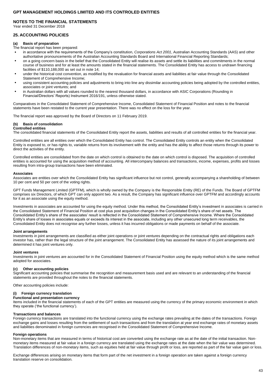### **NOTES TO THE FINANCIAL STATEMENTS**

Year ended 31 December 2018

### **25. ACCOUNTING POLICIES**

#### **(a) Basis of preparation**

The financial report has been prepared:

- in accordance with the requirements of the Company's constitution, *Corporations Act 2001*, Australian Accounting Standards (AAS) and other authoritative pronouncements of the Australian Accounting Standards Board and International Financial Reporting Standards;
- on a going concern basis in the belief that the Consolidated Entity will realise its assets and settle its liabilities and commitments in the normal course of business and for at least the amounts stated in the financial statements. The Consolidated Entity has access to undrawn financing facilities of \$110,188,000 as set out in note 14;
- under the historical cost convention, as modified by the revaluation for financial assets and liabilities at fair value through the Consolidated Statement of Comprehensive Income;
- using consistent accounting policies and adjustments to bring into line any dissimilar accounting policies being adopted by the controlled entities, associates or joint ventures; and
- in Australian dollars with all values rounded to the nearest thousand dollars, in accordance with ASIC Corporations (Rounding in Financial/Directors' Reports) Instrument 2016/191, unless otherwise stated.

Comparatives in the Consolidated Statement of Comprehensive Income, Consolidated Statement of Financial Position and notes to the financial statements have been restated to the current year presentation. There was no effect on the loss for the year.

The financial report was approved by the Board of Directors on 11 February 2019.

### **(b) Basis of consolidation**

#### **Controlled entities**

The consolidated financial statements of the Consolidated Entity report the assets, liabilities and results of all controlled entities for the financial year.

Controlled entities are all entities over which the Consolidated Entity has control. The Consolidated Entity controls an entity when the Consolidated Entity is exposed to, or has rights to, variable returns from its involvement with the entity and has the ability to affect those returns through its power to direct the activities of the entity.

Controlled entities are consolidated from the date on which control is obtained to the date on which control is disposed. The acquisition of controlled entities is accounted for using the acquisition method of accounting. All intercompany balances and transactions, income, expenses, profits and losses resulting from intra-group transactions have been eliminated.

#### **Associates**

Associates are entities over which the Consolidated Entity has significant influence but not control, generally accompanying a shareholding of between 10 per cent and 50 per cent of the voting rights.

GPT Funds Management Limited (GPTFM), which is wholly owned by the Company is the Responsible Entity (RE) of the Funds. The Board of GPTFM comprises six Directors, of which GPT can only appoint two. As a result, the Company has significant influence over GPTFM and accordingly accounts for it as an associate using the equity method.

Investments in associates are accounted for using the equity method. Under this method, the Consolidated Entity's investment in associates is carried in the Consolidated Statement of Financial Position at cost plus post acquisition changes in the Consolidated Entity's share of net assets. The Consolidated Entity's share of the associates' result is reflected in the Consolidated Statement of Comprehensive Income. Where the Consolidated Entity's share of losses in associates equals or exceeds its interest in the associate, including any other unsecured long term receivables, the Consolidated Entity does not recognise any further losses, unless it has incurred obligations or made payments on behalf of the associate.

#### **Joint arrangements**

Investments in joint arrangements are classified as either joint operations or joint ventures depending on the contractual rights and obligations each investor has, rather than the legal structure of the joint arrangement. The Consolidated Entity has assessed the nature of its joint arrangements and determined it has joint ventures only.

#### **Joint ventures**

Investments in joint ventures are accounted for in the Consolidated Statement of Financial Position using the equity method which is the same method adopted for associates.

#### **(c) Other accounting policies**

Significant accounting policies that summarise the recognition and measurement basis used and are relevant to an understanding of the financial statements are provided throughout the notes to the financial statements.

Other accounting policies include:

#### **(i) Foreign currency translation**

# **Functional and presentation currency**

Items included in the financial statements of each of the GPT entities are measured using the currency of the primary economic environment in which they operate ('the functional currency').

#### **Transactions and balances**

Foreign currency transactions are translated into the functional currency using the exchange rates prevailing at the dates of the transactions. Foreign exchange gains and losses resulting from the settlement of such transactions and from the translation at year end exchange rates of monetary assets and liabilities denominated in foreign currencies are recognised in the Consolidated Statement of Comprehensive Income.

#### **Foreign operations**

Non-monetary items that are measured in terms of historical cost are converted using the exchange rate as at the date of the initial transaction. Nonmonetary items measured at fair value in a foreign currency are translated using the exchange rates at the date when the fair value was determined. Translation differences of non-monetary items, such as equities held at fair value through profit or loss, are reported as part of the fair value gain or loss.

Exchange differences arising on monetary items that form part of the net investment in a foreign operation are taken against a foreign currency translation reserve on consolidation.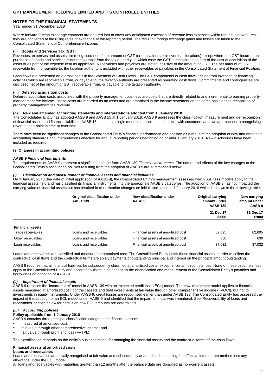### **NOTES TO THE FINANCIAL STATEMENTS**

Year ended 31 December 2018

Where forward foreign exchange contracts are entered into to cover any anticipated excesses of revenue less expenses within foreign joint ventures, they are converted at the ruling rates of exchange at the reporting period. The resulting foreign exchange gains and losses are taken to the Consolidated Statement of Comprehensive Income.

#### **(ii) Goods and Services Tax (GST)**

Revenues, expenses and assets are recognised net of the amount of GST (or equivalent tax in overseas locations) except where the GST incurred on purchase of goods and services is not recoverable from the tax authority, in which case the GST is recognised as part of the cost of acquisition of the asset or as part of the expense item as applicable. Receivables and payables are stated inclusive of the amount of GST. The net amount of GST receivable from, or payable to, the taxation authority is included with other receivables or payables in the Consolidated Statement of Financial Position.

Cash flows are presented on a gross basis in the Statement of Cash Flows. The GST components of cash flows arising from investing or financing activities which are recoverable from, or payable to, the taxation authority are presented as operating cash flows. Commitments and contingencies are disclosed net of the amount of GST recoverable from, or payable to, the taxation authority.

#### **(iii) Deferred acquisition costs**

Deferred acquisition costs associated with the property management business are costs that are directly related to and incremental to earning property management fee income. These costs are recorded as an asset and are amortised in the income statement on the same basis as the recognition of property management fee revenue.

#### **(d) New and amended accounting standards and interpretations adopted from 1 January 2018**

The Consolidated Entity has adopted AASB 9 and AASB 15 at 1 January 2018. AASB 9 addresses the classification, measurement and de-recognition of financial assets and financial liabilities. AASB 15 contains a single model that applies to contracts with customers and two approaches to recognising revenue: at a point in time or over time.

There have been no significant changes to the Consolidated Entity's financial performance and position as a result of the adoption of new and amended accounting standards and interpretations effective for annual reporting periods beginning on or after 1 January 2018. New disclosures have been included as required.

### **(e) Changes in accounting policies**

#### **AASB 9** *Financial Instruments*

The requirements of AASB 9 represent a significant change from AASB 139 *Financial Instruments*. The nature and effects of the key changes to the Consolidated Entity's accounting policies resulting from the adoption of AASB 9 are summarised below.

#### *(i) Classification and measurement of financial assets and financial liabilities*

On 1 January 2018 (the date of initial application of AASB 9), the Consolidated Entity's management assessed which business models apply to the financial assets held and has classified its financial instruments into the appropriate AASB 9 categories. The adoption of AASB 9 has not impacted the carrying value of financial assets but has resulted in classification changes on initial application at 1 January 2018 which is shown in the following table:

|                         | Original classification under<br><b>AASB 139</b> | New classification under<br>AASB 9 | <b>Original carrying</b><br>amount under<br><b>AASB 139</b> | New carrying<br>amount under<br>AASB <sub>9</sub> |
|-------------------------|--------------------------------------------------|------------------------------------|-------------------------------------------------------------|---------------------------------------------------|
|                         |                                                  |                                    | 31 Dec 17<br>\$'000                                         | 31 Dec 17<br>\$'000                               |
| <b>Financial assets</b> |                                                  |                                    |                                                             |                                                   |
| Trade receivables       | Loans and receivables                            | Financial assets at amortised cost | 62,895                                                      | 62,895                                            |
| Other receivables       | Loans and receivables                            | Financial assets at amortised cost | 630                                                         | 630                                               |
| Loan receivables        | Loans and receivables                            | Financial assets at amortised cost | 37.032                                                      | 37.032                                            |

Loans and receivables are classified and measured at amortised cost. The Consolidated Entity holds these financial assets in order to collect the contractual cash flows and the contractual terms are solely payments of outstanding principal and interest on the principal amount outstanding.

AASB 9 requires that all financial liabilities be subsequently classified at amortised costs, except in certain circumstances. None of these circumstances apply to the Consolidated Entity and accordingly there is no change to the classification and measurement of the Consolidated Entity's payables and borrowings on adoption of AASB 9.

#### *(ii) Impairment of financial assets*

AASB 9 replaces the 'incurred loss' model in AASB 139 with an 'expected credit loss' (ECL) model. The new impairment model applies to financial assets measured at amortised cost, contract assets and debt investments at fair value through other comprehensive income (FVOCI), but not to investments in equity instruments. Under AASB 9, credit losses are recognised earlier than under AASB 139. The Consolidated Entity has assessed the impact of the adoption of an ECL model under AASB 9 and identified that the impairment loss was immaterial. See 'Recoverability of loans and receivables' section below for details on how ECL amounts are determined.

#### $Accounting$  *policies*

#### **Policy applicable from 1 January 2018**

AASB 9 contains three principal classification categories for financial assets:

- measured at amortised cost;
- fair value through other comprehensive income; and
- fair value through profit and loss (FVTPL).

The classification depends on the entity's business model for managing the financial assets and the contractual terms of the cash flows.

#### **Financial assets at amortised costs**

#### **Loans and receivables**

Loans and receivables are initially recognised at fair value and subsequently at amortised cost using the effective interest rate method less any allowance under the ECL model.

All loans and receivables with maturities greater than 12 months after the balance date are classified as non-current assets.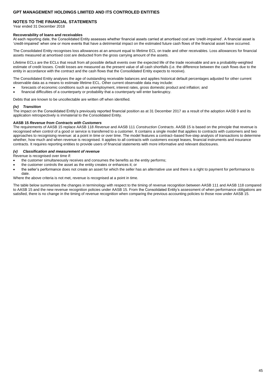### **NOTES TO THE FINANCIAL STATEMENTS**

Year ended 31 December 2018

#### **Recoverability of loans and receivables**

At each reporting date, the Consolidated Entity assesses whether financial assets carried at amortised cost are 'credit-impaired'. A financial asset is 'credit-impaired' when one or more events that have a detrimental impact on the estimated future cash flows of the financial asset have occurred.

The Consolidated Entity recognises loss allowances at an amount equal to lifetime ECL on trade and other receivables. Loss allowances for financial assets measured at amortised cost are deducted from the gross carrying amount of the assets.

Lifetime ECLs are the ECLs that result from all possible default events over the expected life of the trade receivable and are a probability-weighted estimate of credit losses. Credit losses are measured as the present value of all cash shortfalls (i.e. the difference between the cash flows due to the entity in accordance with the contract and the cash flows that the Consolidated Entity expects to receive).

The Consolidated Entity analyses the age of outstanding receivable balances and applies historical default percentages adjusted for other current observable data as a means to estimate lifetime ECL. Other current observable data may include:

- forecasts of economic conditions such as unemployment, interest rates, gross domestic product and inflation; and
- financial difficulties of a counterparty or probability that a counterparty will enter bankruptcy.

Debts that are known to be uncollectable are written off when identified.

#### *(iv) Transition*

The impact on the Consolidated Entity's previously reported financial position as at 31 December 2017 as a result of the adoption AASB 9 and its application retrospectively is immaterial to the Consolidated Entity.

#### **AASB 15** *Revenue from Contracts with Customers*

The requirements of AASB 15 replace AASB 118 *Revenue* and AASB 111 *Construction Contracts*. AASB 15 is based on the principle that revenue is recognised when control of a good or service is transferred to a customer. It contains a single model that applies to contracts with customers and two approaches to recognising revenue: at a point in time or over time. The model features a contract–based five-step analysis of transactions to determine whether, how much and when revenue is recognised. It applies to all contracts with customers except leases, financial instruments and insurance contracts. It requires reporting entities to provide users of financial statements with more informative and relevant disclosures.

### *(v) Classification and measurement of revenue*

Revenue is recognised over time if:

- the customer simultaneously receives and consumes the benefits as the entity performs;
- the customer controls the asset as the entity creates or enhances it; or
- the seller's performance does not create an asset for which the seller has an alternative use and there is a right to payment for performance to date.

Where the above criteria is not met, revenue is recognised at a point in time.

The table below summarises the changes in terminology with respect to the timing of revenue recognition between AASB 111 and AASB 118 compared to AASB 15 and the new revenue recognition policies under AASB 15. From the Consolidated Entity's assessment of when performance obligations are satisfied, there is no change in the timing of revenue recognition when comparing the previous accounting policies to those now under AASB 15.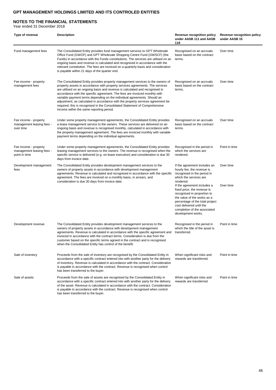### **NOTES TO THE FINANCIAL STATEMENTS**

Year ended 31 December 2018

| Type of revenue                                                     | <b>Description</b>                                                                                                                                                                                                                                                                                                                                                                                                                                                                                                                                                                                                      | <b>Revenue recognition policy</b><br>under AASB 111 and AASB<br>118                                                                                                                                                                                                                                                                                                               | Revenue recognition policy<br>under AASB 15 |
|---------------------------------------------------------------------|-------------------------------------------------------------------------------------------------------------------------------------------------------------------------------------------------------------------------------------------------------------------------------------------------------------------------------------------------------------------------------------------------------------------------------------------------------------------------------------------------------------------------------------------------------------------------------------------------------------------------|-----------------------------------------------------------------------------------------------------------------------------------------------------------------------------------------------------------------------------------------------------------------------------------------------------------------------------------------------------------------------------------|---------------------------------------------|
| Fund management fees                                                | The Consolidated Entity provides fund management services to GPT Wholesale<br>Office Fund (GWOF) and GPT Wholesale Shopping Centre Fund (GWSCF) (the<br>Funds) in accordance with the Funds constitutions. The services are utilised on an<br>ongoing basis and revenue is calculated and recognised in accordance with the<br>relevant constitution. The fees are invoiced on a quarterly basis and consideration<br>is payable within 21 days of the quarter end.                                                                                                                                                     | Recognised on an accruals<br>basis based on the contract<br>terms.                                                                                                                                                                                                                                                                                                                | Over time                                   |
| Fee income - property<br>management fees                            | The Consolidated Entity provides property management services to the owners of<br>property assets in accordance with property services agreements. The services<br>are utilised on an ongoing basis and revenue is calculated and recognised in<br>accordance with the specific agreement. The fees are invoiced monthly with<br>variable payment terms depending on the individual agreements. Should an<br>adjustment, as calculated in accordance with the property services agreement be<br>required, this is recognised in the Consolidated Statement of Comprehensive<br>Income within the same reporting period. | Recognised on an accruals<br>basis based on the contract<br>terms.                                                                                                                                                                                                                                                                                                                | Over time                                   |
| Fee income - property<br>management leasing fees -<br>over time     | Under some property management agreements, the Consolidated Entity provides<br>a lease management service to the owners. These services are delivered on an<br>ongoing basis and revenue is recognised monthly, calculated in accordance with<br>the property management agreement. The fees are invoiced monthly with variable<br>payment terms depending on the individual agreements.                                                                                                                                                                                                                                | Recognised on an accruals<br>basis based on the contract<br>terms.                                                                                                                                                                                                                                                                                                                | Over time                                   |
| Fee income - property<br>management leasing fees -<br>point in time | Under some property management agreements, the Consolidated Entity provides<br>leasing management services to the owners. The revenue is recognised when the<br>specific service is delivered (e.g. on lease execution) and consideration is due 30<br>days from invoice date.                                                                                                                                                                                                                                                                                                                                          | Recognised in the period in<br>which the services are<br>rendered.                                                                                                                                                                                                                                                                                                                | Point in time                               |
| Development management<br>fees                                      | The Consolidated Entity provides development management services to the<br>owners of property assets in accordance with development management<br>agreements. Revenue is calculated and recognised in accordance with the specific<br>agreement. The fees are invoiced on a monthly basis, in arrears, and<br>consideration is due 30 days from invoice date.                                                                                                                                                                                                                                                           | If the agreement includes an<br>hourly fee, the revenue is<br>recognised in the period in<br>which the services are<br>rendered.<br>If the agreement includes a<br>fixed price, the revenue is<br>recognised in proportion to<br>the value of the works as a<br>percentage of the total project<br>cost delivered until the<br>completion of the associated<br>development works. | Over time<br>Over time                      |
| Development revenue                                                 | The Consolidated Entity provides development management services to the<br>owners of property assets in accordance with development management<br>agreements. Revenue is calculated in accordance with the specific agreement and<br>invoiced in accordance with the contract terms. Consideration is due from the<br>customer based on the specific terms agreed in the contract and is recognised<br>when the Consolidated Entity has control of the benefit.                                                                                                                                                         | Recognised in the period in<br>which the title of the asset is<br>transferred.                                                                                                                                                                                                                                                                                                    | Point in time                               |
| Sale of inventory                                                   | Proceeds from the sale of inventory are recognised by the Consolidated Entity in<br>accordance with a specific contract entered into with another party for the delivery<br>of inventory. Revenue is calculated in accordance with the contract. Consideration<br>is payable in accordance with the contract. Revenue is recognised when control<br>has been transferred to the buyer.                                                                                                                                                                                                                                  | When significant risks and<br>rewards are transferred.                                                                                                                                                                                                                                                                                                                            | Point in time                               |
| Sale of assets                                                      | Proceeds from the sale of assets are recognised by the Consolidated Entity in<br>accordance with a specific contract entered into with another party for the delivery<br>of the asset. Revenue is calculated in accordance with the contract. Consideration<br>is payable in accordance with the contract. Revenue is recognised when control<br>has been transferred to the buyer.                                                                                                                                                                                                                                     | When significant risks and<br>rewards are transferred.                                                                                                                                                                                                                                                                                                                            | Point in time                               |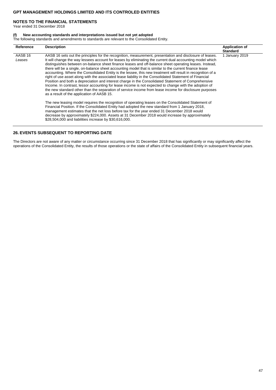### **NOTES TO THE FINANCIAL STATEMENTS**

Year ended 31 December 2018

#### **(f) New accounting standards and interpretations issued but not yet adopted**

The following standards and amendments to standards are relevant to the Consolidated Entity.

| Reference                    | <b>Description</b>                                                                                                                                                                                                                                                                                                                                                                                                                                                                                                                                                                                                                                                                                                                                                                                                                                                                                                                                                                                                                                                                                                                                 | <b>Application of</b><br><b>Standard</b> |
|------------------------------|----------------------------------------------------------------------------------------------------------------------------------------------------------------------------------------------------------------------------------------------------------------------------------------------------------------------------------------------------------------------------------------------------------------------------------------------------------------------------------------------------------------------------------------------------------------------------------------------------------------------------------------------------------------------------------------------------------------------------------------------------------------------------------------------------------------------------------------------------------------------------------------------------------------------------------------------------------------------------------------------------------------------------------------------------------------------------------------------------------------------------------------------------|------------------------------------------|
| AASB <sub>16</sub><br>Leases | AASB 16 sets out the principles for the recognition, measurement, presentation and disclosure of leases.<br>It will change the way lessees account for leases by eliminating the current dual accounting model which<br>distinguishes between on-balance sheet finance leases and off-balance sheet operating leases. Instead,<br>there will be a single, on-balance sheet accounting model that is similar to the current finance lease<br>accounting. Where the Consolidated Entity is the lessee, this new treatment will result in recognition of a<br>right of use asset along with the associated lease liability in the Consolidated Statement of Financial<br>Position and both a depreciation and interest charge in the Consolidated Statement of Comprehensive<br>Income. In contrast, lessor accounting for lease income is not expected to change with the adoption of<br>the new standard other than the separation of service income from lease income for disclosure purposes<br>as a result of the application of AASB 15.<br>The new leasing model requires the recognition of operating leases on the Consolidated Statement of | 1 January 2019                           |
|                              | Financial Position. If the Consolidated Entity had adopted the new standard from 1 January 2018,<br>management estimates that the net loss before tax for the year ended 31 December 2018 would<br>decrease by approximately \$224,000. Assets at 31 December 2018 would increase by approximately<br>\$28,504,000 and liabilities increase by \$30,616,000.                                                                                                                                                                                                                                                                                                                                                                                                                                                                                                                                                                                                                                                                                                                                                                                       |                                          |

### **26. EVENTS SUBSEQUENT TO REPORTING DATE**

The Directors are not aware of any matter or circumstance occurring since 31 December 2018 that has significantly or may significantly affect the operations of the Consolidated Entity, the results of those operations or the state of affairs of the Consolidated Entity in subsequent financial years.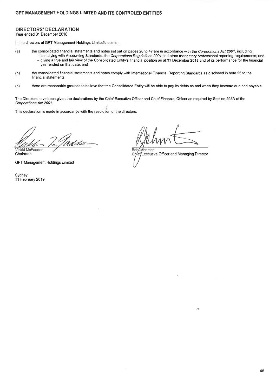# **DIRECTORS' DECLARATION**

Year ended 31 December 2018

In the directors of GPT Management Holdings Limited's opinion:

- the consolidated financial statements and notes set out on pages 20 to 47 are in accordance with the Corporations Act 2001, including:  $(a)$ 
	- complying with Accounting Standards, the Corporations Regulations 2001 and other mandatory professional reporting requirements; and - giving a true and fair view of the Consolidated Entity's financial position as at 31 December 2018 and of its performance for the financial year ended on that date; and
- $(b)$ the consolidated financial statements and notes comply with International Financial Reporting Standards as disclosed in note 25 to the financial statements.
- $(c)$ there are reasonable grounds to believe that the Consolidated Entity will be able to pay its debts as and when they become due and payable.

The Directors have been given the declarations by the Chief Executive Officer and Chief Financial Officer as required by Section 295A of the Corporations Act 2001.

This declaration is made in accordance with the resolution of the directors.

Vickki McFadden

Chairman

**GPT Management Holdings Limited** 

Sydney 11 February 2019

**Bob** .<br>Jøhnston Chief/Executive Officer and Managing Director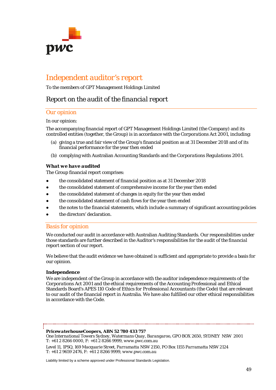

# *Independent auditor's report*

To the members of GPT Management Holdings Limited

# *Report on the audit of the financial report*

# *Our opinion*

# In our opinion:

The accompanying financial report of GPT Management Holdings Limited (the Company) and its controlled entities (together, the Group) is in accordance with the *Corporations Act 2001*, including:

- (a) giving a true and fair view of the Group's financial position as at 31 December 2018 and of its financial performance for the year then ended
- (b) complying with Australian Accounting Standards and the *Corporations Regulations 2001*.

# *What we have audited*

The Group financial report comprises:

- the consolidated statement of financial position as at 31 December 2018
- the consolidated statement of comprehensive income for the year then ended
- the consolidated statement of changes in equity for the year then ended
- the consolidated statement of cash flows for the year then ended
- the notes to the financial statements, which include a summary of significant accounting policies
- the directors' declaration.

# *Basis for opinion*

We conducted our audit in accordance with Australian Auditing Standards. Our responsibilities under those standards are further described in the *Auditor's responsibilities for the audit of the financial report* section of our report.

We believe that the audit evidence we have obtained is sufficient and appropriate to provide a basis for our opinion.

### *Independence*

We are independent of the Group in accordance with the auditor independence requirements of the *Corporations Act 2001* and the ethical requirements of the Accounting Professional and Ethical Standards Board's APES 110 *Code of Ethics for Professional Accountants* (the Code) that are relevant to our audit of the financial report in Australia. We have also fulfilled our other ethical responsibilities in accordance with the Code.

### *PricewaterhouseCoopers, ABN 52 780 433 757*

*One International Towers Sydney, Watermans Quay, Barangaroo, GPO BOX 2650, SYDNEY NSW 2001 T: +61 2 8266 0000, F: +61 2 8266 9999, www.pwc.com.au*

*Level 11, 1PSQ, 169 Macquarie Street, Parramatta NSW 2150, PO Box 1155 Parramatta NSW 2124 T: +61 2 9659 2476, F: +61 2 8266 9999, www.pwc.com.au*

Liability limited by a scheme approved under Professional Standards Legislation.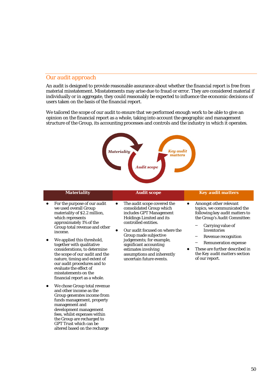# *Our audit approach*

Group generates income from funds management, property

development management fees, whilst expenses within the Group are recharged to GPT Trust which can be altered based on the recharge

management and

An audit is designed to provide reasonable assurance about whether the financial report is free from material misstatement. Misstatements may arise due to fraud or error. They are considered material if individually or in aggregate, they could reasonably be expected to influence the economic decisions of users taken on the basis of the financial report.

We tailored the scope of our audit to ensure that we performed enough work to be able to give an opinion on the financial report as a whole, taking into account the geographic and management structure of the Group, its accounting processes and controls and the industry in which it operates.



#### *Materiality Audit scope Key audit matters* For the purpose of our audit we used overall Group materiality of \$2.2 million, which represents approximately 1% of the Group total revenue and other income. We applied this threshold, together with qualitative considerations, to determine the scope of our audit and the nature, timing and extent of our audit procedures and to evaluate the effect of misstatements on the financial report as a whole. We chose Group total revenue and other income as the ● The audit scope covered the consolidated Group which includes GPT Management Holdings Limited and its controlled entities. ● Our audit focused on where the Group made subjective judgements; for example, significant accounting estimates involving assumptions and inherently uncertain future events. ● Amongst other relevant topics, we communicated the following key audit matters to the Group's Audit Committee: **−** Carrying value of Inventories **−** Revenue recognition **−** Remuneration expense These are further described in the *Key audit matters* section of our report.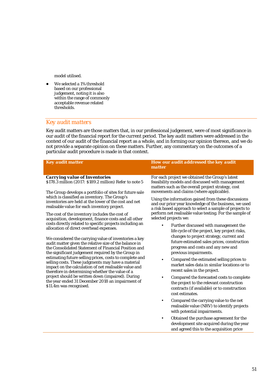model utilised.

We selected a 1% threshold based on our professional judgement, noting it is also within the range of commonly acceptable revenue related thresholds.

# *Key audit matters*

Key audit matters are those matters that, in our professional judgement, were of most significance in our audit of the financial report for the current period. The key audit matters were addressed in the context of our audit of the financial report as a whole, and in forming our opinion thereon, and we do not provide a separate opinion on these matters. Further, any commentary on the outcomes of a particular audit procedure is made in that context.

| <b>Key audit matter</b>                                                                                                                                                                                                                                                                                                                                                                                                                                                                                                                                                                                                                                                                               | <b>How our audit addressed the key audit</b><br>matter                                                                                                                                                                                                                                                                                                                                                                                                                                                                                                                                                                                                                                                                                         |  |  |
|-------------------------------------------------------------------------------------------------------------------------------------------------------------------------------------------------------------------------------------------------------------------------------------------------------------------------------------------------------------------------------------------------------------------------------------------------------------------------------------------------------------------------------------------------------------------------------------------------------------------------------------------------------------------------------------------------------|------------------------------------------------------------------------------------------------------------------------------------------------------------------------------------------------------------------------------------------------------------------------------------------------------------------------------------------------------------------------------------------------------------------------------------------------------------------------------------------------------------------------------------------------------------------------------------------------------------------------------------------------------------------------------------------------------------------------------------------------|--|--|
| <b>Carrying value of Inventories</b><br>\$178.3 million (2017: \$189.2 million) Refer to note 5<br>The Group develops a portfolio of sites for future sale                                                                                                                                                                                                                                                                                                                                                                                                                                                                                                                                            | For each project we obtained the Group's latest<br>feasibility models and discussed with management<br>matters such as the overall project strategy, cost<br>movements and claims (where applicable).                                                                                                                                                                                                                                                                                                                                                                                                                                                                                                                                          |  |  |
| which is classified as inventory. The Group's<br>inventories are held at the lower of the cost and net<br>realisable value for each inventory project.<br>The cost of the inventory includes the cost of<br>acquisition, development, finance costs and all other                                                                                                                                                                                                                                                                                                                                                                                                                                     | Using the information gained from these discussions<br>and our prior year knowledge of the business, we used<br>a risk based approach to select a sample of projects to<br>perform net realisable value testing. For the sample of<br>selected projects we:                                                                                                                                                                                                                                                                                                                                                                                                                                                                                    |  |  |
| costs directly related to specific projects including an<br>allocation of direct overhead expenses.<br>We considered the carrying value of inventories a key<br>audit matter given the relative size of the balance in<br>the Consolidated Statement of Financial Position and<br>the significant judgement required by the Group in<br>estimating future selling prices, costs to complete and<br>selling costs. These judgments may have a material<br>impact on the calculation of net realisable value and<br>therefore in determining whether the value of a<br>project should be written down (impaired). During<br>the year ended 31 December 2018 an impairment of<br>\$11.4m was recognised. | Further discussed with management the<br>$\bullet$<br>life cycle of the project, key project risks,<br>changes to project strategy, current and<br>future estimated sales prices, construction<br>progress and costs and any new and<br>previous impairments.<br>Compared the estimated selling prices to<br>market sales data in similar locations or to<br>recent sales in the project.<br>Compared the forecasted costs to complete<br>٠<br>the project to the relevant construction<br>contracts (if available) or to construction<br>cost estimates.<br>Compared the carrying value to the net<br>$\bullet$<br>realisable value (NRV) to identify projects<br>with potential impairments.<br>Obtained the purchase agreement for the<br>٠ |  |  |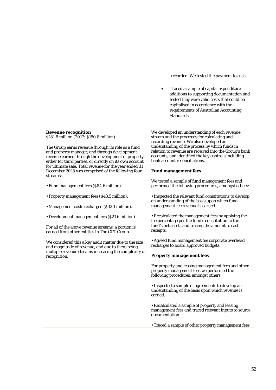recorded. We tested the payment to cash.

• Traced a sample of capital expenditure additions to supporting documentation and tested they were valid costs that could be capitalised in accordance with the requirements of Australian Accounting Standards.

### *Revenue recognition \$181.8 million (2017: \$180.8 million)*

The Group earns revenue through its role as a fund and property manager, and through development revenue earned through the development of property, either for third parties, or directly on its own account for ultimate sale. Total revenue for the year ended 31 December 2018 was comprised of the following four streams:

- Fund management fees (\$84.6 million).
- Property management fees (\$43.5 million).
- Management costs recharged (\$32.1 million).
- Development management fees (\$21.6 million).

For all of the above revenue streams, a portion is earned from other entities in The GPT Group.

We considered this a key audit matter due to the size and magnitude of revenue, and due to there being multiple revenue streams increasing the complexity of recognition.

We developed an understanding of each revenue stream and the processes for calculating and recording revenue. We also developed an understanding of the process by which funds in relation to revenue are received into the Group's bank accounts, and identified the key controls including bank account reconciliations.

### **Fund management fees**

We tested a sample of fund management fees and performed the following procedures, amongst others:

• Inspected the relevant fund constitutions to develop an understanding of the basis upon which fund management fee revenue is earned.

• Recalculated the management fees by applying the fee percentage per the fund's constitution to the fund's net assets and tracing the amount to cash receipts.

• Agreed fund management fee corporate overhead recharges to board approved budgets.

### **Property management fees**

For property and leasing management fees and other property management fees we performed the following procedures, amongst others:

• Inspected a sample of agreements to develop an understanding of the basis upon which revenue is earned.

• Recalculated a sample of property and leasing management fees and traced relevant inputs to source documentation.

• Traced a sample of other property management fees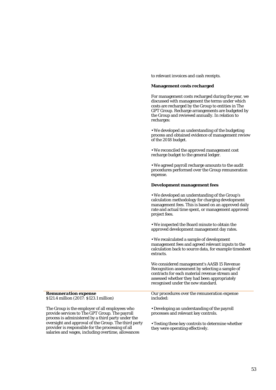to relevant invoices and cash receipts.

### **Management costs recharged**

For management costs recharged during the year, we discussed with management the terms under which costs are recharged by the Group to entities in The GPT Group. Recharge arrangements are budgeted by the Group and reviewed annually. In relation to recharges:

• We developed an understanding of the budgeting process and obtained evidence of management review of the 2018 budget.

• We reconciled the approved management cost recharge budget to the general ledger.

• We agreed payroll recharge amounts to the audit procedures performed over the Group remuneration expense.

### **Development management fees**

• We developed an understanding of the Group's calculation methodology for charging development management fees. This is based on an approved daily rate and actual time spent, or management approved project fees.

• We inspected the Board minute to obtain the approved development management day rates.

• We recalculated a sample of development management fees and agreed relevant inputs to the calculation back to source data, for example timesheet extracts.

We considered management's *AASB 15 Revenue Recognition* assessment by selecting a sample of contracts for each material revenue stream and assessed whether they had been appropriately recognised under the new standard.

Our procedures over the remuneration expense included:

• Developing an understanding of the payroll processes and relevant key controls.

• Testing these key controls to determine whether they were operating effectively.

*Remuneration expense \$121.4 million (2017: \$123.1 million)* 

The Group is the employer of all employees who provide services to The GPT Group. The payroll process is administered by a third party under the oversight and approval of the Group. The third party provider is responsible for the processing of all salaries and wages, including overtime, allowances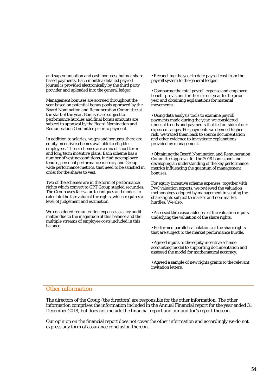and superannuation and cash bonuses, but not share based payments. Each month a detailed payroll journal is provided electronically by the third party provider and uploaded into the general ledger.

Management bonuses are accrued throughout the year based on potential bonus pools approved by the Board Nomination and Remuneration Committee at the start of the year. Bonuses are subject to performance hurdles and final bonus amounts are subject to approval by the Board Nomination and Remuneration Committee prior to payment.

In addition to salaries, wages and bonuses, there are equity incentive schemes available to eligible employees. These schemes are a mix of short term and long term incentive plans. Each scheme has a number of vesting conditions, including employee tenure, personal performance metrics, and Group wide performance metrics, that need to be satisfied in order for the shares to vest.

Two of the schemes are in the form of performance rights which convert to GPT Group stapled securities. The Group uses fair value techniques and models to calculate the fair value of the rights, which requires a level of judgement and estimation.

We considered remuneration expense as a key audit matter due to the magnitude of this balance and the multiple streams of employee costs included in this balance.

• Reconciling the year to date payroll cost from the payroll system to the general ledger.

• Comparing the total payroll expense and employee benefit provisions for the current year to the prior year and obtaining explanations for material movements.

• Using data analysis tools to examine payroll payments made during the year, we considered unusual trends and payments that fell outside of our expected ranges. For payments we deemed higher risk, we traced them back to source documentation and other evidence to investigate explanations provided by management.

• Obtaining the Board Nomination and Remuneration Committee approval for the 2018 bonus pool and developing an understanding of the key performance metrics influencing the quantum of management bonuses.

For equity incentive scheme expenses, together with PwC valuation experts, we reviewed the valuation methodology adopted by management in valuing the share rights subject to market and non-market hurdles. We also:

• Assessed the reasonableness of the valuation inputs underlying the valuation of the share rights.

• Performed parallel calculations of the share rights that are subject to the market performance hurdle.

• Agreed inputs to the equity incentive scheme accounting model to supporting documentation and assessed the model for mathematical accuracy.

• Agreed a sample of new rights grants to the relevant invitation letters.

# *Other information*

The directors of the Group (the directors) are responsible for the other information. The other information comprises the information included in the Annual Financial report for the year ended 31 December 2018, but does not include the financial report and our auditor's report thereon.

Our opinion on the financial report does not cover the other information and accordingly we do not express any form of assurance conclusion thereon.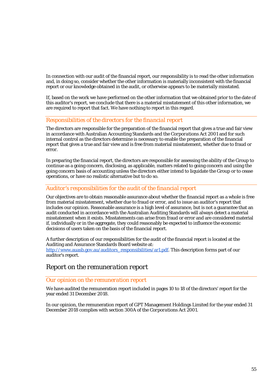In connection with our audit of the financial report, our responsibility is to read the other information and, in doing so, consider whether the other information is materially inconsistent with the financial report or our knowledge obtained in the audit, or otherwise appears to be materially misstated.

If, based on the work we have performed on the other information that we obtained prior to the date of this auditor's report, we conclude that there is a material misstatement of this other information, we are required to report that fact. We have nothing to report in this regard.

# *Responsibilities of the directors for the financial report*

The directors are responsible for the preparation of the financial report that gives a true and fair view in accordance with Australian Accounting Standards and the *Corporations Act 2001* and for such internal control as the directors determine is necessary to enable the preparation of the financial report that gives a true and fair view and is free from material misstatement, whether due to fraud or error.

In preparing the financial report, the directors are responsible for assessing the ability of the Group to continue as a going concern, disclosing, as applicable, matters related to going concern and using the going concern basis of accounting unless the directors either intend to liquidate the Group or to cease operations, or have no realistic alternative but to do so.

# *Auditor's responsibilities for the audit of the financial report*

Our objectives are to obtain reasonable assurance about whether the financial report as a whole is free from material misstatement, whether due to fraud or error, and to issue an auditor's report that includes our opinion. Reasonable assurance is a high level of assurance, but is not a guarantee that an audit conducted in accordance with the Australian Auditing Standards will always detect a material misstatement when it exists. Misstatements can arise from fraud or error and are considered material if, individually or in the aggregate, they could reasonably be expected to influence the economic decisions of users taken on the basis of the financial report.

A further description of our responsibilities for the audit of the financial report is located at the Auditing and Assurance Standards Board website at: [http://www.auasb.gov.au/auditors\\_responsibilities/ar1.pdf.](http://www.auasb.gov.au/auditors_responsibilities/ar1.pdf) This description forms part of our auditor's report.

# *Report on the remuneration report*

# *Our opinion on the remuneration report*

We have audited the remuneration report included in pages 10 to 18 of the directors' report for the year ended 31 December 2018.

In our opinion, the remuneration report of GPT Management Holdings Limited for the year ended 31 December 2018 complies with section 300A of the *Corporations Act 2001.*